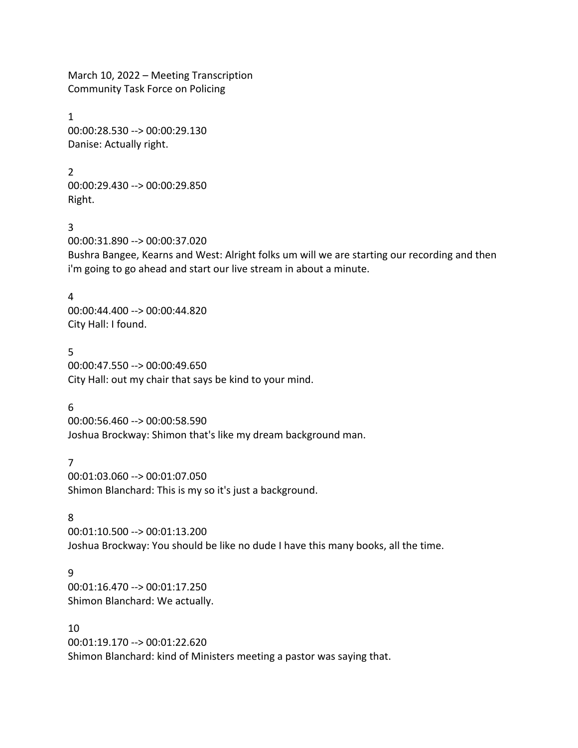March 10, 2022 – Meeting Transcription Community Task Force on Policing

1 00:00:28.530 --> 00:00:29.130 Danise: Actually right.

2 00:00:29.430 --> 00:00:29.850 Right.

3

00:00:31.890 --> 00:00:37.020 Bushra Bangee, Kearns and West: Alright folks um will we are starting our recording and then i'm going to go ahead and start our live stream in about a minute.

4

00:00:44.400 --> 00:00:44.820 City Hall: I found.

5 00:00:47.550 --> 00:00:49.650 City Hall: out my chair that says be kind to your mind.

6

00:00:56.460 --> 00:00:58.590 Joshua Brockway: Shimon that's like my dream background man.

7

00:01:03.060 --> 00:01:07.050 Shimon Blanchard: This is my so it's just a background.

8

00:01:10.500 --> 00:01:13.200 Joshua Brockway: You should be like no dude I have this many books, all the time.

9

00:01:16.470 --> 00:01:17.250 Shimon Blanchard: We actually.

10

00:01:19.170 --> 00:01:22.620 Shimon Blanchard: kind of Ministers meeting a pastor was saying that.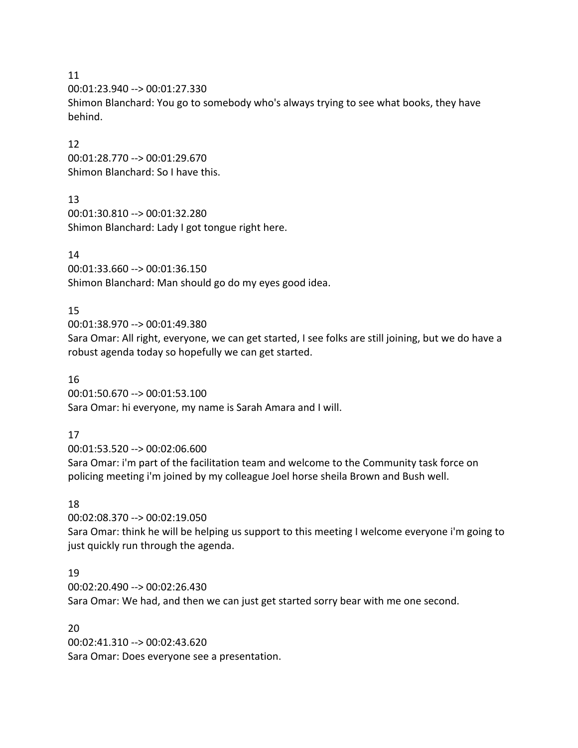00:01:23.940 --> 00:01:27.330

Shimon Blanchard: You go to somebody who's always trying to see what books, they have behind.

### 12

00:01:28.770 --> 00:01:29.670 Shimon Blanchard: So I have this.

## 13

00:01:30.810 --> 00:01:32.280 Shimon Blanchard: Lady I got tongue right here.

## 14

00:01:33.660 --> 00:01:36.150 Shimon Blanchard: Man should go do my eyes good idea.

## 15

00:01:38.970 --> 00:01:49.380

Sara Omar: All right, everyone, we can get started, I see folks are still joining, but we do have a robust agenda today so hopefully we can get started.

#### 16

00:01:50.670 --> 00:01:53.100 Sara Omar: hi everyone, my name is Sarah Amara and I will.

## 17

00:01:53.520 --> 00:02:06.600 Sara Omar: i'm part of the facilitation team and welcome to the Community task force on policing meeting i'm joined by my colleague Joel horse sheila Brown and Bush well.

## 18

00:02:08.370 --> 00:02:19.050

Sara Omar: think he will be helping us support to this meeting I welcome everyone i'm going to just quickly run through the agenda.

## 19

00:02:20.490 --> 00:02:26.430 Sara Omar: We had, and then we can just get started sorry bear with me one second.

#### 20

00:02:41.310 --> 00:02:43.620 Sara Omar: Does everyone see a presentation.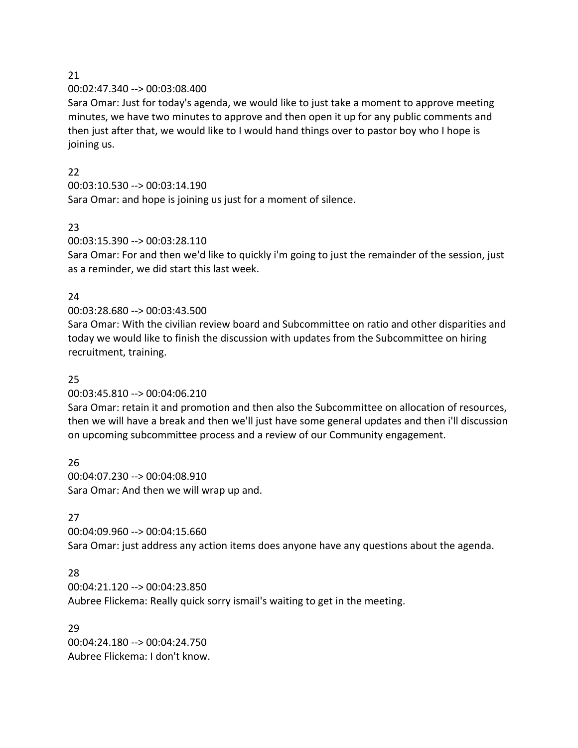## 00:02:47.340 --> 00:03:08.400

Sara Omar: Just for today's agenda, we would like to just take a moment to approve meeting minutes, we have two minutes to approve and then open it up for any public comments and then just after that, we would like to I would hand things over to pastor boy who I hope is joining us.

## 22

00:03:10.530 --> 00:03:14.190

Sara Omar: and hope is joining us just for a moment of silence.

## 23

00:03:15.390 --> 00:03:28.110

Sara Omar: For and then we'd like to quickly i'm going to just the remainder of the session, just as a reminder, we did start this last week.

## 24

# 00:03:28.680 --> 00:03:43.500

Sara Omar: With the civilian review board and Subcommittee on ratio and other disparities and today we would like to finish the discussion with updates from the Subcommittee on hiring recruitment, training.

# 25

00:03:45.810 --> 00:04:06.210

Sara Omar: retain it and promotion and then also the Subcommittee on allocation of resources, then we will have a break and then we'll just have some general updates and then i'll discussion on upcoming subcommittee process and a review of our Community engagement.

26 00:04:07.230 --> 00:04:08.910 Sara Omar: And then we will wrap up and.

# 27

00:04:09.960 --> 00:04:15.660 Sara Omar: just address any action items does anyone have any questions about the agenda.

# 28

00:04:21.120 --> 00:04:23.850 Aubree Flickema: Really quick sorry ismail's waiting to get in the meeting.

29 00:04:24.180 --> 00:04:24.750 Aubree Flickema: I don't know.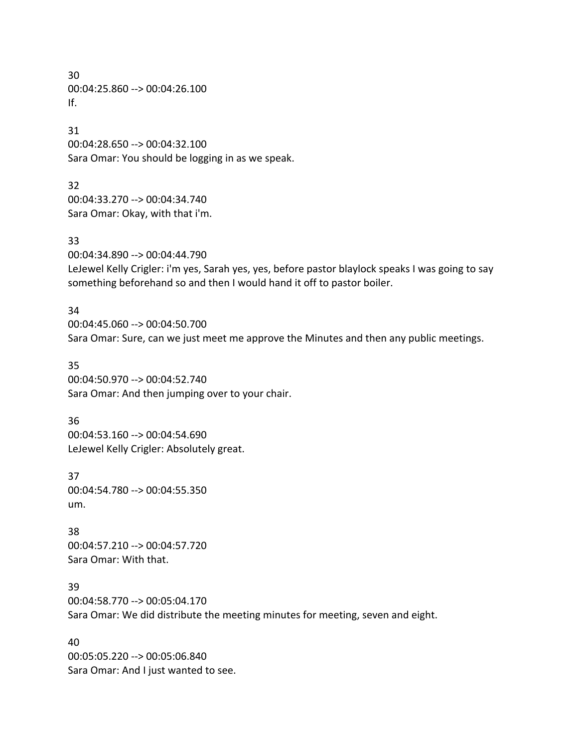30 00:04:25.860 --> 00:04:26.100 If.

31 00:04:28.650 --> 00:04:32.100 Sara Omar: You should be logging in as we speak.

32 00:04:33.270 --> 00:04:34.740 Sara Omar: Okay, with that i'm.

33 00:04:34.890 --> 00:04:44.790

LeJewel Kelly Crigler: i'm yes, Sarah yes, yes, before pastor blaylock speaks I was going to say something beforehand so and then I would hand it off to pastor boiler.

34 00:04:45.060 --> 00:04:50.700 Sara Omar: Sure, can we just meet me approve the Minutes and then any public meetings.

35 00:04:50.970 --> 00:04:52.740 Sara Omar: And then jumping over to your chair.

36 00:04:53.160 --> 00:04:54.690 LeJewel Kelly Crigler: Absolutely great.

37 00:04:54.780 --> 00:04:55.350 um.

38 00:04:57.210 --> 00:04:57.720 Sara Omar: With that.

39 00:04:58.770 --> 00:05:04.170 Sara Omar: We did distribute the meeting minutes for meeting, seven and eight.

40 00:05:05.220 --> 00:05:06.840 Sara Omar: And I just wanted to see.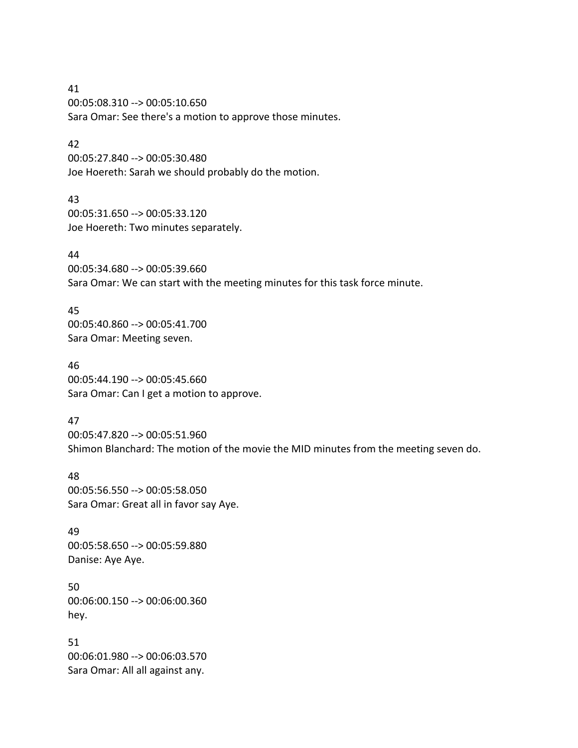41 00:05:08.310 --> 00:05:10.650 Sara Omar: See there's a motion to approve those minutes.

#### 42

00:05:27.840 --> 00:05:30.480 Joe Hoereth: Sarah we should probably do the motion.

### 43

00:05:31.650 --> 00:05:33.120 Joe Hoereth: Two minutes separately.

## 44

00:05:34.680 --> 00:05:39.660 Sara Omar: We can start with the meeting minutes for this task force minute.

45 00:05:40.860 --> 00:05:41.700 Sara Omar: Meeting seven.

46 00:05:44.190 --> 00:05:45.660 Sara Omar: Can I get a motion to approve.

47

00:05:47.820 --> 00:05:51.960 Shimon Blanchard: The motion of the movie the MID minutes from the meeting seven do.

48 00:05:56.550 --> 00:05:58.050 Sara Omar: Great all in favor say Aye.

49 00:05:58.650 --> 00:05:59.880 Danise: Aye Aye.

50 00:06:00.150 --> 00:06:00.360 hey.

51 00:06:01.980 --> 00:06:03.570 Sara Omar: All all against any.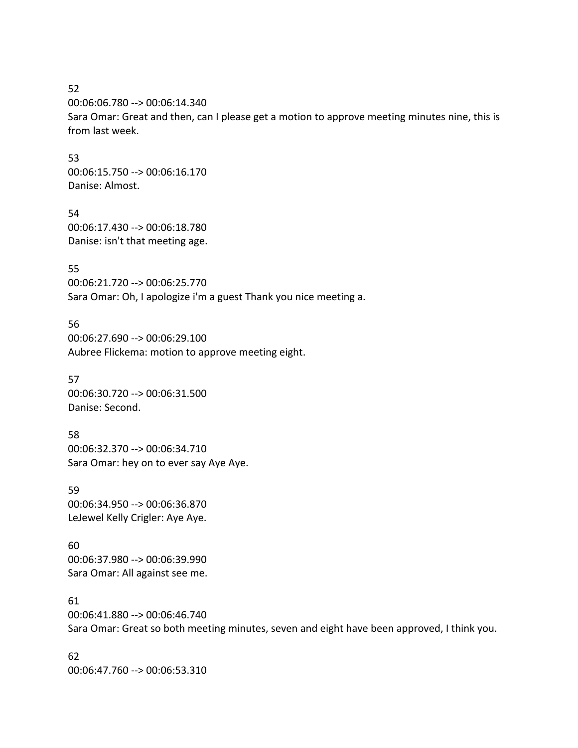52 00:06:06.780 --> 00:06:14.340 Sara Omar: Great and then, can I please get a motion to approve meeting minutes nine, this is from last week.

53 00:06:15.750 --> 00:06:16.170 Danise: Almost.

54 00:06:17.430 --> 00:06:18.780 Danise: isn't that meeting age.

55 00:06:21.720 --> 00:06:25.770 Sara Omar: Oh, I apologize i'm a guest Thank you nice meeting a.

56 00:06:27.690 --> 00:06:29.100 Aubree Flickema: motion to approve meeting eight.

57 00:06:30.720 --> 00:06:31.500 Danise: Second.

58 00:06:32.370 --> 00:06:34.710 Sara Omar: hey on to ever say Aye Aye.

59 00:06:34.950 --> 00:06:36.870 LeJewel Kelly Crigler: Aye Aye.

60 00:06:37.980 --> 00:06:39.990 Sara Omar: All against see me.

61 00:06:41.880 --> 00:06:46.740 Sara Omar: Great so both meeting minutes, seven and eight have been approved, I think you.

62 00:06:47.760 --> 00:06:53.310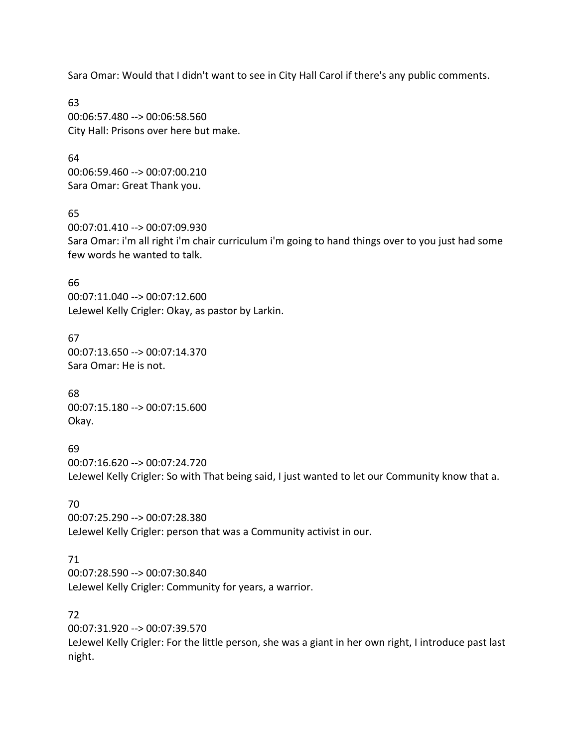Sara Omar: Would that I didn't want to see in City Hall Carol if there's any public comments.

63 00:06:57.480 --> 00:06:58.560 City Hall: Prisons over here but make.

64 00:06:59.460 --> 00:07:00.210 Sara Omar: Great Thank you.

65 00:07:01.410 --> 00:07:09.930 Sara Omar: i'm all right i'm chair curriculum i'm going to hand things over to you just had some few words he wanted to talk.

66 00:07:11.040 --> 00:07:12.600 LeJewel Kelly Crigler: Okay, as pastor by Larkin.

67 00:07:13.650 --> 00:07:14.370 Sara Omar: He is not.

68 00:07:15.180 --> 00:07:15.600 Okay.

69 00:07:16.620 --> 00:07:24.720 LeJewel Kelly Crigler: So with That being said, I just wanted to let our Community know that a.

70 00:07:25.290 --> 00:07:28.380 LeJewel Kelly Crigler: person that was a Community activist in our.

71 00:07:28.590 --> 00:07:30.840 LeJewel Kelly Crigler: Community for years, a warrior.

72 00:07:31.920 --> 00:07:39.570 LeJewel Kelly Crigler: For the little person, she was a giant in her own right, I introduce past last night.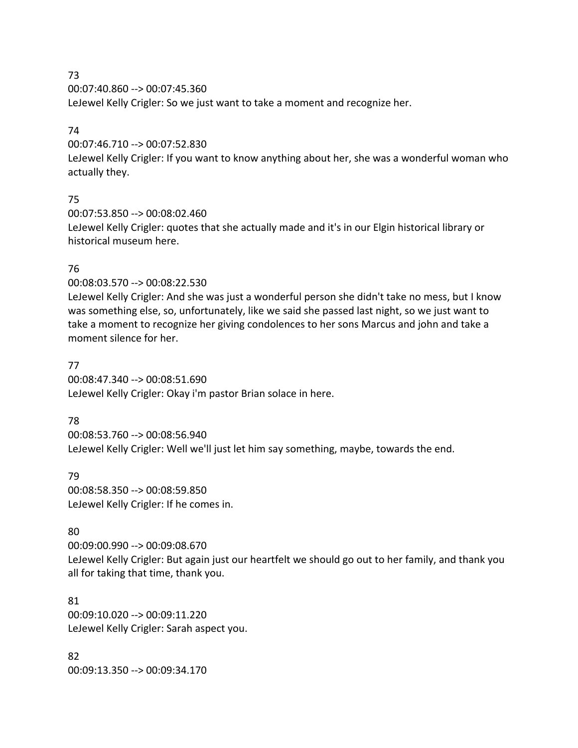00:07:40.860 --> 00:07:45.360 LeJewel Kelly Crigler: So we just want to take a moment and recognize her.

## 74

00:07:46.710 --> 00:07:52.830

LeJewel Kelly Crigler: If you want to know anything about her, she was a wonderful woman who actually they.

## 75

00:07:53.850 --> 00:08:02.460 LeJewel Kelly Crigler: quotes that she actually made and it's in our Elgin historical library or historical museum here.

## 76

00:08:03.570 --> 00:08:22.530

LeJewel Kelly Crigler: And she was just a wonderful person she didn't take no mess, but I know was something else, so, unfortunately, like we said she passed last night, so we just want to take a moment to recognize her giving condolences to her sons Marcus and john and take a moment silence for her.

### 77

00:08:47.340 --> 00:08:51.690 LeJewel Kelly Crigler: Okay i'm pastor Brian solace in here.

## 78

00:08:53.760 --> 00:08:56.940 LeJewel Kelly Crigler: Well we'll just let him say something, maybe, towards the end.

#### 79

00:08:58.350 --> 00:08:59.850 LeJewel Kelly Crigler: If he comes in.

## 80

00:09:00.990 --> 00:09:08.670 LeJewel Kelly Crigler: But again just our heartfelt we should go out to her family, and thank you all for taking that time, thank you.

81 00:09:10.020 --> 00:09:11.220 LeJewel Kelly Crigler: Sarah aspect you.

82 00:09:13.350 --> 00:09:34.170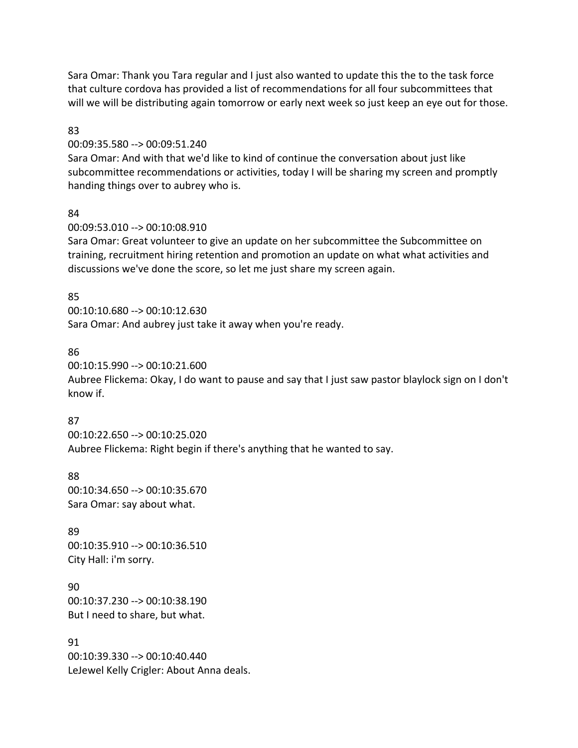Sara Omar: Thank you Tara regular and I just also wanted to update this the to the task force that culture cordova has provided a list of recommendations for all four subcommittees that will we will be distributing again tomorrow or early next week so just keep an eye out for those.

#### 83

00:09:35.580 --> 00:09:51.240

Sara Omar: And with that we'd like to kind of continue the conversation about just like subcommittee recommendations or activities, today I will be sharing my screen and promptly handing things over to aubrey who is.

### 84

00:09:53.010 --> 00:10:08.910

Sara Omar: Great volunteer to give an update on her subcommittee the Subcommittee on training, recruitment hiring retention and promotion an update on what what activities and discussions we've done the score, so let me just share my screen again.

## 85

00:10:10.680 --> 00:10:12.630 Sara Omar: And aubrey just take it away when you're ready.

## 86

00:10:15.990 --> 00:10:21.600 Aubree Flickema: Okay, I do want to pause and say that I just saw pastor blaylock sign on I don't know if.

## 87

00:10:22.650 --> 00:10:25.020 Aubree Flickema: Right begin if there's anything that he wanted to say.

#### 88 00:10:34.650 --> 00:10:35.670 Sara Omar: say about what.

89 00:10:35.910 --> 00:10:36.510 City Hall: i'm sorry.

90 00:10:37.230 --> 00:10:38.190 But I need to share, but what.

91 00:10:39.330 --> 00:10:40.440 LeJewel Kelly Crigler: About Anna deals.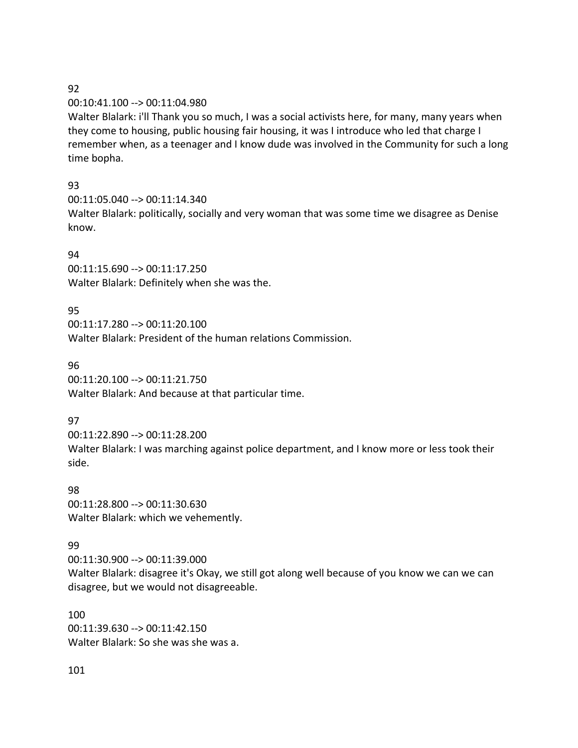00:10:41.100 --> 00:11:04.980

Walter Blalark: i'll Thank you so much, I was a social activists here, for many, many years when they come to housing, public housing fair housing, it was I introduce who led that charge I remember when, as a teenager and I know dude was involved in the Community for such a long time bopha.

## 93

00:11:05.040 --> 00:11:14.340

Walter Blalark: politically, socially and very woman that was some time we disagree as Denise know.

# 94

00:11:15.690 --> 00:11:17.250 Walter Blalark: Definitely when she was the.

## 95

00:11:17.280 --> 00:11:20.100 Walter Blalark: President of the human relations Commission.

96 00:11:20.100 --> 00:11:21.750 Walter Blalark: And because at that particular time.

# 97

00:11:22.890 --> 00:11:28.200 Walter Blalark: I was marching against police department, and I know more or less took their side.

## 98

00:11:28.800 --> 00:11:30.630 Walter Blalark: which we vehemently.

# 99

00:11:30.900 --> 00:11:39.000 Walter Blalark: disagree it's Okay, we still got along well because of you know we can we can disagree, but we would not disagreeable.

100 00:11:39.630 --> 00:11:42.150 Walter Blalark: So she was she was a.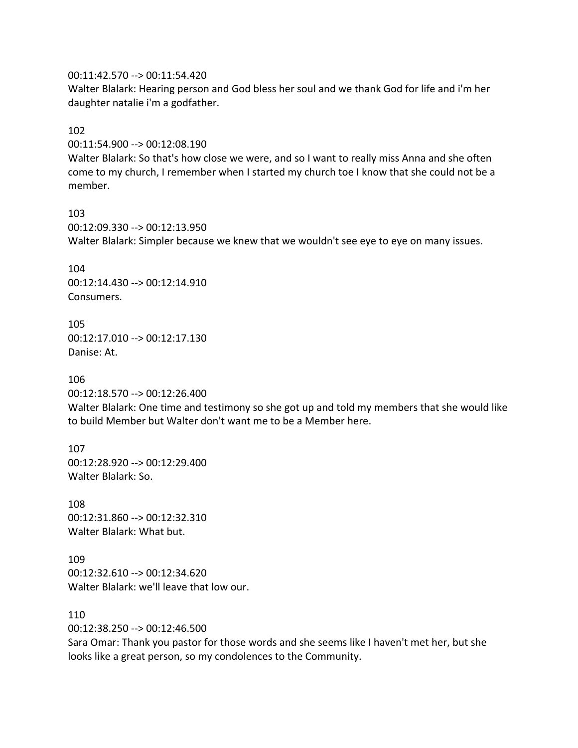#### 00:11:42.570 --> 00:11:54.420

Walter Blalark: Hearing person and God bless her soul and we thank God for life and i'm her daughter natalie i'm a godfather.

#### 102

00:11:54.900 --> 00:12:08.190

Walter Blalark: So that's how close we were, and so I want to really miss Anna and she often come to my church, I remember when I started my church toe I know that she could not be a member.

103 00:12:09.330 --> 00:12:13.950 Walter Blalark: Simpler because we knew that we wouldn't see eye to eye on many issues.

104 00:12:14.430 --> 00:12:14.910 Consumers.

105 00:12:17.010 --> 00:12:17.130 Danise: At.

106 00:12:18.570 --> 00:12:26.400

Walter Blalark: One time and testimony so she got up and told my members that she would like to build Member but Walter don't want me to be a Member here.

107 00:12:28.920 --> 00:12:29.400 Walter Blalark: So.

108 00:12:31.860 --> 00:12:32.310 Walter Blalark: What but.

109 00:12:32.610 --> 00:12:34.620 Walter Blalark: we'll leave that low our.

110 00:12:38.250 --> 00:12:46.500

Sara Omar: Thank you pastor for those words and she seems like I haven't met her, but she looks like a great person, so my condolences to the Community.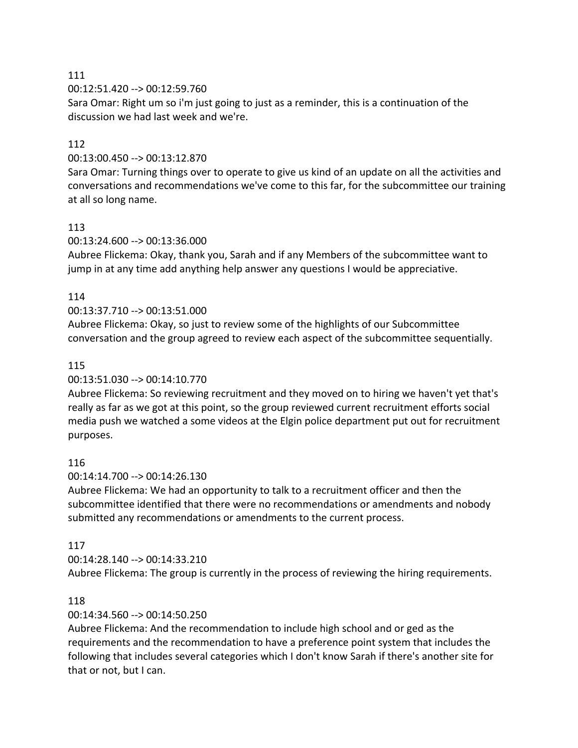00:12:51.420 --> 00:12:59.760

Sara Omar: Right um so i'm just going to just as a reminder, this is a continuation of the discussion we had last week and we're.

## 112

## 00:13:00.450 --> 00:13:12.870

Sara Omar: Turning things over to operate to give us kind of an update on all the activities and conversations and recommendations we've come to this far, for the subcommittee our training at all so long name.

## 113

## 00:13:24.600 --> 00:13:36.000

Aubree Flickema: Okay, thank you, Sarah and if any Members of the subcommittee want to jump in at any time add anything help answer any questions I would be appreciative.

## 114

## 00:13:37.710 --> 00:13:51.000

Aubree Flickema: Okay, so just to review some of the highlights of our Subcommittee conversation and the group agreed to review each aspect of the subcommittee sequentially.

## 115

## 00:13:51.030 --> 00:14:10.770

Aubree Flickema: So reviewing recruitment and they moved on to hiring we haven't yet that's really as far as we got at this point, so the group reviewed current recruitment efforts social media push we watched a some videos at the Elgin police department put out for recruitment purposes.

## 116

## 00:14:14.700 --> 00:14:26.130

Aubree Flickema: We had an opportunity to talk to a recruitment officer and then the subcommittee identified that there were no recommendations or amendments and nobody submitted any recommendations or amendments to the current process.

## 117

# 00:14:28.140 --> 00:14:33.210

Aubree Flickema: The group is currently in the process of reviewing the hiring requirements.

## 118

# 00:14:34.560 --> 00:14:50.250

Aubree Flickema: And the recommendation to include high school and or ged as the requirements and the recommendation to have a preference point system that includes the following that includes several categories which I don't know Sarah if there's another site for that or not, but I can.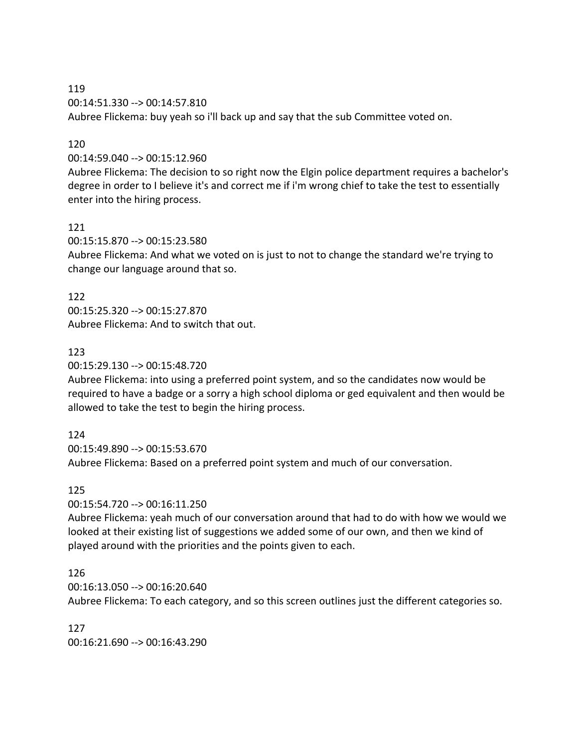119 00:14:51.330 --> 00:14:57.810 Aubree Flickema: buy yeah so i'll back up and say that the sub Committee voted on.

#### 120

00:14:59.040 --> 00:15:12.960

Aubree Flickema: The decision to so right now the Elgin police department requires a bachelor's degree in order to I believe it's and correct me if i'm wrong chief to take the test to essentially enter into the hiring process.

### 121

00:15:15.870 --> 00:15:23.580

Aubree Flickema: And what we voted on is just to not to change the standard we're trying to change our language around that so.

### 122

00:15:25.320 --> 00:15:27.870 Aubree Flickema: And to switch that out.

## 123

00:15:29.130 --> 00:15:48.720

Aubree Flickema: into using a preferred point system, and so the candidates now would be required to have a badge or a sorry a high school diploma or ged equivalent and then would be allowed to take the test to begin the hiring process.

## 124

00:15:49.890 --> 00:15:53.670 Aubree Flickema: Based on a preferred point system and much of our conversation.

## 125

00:15:54.720 --> 00:16:11.250

Aubree Flickema: yeah much of our conversation around that had to do with how we would we looked at their existing list of suggestions we added some of our own, and then we kind of played around with the priorities and the points given to each.

## 126

00:16:13.050 --> 00:16:20.640

Aubree Flickema: To each category, and so this screen outlines just the different categories so.

127 00:16:21.690 --> 00:16:43.290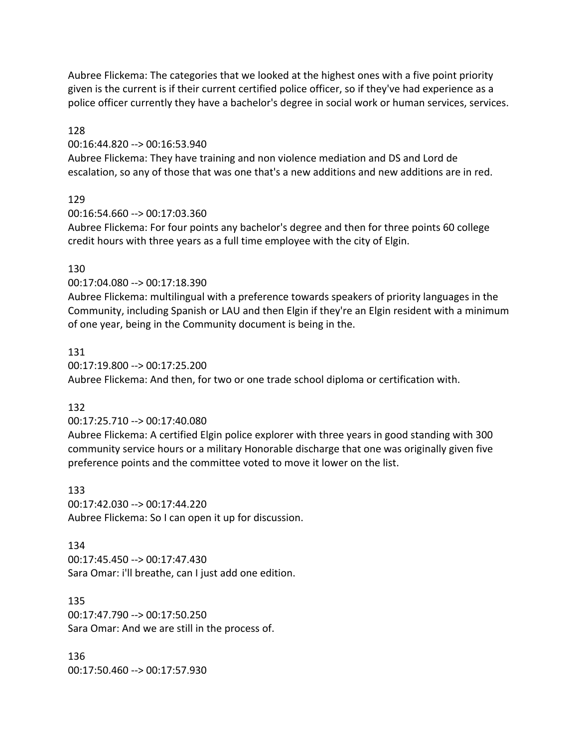Aubree Flickema: The categories that we looked at the highest ones with a five point priority given is the current is if their current certified police officer, so if they've had experience as a police officer currently they have a bachelor's degree in social work or human services, services.

#### 128

#### 00:16:44.820 --> 00:16:53.940

Aubree Flickema: They have training and non violence mediation and DS and Lord de escalation, so any of those that was one that's a new additions and new additions are in red.

## 129

00:16:54.660 --> 00:17:03.360

Aubree Flickema: For four points any bachelor's degree and then for three points 60 college credit hours with three years as a full time employee with the city of Elgin.

## 130

00:17:04.080 --> 00:17:18.390

Aubree Flickema: multilingual with a preference towards speakers of priority languages in the Community, including Spanish or LAU and then Elgin if they're an Elgin resident with a minimum of one year, being in the Community document is being in the.

## 131

00:17:19.800 --> 00:17:25.200 Aubree Flickema: And then, for two or one trade school diploma or certification with.

## 132

00:17:25.710 --> 00:17:40.080

Aubree Flickema: A certified Elgin police explorer with three years in good standing with 300 community service hours or a military Honorable discharge that one was originally given five preference points and the committee voted to move it lower on the list.

#### 133

00:17:42.030 --> 00:17:44.220 Aubree Flickema: So I can open it up for discussion.

## 134

00:17:45.450 --> 00:17:47.430 Sara Omar: i'll breathe, can I just add one edition.

135 00:17:47.790 --> 00:17:50.250 Sara Omar: And we are still in the process of.

136 00:17:50.460 --> 00:17:57.930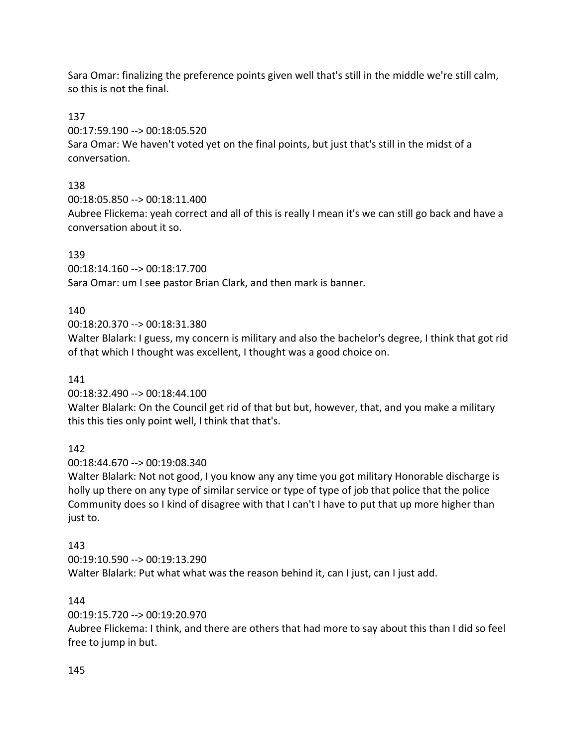Sara Omar: finalizing the preference points given well that's still in the middle we're still calm, so this is not the final.

137

00:17:59.190 --> 00:18:05.520

Sara Omar: We haven't voted yet on the final points, but just that's still in the midst of a conversation.

# 138

00:18:05.850 --> 00:18:11.400

Aubree Flickema: yeah correct and all of this is really I mean it's we can still go back and have a conversation about it so.

# 139

00:18:14.160 --> 00:18:17.700 Sara Omar: um I see pastor Brian Clark, and then mark is banner.

# 140

00:18:20.370 --> 00:18:31.380

Walter Blalark: I guess, my concern is military and also the bachelor's degree, I think that got rid of that which I thought was excellent, I thought was a good choice on.

# 141

00:18:32.490 --> 00:18:44.100

Walter Blalark: On the Council get rid of that but but, however, that, and you make a military this this ties only point well, I think that that's.

# 142

00:18:44.670 --> 00:19:08.340

Walter Blalark: Not not good, I you know any any time you got military Honorable discharge is holly up there on any type of similar service or type of type of job that police that the police Community does so I kind of disagree with that I can't I have to put that up more higher than just to.

# 143

00:19:10.590 --> 00:19:13.290

Walter Blalark: Put what what was the reason behind it, can I just, can I just add.

# 144

# 00:19:15.720 --> 00:19:20.970

Aubree Flickema: I think, and there are others that had more to say about this than I did so feel free to jump in but.

# 145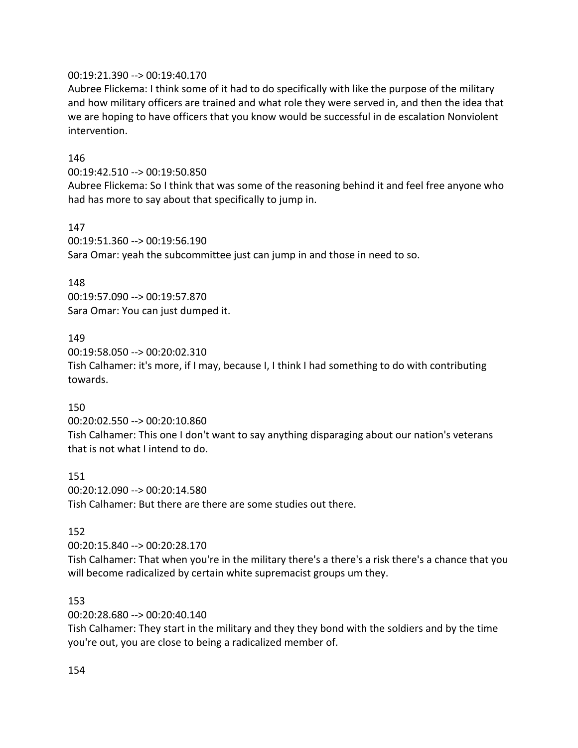### 00:19:21.390 --> 00:19:40.170

Aubree Flickema: I think some of it had to do specifically with like the purpose of the military and how military officers are trained and what role they were served in, and then the idea that we are hoping to have officers that you know would be successful in de escalation Nonviolent intervention.

#### 146

00:19:42.510 --> 00:19:50.850

Aubree Flickema: So I think that was some of the reasoning behind it and feel free anyone who had has more to say about that specifically to jump in.

#### 147

00:19:51.360 --> 00:19:56.190 Sara Omar: yeah the subcommittee just can jump in and those in need to so.

#### 148

00:19:57.090 --> 00:19:57.870 Sara Omar: You can just dumped it.

#### 149

00:19:58.050 --> 00:20:02.310 Tish Calhamer: it's more, if I may, because I, I think I had something to do with contributing towards.

#### 150

00:20:02.550 --> 00:20:10.860 Tish Calhamer: This one I don't want to say anything disparaging about our nation's veterans that is not what I intend to do.

151 00:20:12.090 --> 00:20:14.580 Tish Calhamer: But there are there are some studies out there.

#### 152

00:20:15.840 --> 00:20:28.170

Tish Calhamer: That when you're in the military there's a there's a risk there's a chance that you will become radicalized by certain white supremacist groups um they.

#### 153

00:20:28.680 --> 00:20:40.140

Tish Calhamer: They start in the military and they they bond with the soldiers and by the time you're out, you are close to being a radicalized member of.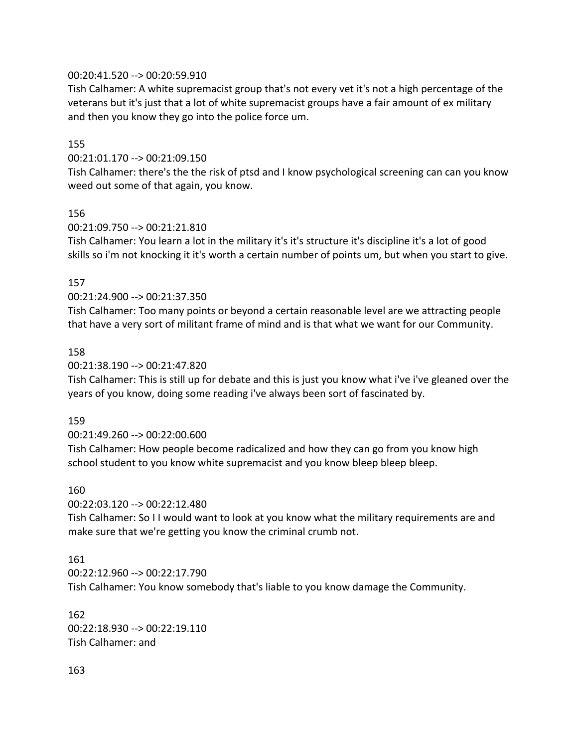## 00:20:41.520 --> 00:20:59.910

Tish Calhamer: A white supremacist group that's not every vet it's not a high percentage of the veterans but it's just that a lot of white supremacist groups have a fair amount of ex military and then you know they go into the police force um.

#### 155

00:21:01.170 --> 00:21:09.150

Tish Calhamer: there's the the risk of ptsd and I know psychological screening can can you know weed out some of that again, you know.

#### 156

00:21:09.750 --> 00:21:21.810

Tish Calhamer: You learn a lot in the military it's it's structure it's discipline it's a lot of good skills so i'm not knocking it it's worth a certain number of points um, but when you start to give.

#### 157

00:21:24.900 --> 00:21:37.350

Tish Calhamer: Too many points or beyond a certain reasonable level are we attracting people that have a very sort of militant frame of mind and is that what we want for our Community.

#### 158

#### 00:21:38.190 --> 00:21:47.820

Tish Calhamer: This is still up for debate and this is just you know what i've i've gleaned over the years of you know, doing some reading i've always been sort of fascinated by.

#### 159

#### 00:21:49.260 --> 00:22:00.600

Tish Calhamer: How people become radicalized and how they can go from you know high school student to you know white supremacist and you know bleep bleep bleep.

#### 160

#### 00:22:03.120 --> 00:22:12.480

Tish Calhamer: So I I would want to look at you know what the military requirements are and make sure that we're getting you know the criminal crumb not.

#### 161

00:22:12.960 --> 00:22:17.790 Tish Calhamer: You know somebody that's liable to you know damage the Community.

### 162 00:22:18.930 --> 00:22:19.110 Tish Calhamer: and

#### 163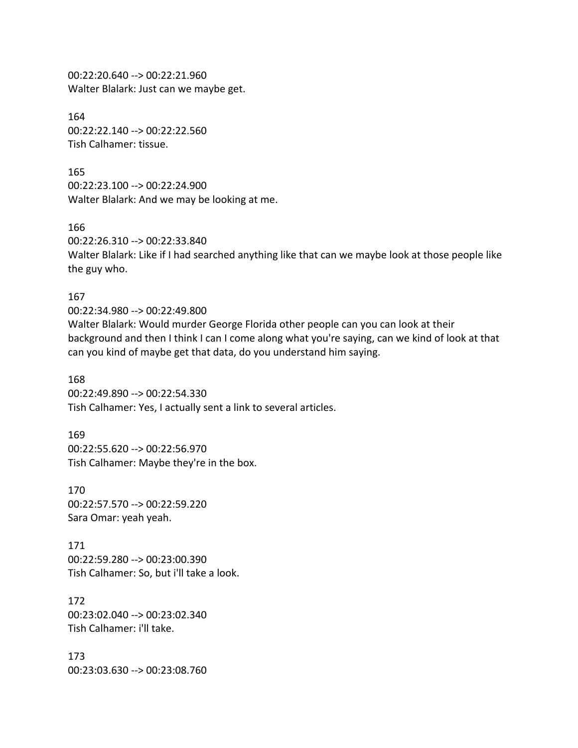00:22:20.640 --> 00:22:21.960 Walter Blalark: Just can we maybe get.

164 00:22:22.140 --> 00:22:22.560 Tish Calhamer: tissue.

165 00:22:23.100 --> 00:22:24.900 Walter Blalark: And we may be looking at me.

166

00:22:26.310 --> 00:22:33.840 Walter Blalark: Like if I had searched anything like that can we maybe look at those people like the guy who.

167

00:22:34.980 --> 00:22:49.800 Walter Blalark: Would murder George Florida other people can you can look at their background and then I think I can I come along what you're saying, can we kind of look at that can you kind of maybe get that data, do you understand him saying.

168 00:22:49.890 --> 00:22:54.330 Tish Calhamer: Yes, I actually sent a link to several articles.

169 00:22:55.620 --> 00:22:56.970 Tish Calhamer: Maybe they're in the box.

170 00:22:57.570 --> 00:22:59.220 Sara Omar: yeah yeah.

171 00:22:59.280 --> 00:23:00.390 Tish Calhamer: So, but i'll take a look.

172 00:23:02.040 --> 00:23:02.340 Tish Calhamer: i'll take.

173 00:23:03.630 --> 00:23:08.760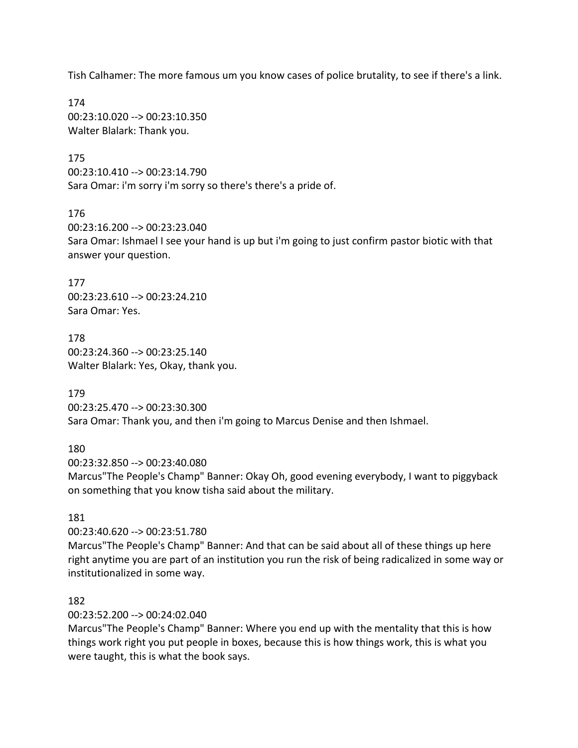Tish Calhamer: The more famous um you know cases of police brutality, to see if there's a link.

174 00:23:10.020 --> 00:23:10.350 Walter Blalark: Thank you.

175 00:23:10.410 --> 00:23:14.790 Sara Omar: i'm sorry i'm sorry so there's there's a pride of.

176 00:23:16.200 --> 00:23:23.040 Sara Omar: Ishmael I see your hand is up but i'm going to just confirm pastor biotic with that answer your question.

177 00:23:23.610 --> 00:23:24.210 Sara Omar: Yes.

178 00:23:24.360 --> 00:23:25.140 Walter Blalark: Yes, Okay, thank you.

179 00:23:25.470 --> 00:23:30.300 Sara Omar: Thank you, and then i'm going to Marcus Denise and then Ishmael.

180

00:23:32.850 --> 00:23:40.080

Marcus"The People's Champ" Banner: Okay Oh, good evening everybody, I want to piggyback on something that you know tisha said about the military.

#### 181

00:23:40.620 --> 00:23:51.780

Marcus"The People's Champ" Banner: And that can be said about all of these things up here right anytime you are part of an institution you run the risk of being radicalized in some way or institutionalized in some way.

#### 182

00:23:52.200 --> 00:24:02.040

Marcus"The People's Champ" Banner: Where you end up with the mentality that this is how things work right you put people in boxes, because this is how things work, this is what you were taught, this is what the book says.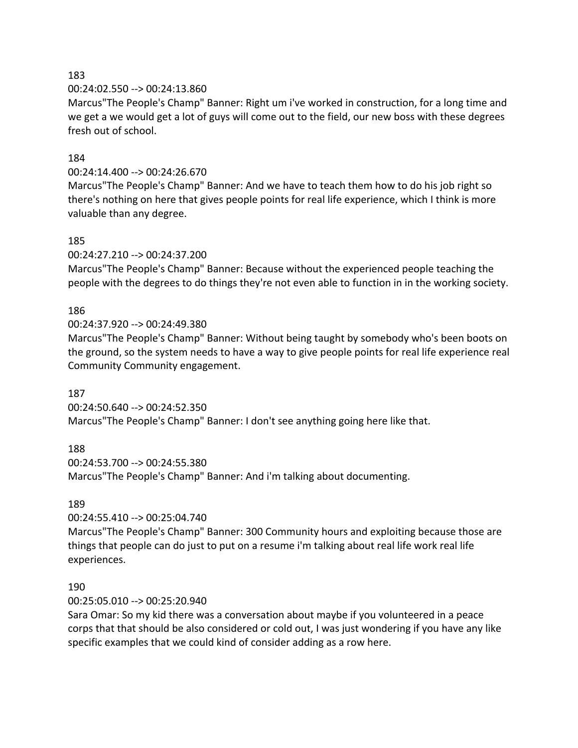#### 00:24:02.550 --> 00:24:13.860

Marcus"The People's Champ" Banner: Right um i've worked in construction, for a long time and we get a we would get a lot of guys will come out to the field, our new boss with these degrees fresh out of school.

#### 184

### 00:24:14.400 --> 00:24:26.670

Marcus"The People's Champ" Banner: And we have to teach them how to do his job right so there's nothing on here that gives people points for real life experience, which I think is more valuable than any degree.

#### 185

00:24:27.210 --> 00:24:37.200

Marcus"The People's Champ" Banner: Because without the experienced people teaching the people with the degrees to do things they're not even able to function in in the working society.

### 186

00:24:37.920 --> 00:24:49.380

Marcus"The People's Champ" Banner: Without being taught by somebody who's been boots on the ground, so the system needs to have a way to give people points for real life experience real Community Community engagement.

#### 187

00:24:50.640 --> 00:24:52.350 Marcus"The People's Champ" Banner: I don't see anything going here like that.

#### 188

00:24:53.700 --> 00:24:55.380 Marcus"The People's Champ" Banner: And i'm talking about documenting.

#### 189

00:24:55.410 --> 00:25:04.740

Marcus"The People's Champ" Banner: 300 Community hours and exploiting because those are things that people can do just to put on a resume i'm talking about real life work real life experiences.

#### 190

00:25:05.010 --> 00:25:20.940

Sara Omar: So my kid there was a conversation about maybe if you volunteered in a peace corps that that should be also considered or cold out, I was just wondering if you have any like specific examples that we could kind of consider adding as a row here.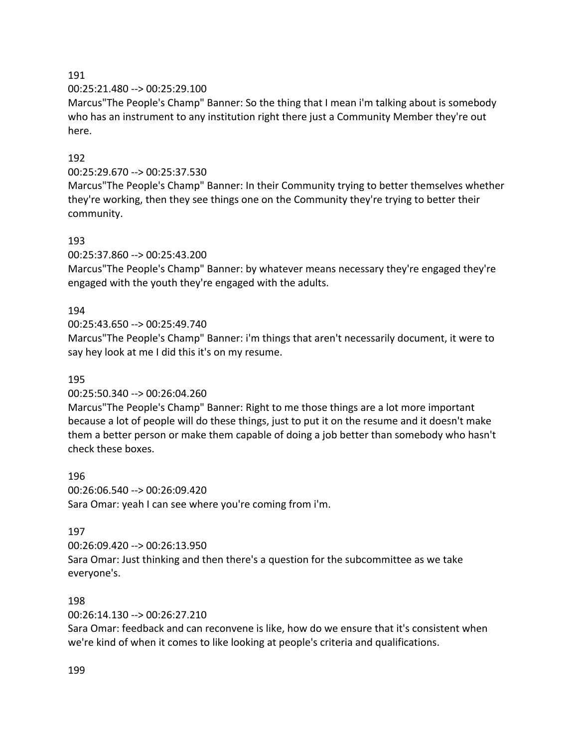### 00:25:21.480 --> 00:25:29.100

Marcus"The People's Champ" Banner: So the thing that I mean i'm talking about is somebody who has an instrument to any institution right there just a Community Member they're out here.

## 192

### 00:25:29.670 --> 00:25:37.530

Marcus"The People's Champ" Banner: In their Community trying to better themselves whether they're working, then they see things one on the Community they're trying to better their community.

#### 193

00:25:37.860 --> 00:25:43.200

Marcus"The People's Champ" Banner: by whatever means necessary they're engaged they're engaged with the youth they're engaged with the adults.

#### 194

00:25:43.650 --> 00:25:49.740

Marcus"The People's Champ" Banner: i'm things that aren't necessarily document, it were to say hey look at me I did this it's on my resume.

#### 195

#### 00:25:50.340 --> 00:26:04.260

Marcus"The People's Champ" Banner: Right to me those things are a lot more important because a lot of people will do these things, just to put it on the resume and it doesn't make them a better person or make them capable of doing a job better than somebody who hasn't check these boxes.

196 00:26:06.540 --> 00:26:09.420 Sara Omar: yeah I can see where you're coming from i'm.

#### 197

00:26:09.420 --> 00:26:13.950 Sara Omar: Just thinking and then there's a question for the subcommittee as we take everyone's.

#### 198

#### 00:26:14.130 --> 00:26:27.210

Sara Omar: feedback and can reconvene is like, how do we ensure that it's consistent when we're kind of when it comes to like looking at people's criteria and qualifications.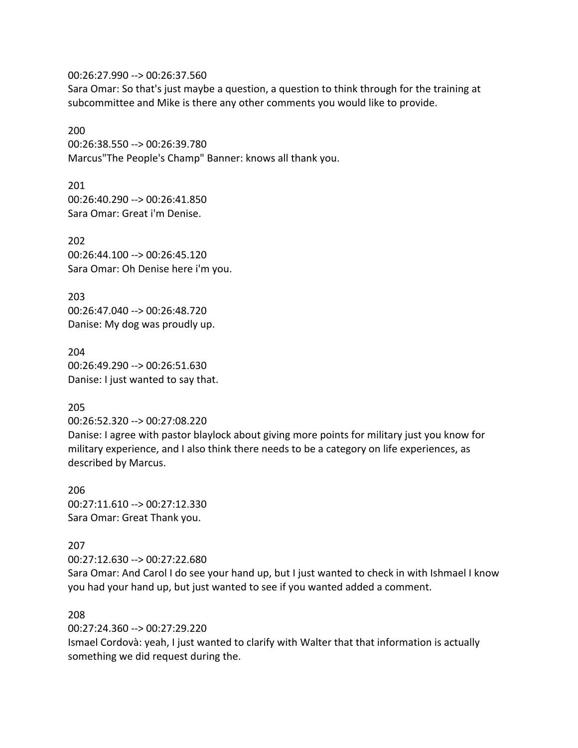00:26:27.990 --> 00:26:37.560

Sara Omar: So that's just maybe a question, a question to think through for the training at subcommittee and Mike is there any other comments you would like to provide.

200 00:26:38.550 --> 00:26:39.780 Marcus"The People's Champ" Banner: knows all thank you.

201 00:26:40.290 --> 00:26:41.850 Sara Omar: Great i'm Denise.

202 00:26:44.100 --> 00:26:45.120 Sara Omar: Oh Denise here i'm you.

203 00:26:47.040 --> 00:26:48.720 Danise: My dog was proudly up.

204 00:26:49.290 --> 00:26:51.630 Danise: I just wanted to say that.

## 205

00:26:52.320 --> 00:27:08.220

Danise: I agree with pastor blaylock about giving more points for military just you know for military experience, and I also think there needs to be a category on life experiences, as described by Marcus.

206 00:27:11.610 --> 00:27:12.330 Sara Omar: Great Thank you.

## 207

00:27:12.630 --> 00:27:22.680

Sara Omar: And Carol I do see your hand up, but I just wanted to check in with Ishmael I know you had your hand up, but just wanted to see if you wanted added a comment.

### 208

00:27:24.360 --> 00:27:29.220

Ismael Cordovà: yeah, I just wanted to clarify with Walter that that information is actually something we did request during the.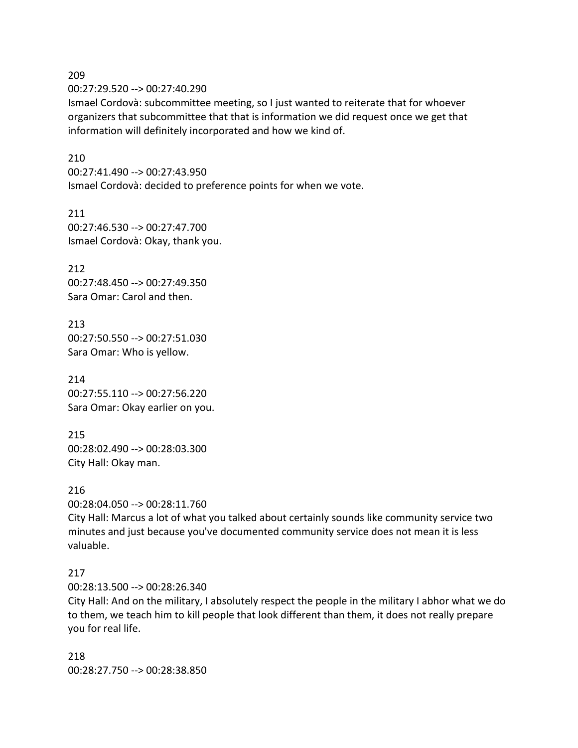00:27:29.520 --> 00:27:40.290

Ismael Cordovà: subcommittee meeting, so I just wanted to reiterate that for whoever organizers that subcommittee that that is information we did request once we get that information will definitely incorporated and how we kind of.

#### 210

00:27:41.490 --> 00:27:43.950 Ismael Cordovà: decided to preference points for when we vote.

211 00:27:46.530 --> 00:27:47.700 Ismael Cordovà: Okay, thank you.

212 00:27:48.450 --> 00:27:49.350 Sara Omar: Carol and then.

213 00:27:50.550 --> 00:27:51.030 Sara Omar: Who is yellow.

214 00:27:55.110 --> 00:27:56.220 Sara Omar: Okay earlier on you.

215 00:28:02.490 --> 00:28:03.300 City Hall: Okay man.

216 00:28:04.050 --> 00:28:11.760

City Hall: Marcus a lot of what you talked about certainly sounds like community service two minutes and just because you've documented community service does not mean it is less valuable.

#### 217

00:28:13.500 --> 00:28:26.340

City Hall: And on the military, I absolutely respect the people in the military I abhor what we do to them, we teach him to kill people that look different than them, it does not really prepare you for real life.

218 00:28:27.750 --> 00:28:38.850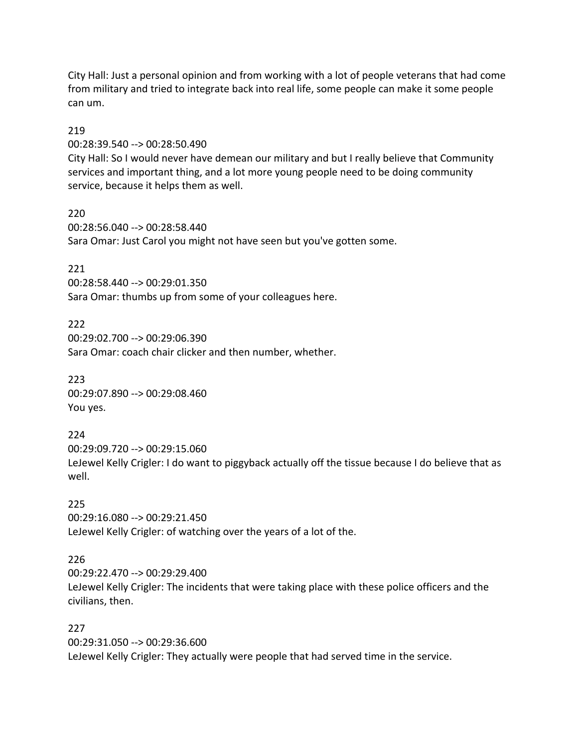City Hall: Just a personal opinion and from working with a lot of people veterans that had come from military and tried to integrate back into real life, some people can make it some people can um.

#### 219

00:28:39.540 --> 00:28:50.490

City Hall: So I would never have demean our military and but I really believe that Community services and important thing, and a lot more young people need to be doing community service, because it helps them as well.

220 00:28:56.040 --> 00:28:58.440 Sara Omar: Just Carol you might not have seen but you've gotten some.

221

00:28:58.440 --> 00:29:01.350 Sara Omar: thumbs up from some of your colleagues here.

222 00:29:02.700 --> 00:29:06.390 Sara Omar: coach chair clicker and then number, whether.

223 00:29:07.890 --> 00:29:08.460 You yes.

224 00:29:09.720 --> 00:29:15.060 LeJewel Kelly Crigler: I do want to piggyback actually off the tissue because I do believe that as well.

225 00:29:16.080 --> 00:29:21.450 LeJewel Kelly Crigler: of watching over the years of a lot of the.

## 226

00:29:22.470 --> 00:29:29.400 LeJewel Kelly Crigler: The incidents that were taking place with these police officers and the civilians, then.

227

00:29:31.050 --> 00:29:36.600 LeJewel Kelly Crigler: They actually were people that had served time in the service.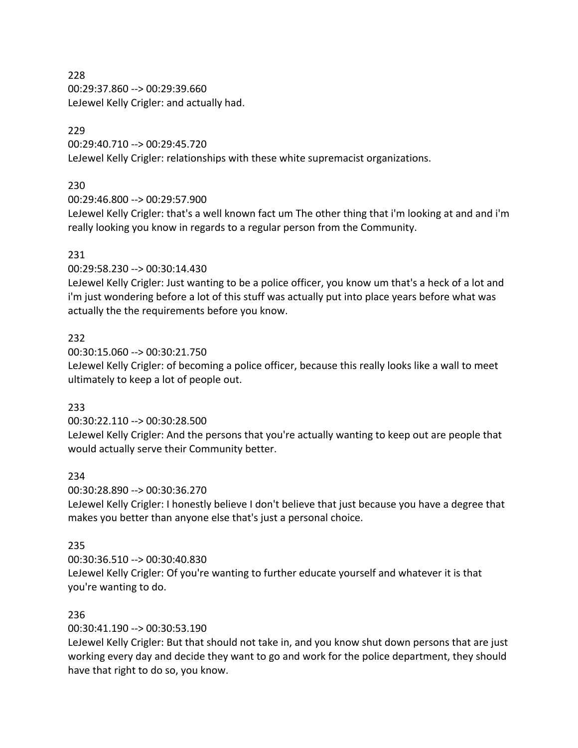228 00:29:37.860 --> 00:29:39.660 LeJewel Kelly Crigler: and actually had.

## 229

00:29:40.710 --> 00:29:45.720 LeJewel Kelly Crigler: relationships with these white supremacist organizations.

### 230

00:29:46.800 --> 00:29:57.900

LeJewel Kelly Crigler: that's a well known fact um The other thing that i'm looking at and and i'm really looking you know in regards to a regular person from the Community.

### 231

00:29:58.230 --> 00:30:14.430

LeJewel Kelly Crigler: Just wanting to be a police officer, you know um that's a heck of a lot and i'm just wondering before a lot of this stuff was actually put into place years before what was actually the the requirements before you know.

### 232

00:30:15.060 --> 00:30:21.750

LeJewel Kelly Crigler: of becoming a police officer, because this really looks like a wall to meet ultimately to keep a lot of people out.

#### 233

00:30:22.110 --> 00:30:28.500

LeJewel Kelly Crigler: And the persons that you're actually wanting to keep out are people that would actually serve their Community better.

#### 234

00:30:28.890 --> 00:30:36.270

LeJewel Kelly Crigler: I honestly believe I don't believe that just because you have a degree that makes you better than anyone else that's just a personal choice.

#### 235

00:30:36.510 --> 00:30:40.830

LeJewel Kelly Crigler: Of you're wanting to further educate yourself and whatever it is that you're wanting to do.

## 236

00:30:41.190 --> 00:30:53.190

LeJewel Kelly Crigler: But that should not take in, and you know shut down persons that are just working every day and decide they want to go and work for the police department, they should have that right to do so, you know.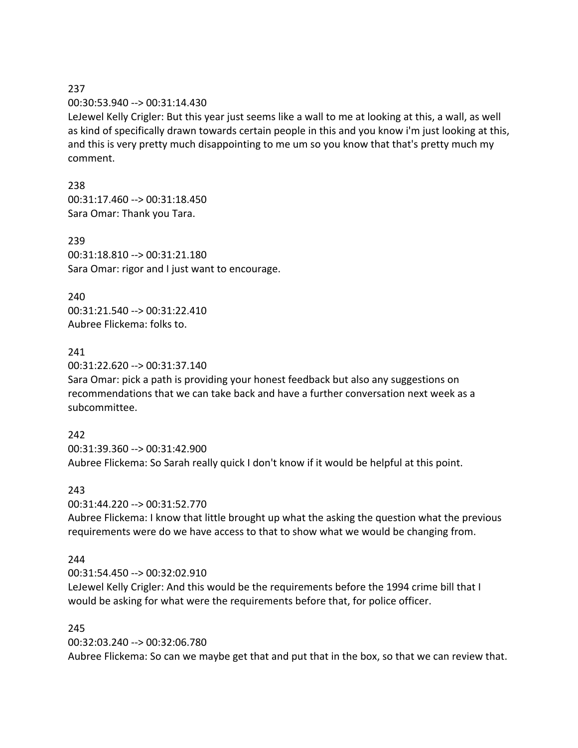00:30:53.940 --> 00:31:14.430

LeJewel Kelly Crigler: But this year just seems like a wall to me at looking at this, a wall, as well as kind of specifically drawn towards certain people in this and you know i'm just looking at this, and this is very pretty much disappointing to me um so you know that that's pretty much my comment.

238 00:31:17.460 --> 00:31:18.450 Sara Omar: Thank you Tara.

239 00:31:18.810 --> 00:31:21.180 Sara Omar: rigor and I just want to encourage.

240 00:31:21.540 --> 00:31:22.410 Aubree Flickema: folks to.

#### 241

00:31:22.620 --> 00:31:37.140

Sara Omar: pick a path is providing your honest feedback but also any suggestions on recommendations that we can take back and have a further conversation next week as a subcommittee.

#### 242

00:31:39.360 --> 00:31:42.900 Aubree Flickema: So Sarah really quick I don't know if it would be helpful at this point.

#### 243

00:31:44.220 --> 00:31:52.770

Aubree Flickema: I know that little brought up what the asking the question what the previous requirements were do we have access to that to show what we would be changing from.

#### 244

00:31:54.450 --> 00:32:02.910

LeJewel Kelly Crigler: And this would be the requirements before the 1994 crime bill that I would be asking for what were the requirements before that, for police officer.

#### 245

00:32:03.240 --> 00:32:06.780 Aubree Flickema: So can we maybe get that and put that in the box, so that we can review that.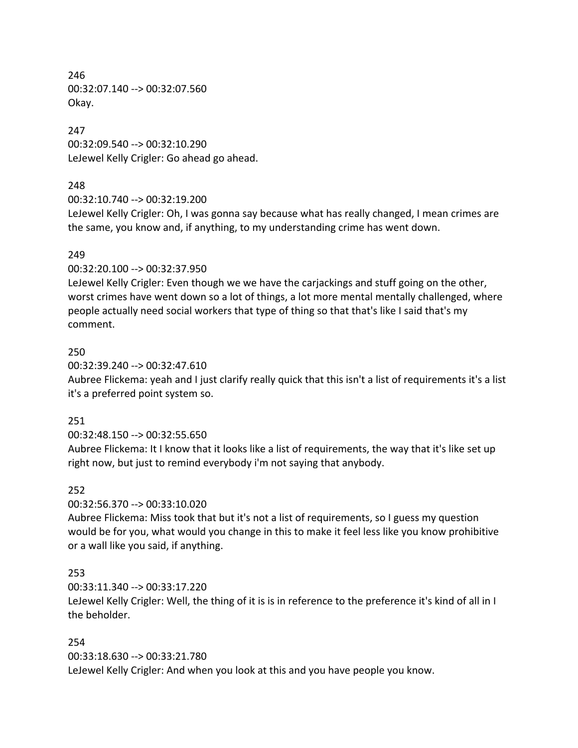246 00:32:07.140 --> 00:32:07.560 Okay.

#### 247

00:32:09.540 --> 00:32:10.290 LeJewel Kelly Crigler: Go ahead go ahead.

### 248

00:32:10.740 --> 00:32:19.200

LeJewel Kelly Crigler: Oh, I was gonna say because what has really changed, I mean crimes are the same, you know and, if anything, to my understanding crime has went down.

### 249

00:32:20.100 --> 00:32:37.950

LeJewel Kelly Crigler: Even though we we have the carjackings and stuff going on the other, worst crimes have went down so a lot of things, a lot more mental mentally challenged, where people actually need social workers that type of thing so that that's like I said that's my comment.

### 250

00:32:39.240 --> 00:32:47.610

Aubree Flickema: yeah and I just clarify really quick that this isn't a list of requirements it's a list it's a preferred point system so.

#### 251

#### 00:32:48.150 --> 00:32:55.650

Aubree Flickema: It I know that it looks like a list of requirements, the way that it's like set up right now, but just to remind everybody i'm not saying that anybody.

#### 252

00:32:56.370 --> 00:33:10.020

Aubree Flickema: Miss took that but it's not a list of requirements, so I guess my question would be for you, what would you change in this to make it feel less like you know prohibitive or a wall like you said, if anything.

## 253

00:33:11.340 --> 00:33:17.220

LeJewel Kelly Crigler: Well, the thing of it is is in reference to the preference it's kind of all in I the beholder.

## 254

00:33:18.630 --> 00:33:21.780 LeJewel Kelly Crigler: And when you look at this and you have people you know.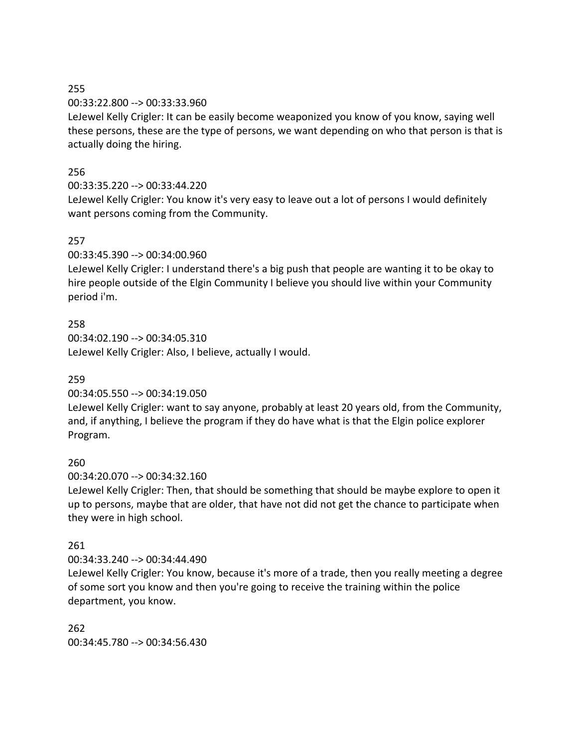#### 00:33:22.800 --> 00:33:33.960

LeJewel Kelly Crigler: It can be easily become weaponized you know of you know, saying well these persons, these are the type of persons, we want depending on who that person is that is actually doing the hiring.

## 256

## 00:33:35.220 --> 00:33:44.220

LeJewel Kelly Crigler: You know it's very easy to leave out a lot of persons I would definitely want persons coming from the Community.

### 257

00:33:45.390 --> 00:34:00.960

LeJewel Kelly Crigler: I understand there's a big push that people are wanting it to be okay to hire people outside of the Elgin Community I believe you should live within your Community period i'm.

## 258

00:34:02.190 --> 00:34:05.310 LeJewel Kelly Crigler: Also, I believe, actually I would.

## 259

00:34:05.550 --> 00:34:19.050

LeJewel Kelly Crigler: want to say anyone, probably at least 20 years old, from the Community, and, if anything, I believe the program if they do have what is that the Elgin police explorer Program.

## 260

00:34:20.070 --> 00:34:32.160

LeJewel Kelly Crigler: Then, that should be something that should be maybe explore to open it up to persons, maybe that are older, that have not did not get the chance to participate when they were in high school.

## 261

00:34:33.240 --> 00:34:44.490

LeJewel Kelly Crigler: You know, because it's more of a trade, then you really meeting a degree of some sort you know and then you're going to receive the training within the police department, you know.

262 00:34:45.780 --> 00:34:56.430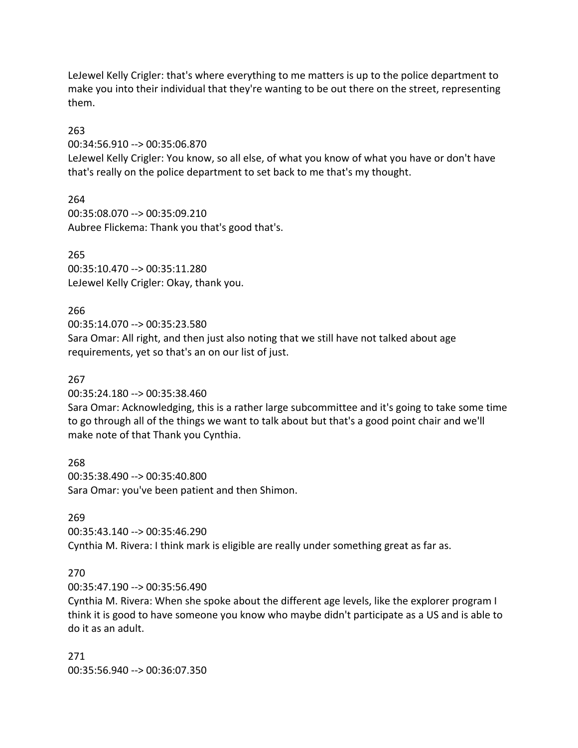LeJewel Kelly Crigler: that's where everything to me matters is up to the police department to make you into their individual that they're wanting to be out there on the street, representing them.

#### 263

00:34:56.910 --> 00:35:06.870

LeJewel Kelly Crigler: You know, so all else, of what you know of what you have or don't have that's really on the police department to set back to me that's my thought.

264 00:35:08.070 --> 00:35:09.210 Aubree Flickema: Thank you that's good that's.

265 00:35:10.470 --> 00:35:11.280 LeJewel Kelly Crigler: Okay, thank you.

#### 266

00:35:14.070 --> 00:35:23.580 Sara Omar: All right, and then just also noting that we still have not talked about age requirements, yet so that's an on our list of just.

#### 267

00:35:24.180 --> 00:35:38.460

Sara Omar: Acknowledging, this is a rather large subcommittee and it's going to take some time to go through all of the things we want to talk about but that's a good point chair and we'll make note of that Thank you Cynthia.

268 00:35:38.490 --> 00:35:40.800 Sara Omar: you've been patient and then Shimon.

#### 269

00:35:43.140 --> 00:35:46.290 Cynthia M. Rivera: I think mark is eligible are really under something great as far as.

#### 270

00:35:47.190 --> 00:35:56.490

Cynthia M. Rivera: When she spoke about the different age levels, like the explorer program I think it is good to have someone you know who maybe didn't participate as a US and is able to do it as an adult.

271 00:35:56.940 --> 00:36:07.350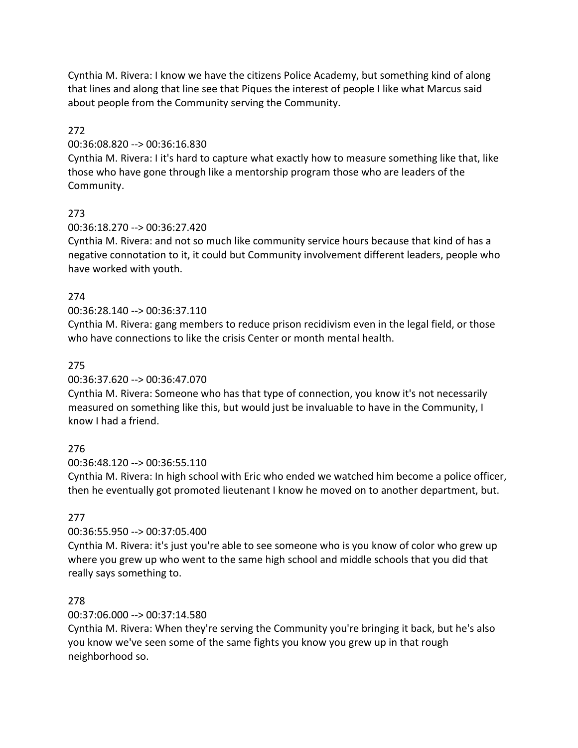Cynthia M. Rivera: I know we have the citizens Police Academy, but something kind of along that lines and along that line see that Piques the interest of people I like what Marcus said about people from the Community serving the Community.

## 272

## 00:36:08.820 --> 00:36:16.830

Cynthia M. Rivera: I it's hard to capture what exactly how to measure something like that, like those who have gone through like a mentorship program those who are leaders of the Community.

## 273

## 00:36:18.270 --> 00:36:27.420

Cynthia M. Rivera: and not so much like community service hours because that kind of has a negative connotation to it, it could but Community involvement different leaders, people who have worked with youth.

## 274

## 00:36:28.140 --> 00:36:37.110

Cynthia M. Rivera: gang members to reduce prison recidivism even in the legal field, or those who have connections to like the crisis Center or month mental health.

## 275

## 00:36:37.620 --> 00:36:47.070

Cynthia M. Rivera: Someone who has that type of connection, you know it's not necessarily measured on something like this, but would just be invaluable to have in the Community, I know I had a friend.

# 276

## 00:36:48.120 --> 00:36:55.110

Cynthia M. Rivera: In high school with Eric who ended we watched him become a police officer, then he eventually got promoted lieutenant I know he moved on to another department, but.

# 277

# 00:36:55.950 --> 00:37:05.400

Cynthia M. Rivera: it's just you're able to see someone who is you know of color who grew up where you grew up who went to the same high school and middle schools that you did that really says something to.

## 278

# 00:37:06.000 --> 00:37:14.580

Cynthia M. Rivera: When they're serving the Community you're bringing it back, but he's also you know we've seen some of the same fights you know you grew up in that rough neighborhood so.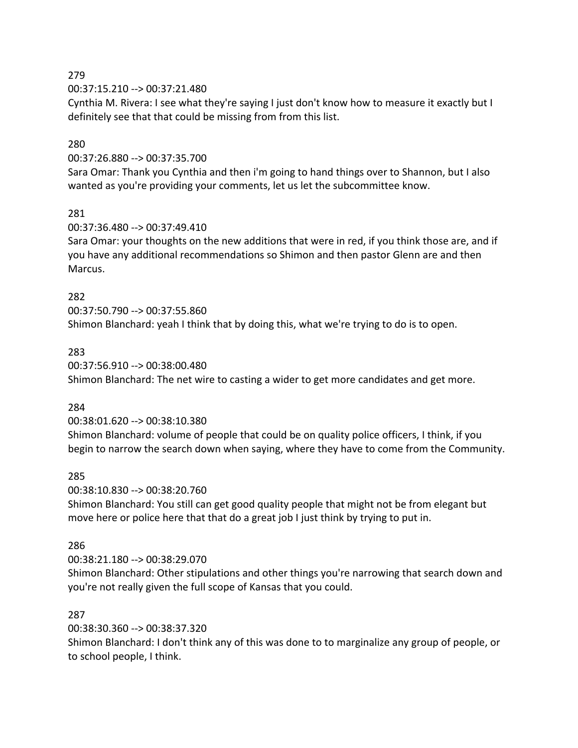00:37:15.210 --> 00:37:21.480

Cynthia M. Rivera: I see what they're saying I just don't know how to measure it exactly but I definitely see that that could be missing from from this list.

## 280

00:37:26.880 --> 00:37:35.700

Sara Omar: Thank you Cynthia and then i'm going to hand things over to Shannon, but I also wanted as you're providing your comments, let us let the subcommittee know.

## 281

00:37:36.480 --> 00:37:49.410

Sara Omar: your thoughts on the new additions that were in red, if you think those are, and if you have any additional recommendations so Shimon and then pastor Glenn are and then Marcus.

## 282

00:37:50.790 --> 00:37:55.860 Shimon Blanchard: yeah I think that by doing this, what we're trying to do is to open.

## 283

00:37:56.910 --> 00:38:00.480 Shimon Blanchard: The net wire to casting a wider to get more candidates and get more.

## 284

00:38:01.620 --> 00:38:10.380

Shimon Blanchard: volume of people that could be on quality police officers, I think, if you begin to narrow the search down when saying, where they have to come from the Community.

## 285

00:38:10.830 --> 00:38:20.760

Shimon Blanchard: You still can get good quality people that might not be from elegant but move here or police here that that do a great job I just think by trying to put in.

## 286

## 00:38:21.180 --> 00:38:29.070

Shimon Blanchard: Other stipulations and other things you're narrowing that search down and you're not really given the full scope of Kansas that you could.

## 287

00:38:30.360 --> 00:38:37.320

Shimon Blanchard: I don't think any of this was done to to marginalize any group of people, or to school people, I think.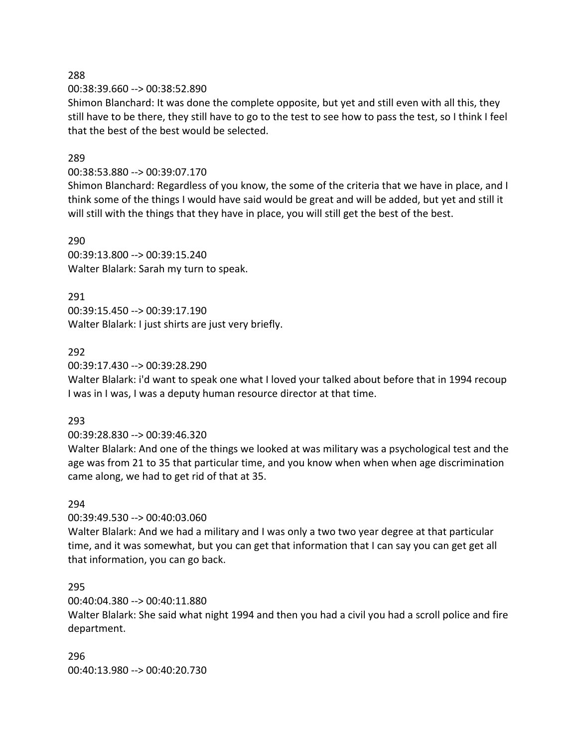00:38:39.660 --> 00:38:52.890

Shimon Blanchard: It was done the complete opposite, but yet and still even with all this, they still have to be there, they still have to go to the test to see how to pass the test, so I think I feel that the best of the best would be selected.

#### 289

#### 00:38:53.880 --> 00:39:07.170

Shimon Blanchard: Regardless of you know, the some of the criteria that we have in place, and I think some of the things I would have said would be great and will be added, but yet and still it will still with the things that they have in place, you will still get the best of the best.

290

00:39:13.800 --> 00:39:15.240 Walter Blalark: Sarah my turn to speak.

291

00:39:15.450 --> 00:39:17.190 Walter Blalark: I just shirts are just very briefly.

292

00:39:17.430 --> 00:39:28.290

Walter Blalark: i'd want to speak one what I loved your talked about before that in 1994 recoup I was in I was, I was a deputy human resource director at that time.

293

00:39:28.830 --> 00:39:46.320

Walter Blalark: And one of the things we looked at was military was a psychological test and the age was from 21 to 35 that particular time, and you know when when when age discrimination came along, we had to get rid of that at 35.

#### 294

00:39:49.530 --> 00:40:03.060

Walter Blalark: And we had a military and I was only a two two year degree at that particular time, and it was somewhat, but you can get that information that I can say you can get get all that information, you can go back.

#### 295

00:40:04.380 --> 00:40:11.880

Walter Blalark: She said what night 1994 and then you had a civil you had a scroll police and fire department.

296 00:40:13.980 --> 00:40:20.730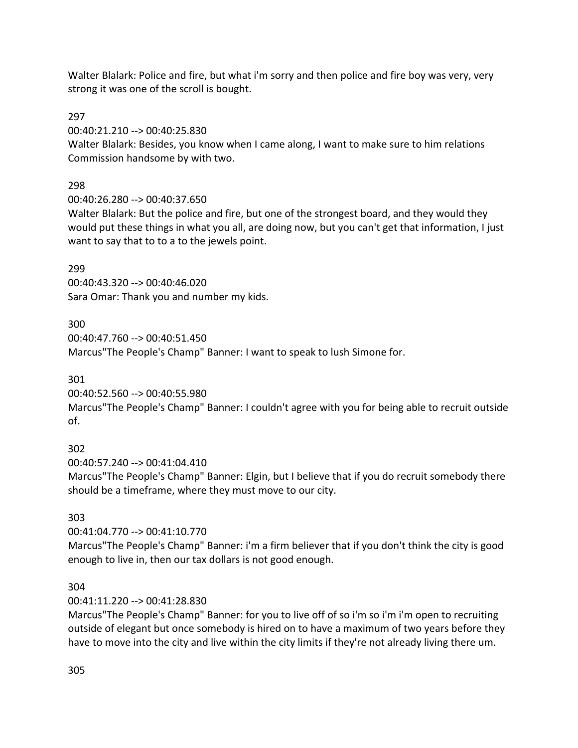Walter Blalark: Police and fire, but what i'm sorry and then police and fire boy was very, very strong it was one of the scroll is bought.

297

00:40:21.210 --> 00:40:25.830

Walter Blalark: Besides, you know when I came along, I want to make sure to him relations Commission handsome by with two.

# 298

00:40:26.280 --> 00:40:37.650

Walter Blalark: But the police and fire, but one of the strongest board, and they would they would put these things in what you all, are doing now, but you can't get that information, I just want to say that to to a to the jewels point.

# 299

00:40:43.320 --> 00:40:46.020 Sara Omar: Thank you and number my kids.

300

00:40:47.760 --> 00:40:51.450

Marcus"The People's Champ" Banner: I want to speak to lush Simone for.

301

00:40:52.560 --> 00:40:55.980

Marcus"The People's Champ" Banner: I couldn't agree with you for being able to recruit outside of.

# 302

00:40:57.240 --> 00:41:04.410

Marcus"The People's Champ" Banner: Elgin, but I believe that if you do recruit somebody there should be a timeframe, where they must move to our city.

# 303

00:41:04.770 --> 00:41:10.770

Marcus"The People's Champ" Banner: i'm a firm believer that if you don't think the city is good enough to live in, then our tax dollars is not good enough.

# 304

00:41:11.220 --> 00:41:28.830

Marcus"The People's Champ" Banner: for you to live off of so i'm so i'm i'm open to recruiting outside of elegant but once somebody is hired on to have a maximum of two years before they have to move into the city and live within the city limits if they're not already living there um.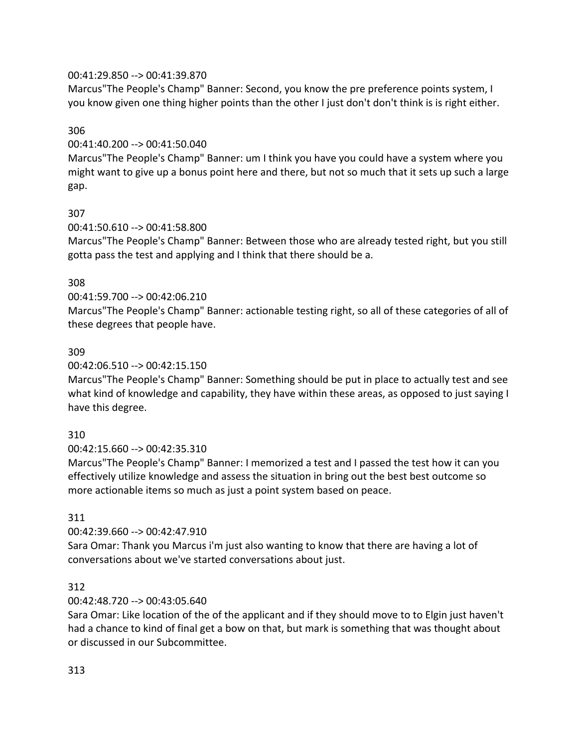## 00:41:29.850 --> 00:41:39.870

Marcus"The People's Champ" Banner: Second, you know the pre preference points system, I you know given one thing higher points than the other I just don't don't think is is right either.

## 306

## 00:41:40.200 --> 00:41:50.040

Marcus"The People's Champ" Banner: um I think you have you could have a system where you might want to give up a bonus point here and there, but not so much that it sets up such a large gap.

## 307

## 00:41:50.610 --> 00:41:58.800

Marcus"The People's Champ" Banner: Between those who are already tested right, but you still gotta pass the test and applying and I think that there should be a.

## 308

## 00:41:59.700 --> 00:42:06.210

Marcus"The People's Champ" Banner: actionable testing right, so all of these categories of all of these degrees that people have.

## 309

## 00:42:06.510 --> 00:42:15.150

Marcus"The People's Champ" Banner: Something should be put in place to actually test and see what kind of knowledge and capability, they have within these areas, as opposed to just saying I have this degree.

## 310

## 00:42:15.660 --> 00:42:35.310

Marcus"The People's Champ" Banner: I memorized a test and I passed the test how it can you effectively utilize knowledge and assess the situation in bring out the best best outcome so more actionable items so much as just a point system based on peace.

## 311

# 00:42:39.660 --> 00:42:47.910

Sara Omar: Thank you Marcus i'm just also wanting to know that there are having a lot of conversations about we've started conversations about just.

# 312

# 00:42:48.720 --> 00:43:05.640

Sara Omar: Like location of the of the applicant and if they should move to to Elgin just haven't had a chance to kind of final get a bow on that, but mark is something that was thought about or discussed in our Subcommittee.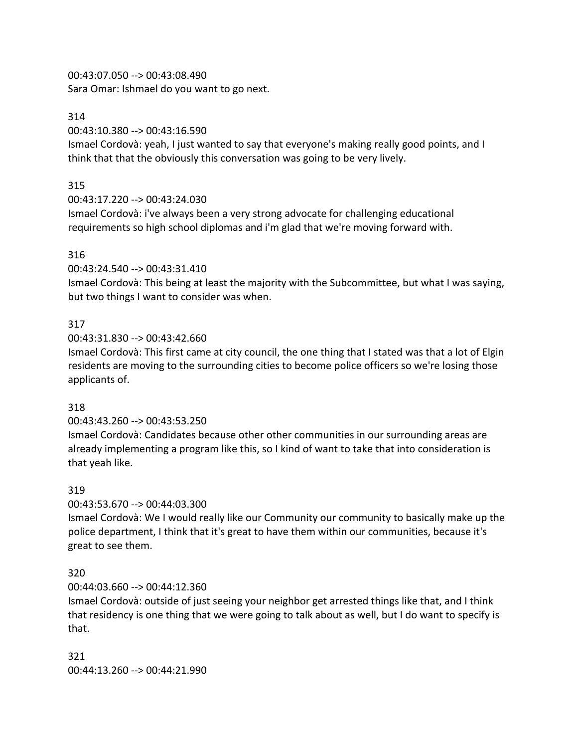00:43:07.050 --> 00:43:08.490

Sara Omar: Ishmael do you want to go next.

## 314

00:43:10.380 --> 00:43:16.590

Ismael Cordovà: yeah, I just wanted to say that everyone's making really good points, and I think that that the obviously this conversation was going to be very lively.

# 315

00:43:17.220 --> 00:43:24.030

Ismael Cordovà: i've always been a very strong advocate for challenging educational requirements so high school diplomas and i'm glad that we're moving forward with.

# 316

00:43:24.540 --> 00:43:31.410

Ismael Cordovà: This being at least the majority with the Subcommittee, but what I was saying, but two things I want to consider was when.

# 317

00:43:31.830 --> 00:43:42.660

Ismael Cordovà: This first came at city council, the one thing that I stated was that a lot of Elgin residents are moving to the surrounding cities to become police officers so we're losing those applicants of.

# 318

00:43:43.260 --> 00:43:53.250

Ismael Cordovà: Candidates because other other communities in our surrounding areas are already implementing a program like this, so I kind of want to take that into consideration is that yeah like.

# 319

00:43:53.670 --> 00:44:03.300

Ismael Cordovà: We I would really like our Community our community to basically make up the police department, I think that it's great to have them within our communities, because it's great to see them.

# 320

00:44:03.660 --> 00:44:12.360

Ismael Cordovà: outside of just seeing your neighbor get arrested things like that, and I think that residency is one thing that we were going to talk about as well, but I do want to specify is that.

321 00:44:13.260 --> 00:44:21.990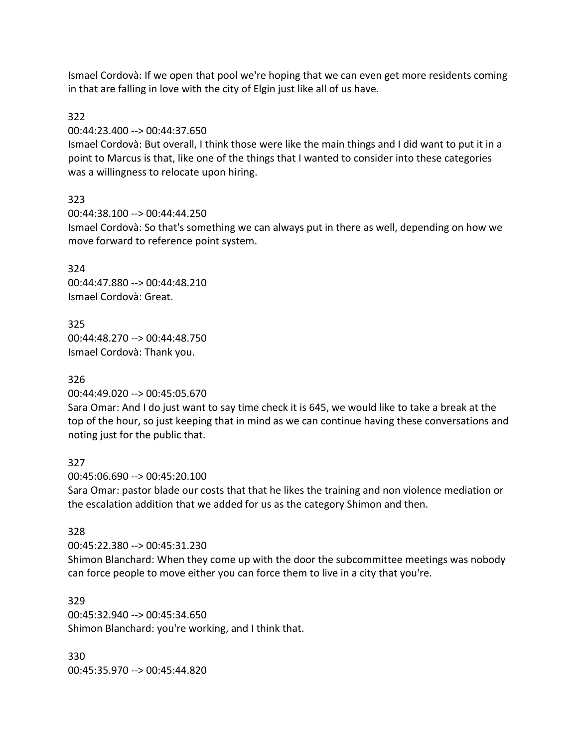Ismael Cordovà: If we open that pool we're hoping that we can even get more residents coming in that are falling in love with the city of Elgin just like all of us have.

## 322

00:44:23.400 --> 00:44:37.650

Ismael Cordovà: But overall, I think those were like the main things and I did want to put it in a point to Marcus is that, like one of the things that I wanted to consider into these categories was a willingness to relocate upon hiring.

## 323

00:44:38.100 --> 00:44:44.250

Ismael Cordovà: So that's something we can always put in there as well, depending on how we move forward to reference point system.

324 00:44:47.880 --> 00:44:48.210 Ismael Cordovà: Great.

325 00:44:48.270 --> 00:44:48.750 Ismael Cordovà: Thank you.

## 326

00:44:49.020 --> 00:45:05.670

Sara Omar: And I do just want to say time check it is 645, we would like to take a break at the top of the hour, so just keeping that in mind as we can continue having these conversations and noting just for the public that.

## 327

00:45:06.690 --> 00:45:20.100

Sara Omar: pastor blade our costs that that he likes the training and non violence mediation or the escalation addition that we added for us as the category Shimon and then.

## 328

00:45:22.380 --> 00:45:31.230

Shimon Blanchard: When they come up with the door the subcommittee meetings was nobody can force people to move either you can force them to live in a city that you're.

329 00:45:32.940 --> 00:45:34.650 Shimon Blanchard: you're working, and I think that.

330 00:45:35.970 --> 00:45:44.820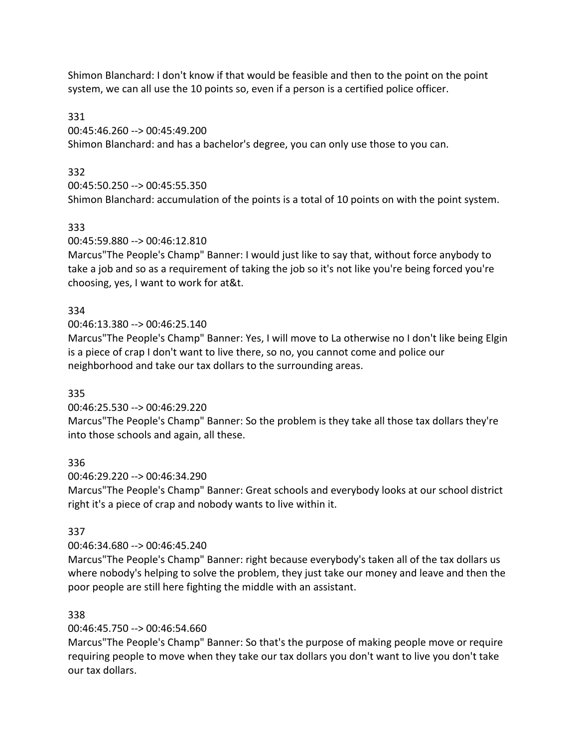Shimon Blanchard: I don't know if that would be feasible and then to the point on the point system, we can all use the 10 points so, even if a person is a certified police officer.

331

## 00:45:46.260 --> 00:45:49.200

Shimon Blanchard: and has a bachelor's degree, you can only use those to you can.

## 332

00:45:50.250 --> 00:45:55.350

Shimon Blanchard: accumulation of the points is a total of 10 points on with the point system.

## 333

## 00:45:59.880 --> 00:46:12.810

Marcus"The People's Champ" Banner: I would just like to say that, without force anybody to take a job and so as a requirement of taking the job so it's not like you're being forced you're choosing, yes, I want to work for at&t.

## 334

00:46:13.380 --> 00:46:25.140

Marcus"The People's Champ" Banner: Yes, I will move to La otherwise no I don't like being Elgin is a piece of crap I don't want to live there, so no, you cannot come and police our neighborhood and take our tax dollars to the surrounding areas.

# 335

00:46:25.530 --> 00:46:29.220

Marcus"The People's Champ" Banner: So the problem is they take all those tax dollars they're into those schools and again, all these.

# 336

00:46:29.220 --> 00:46:34.290

Marcus"The People's Champ" Banner: Great schools and everybody looks at our school district right it's a piece of crap and nobody wants to live within it.

# 337

# 00:46:34.680 --> 00:46:45.240

Marcus"The People's Champ" Banner: right because everybody's taken all of the tax dollars us where nobody's helping to solve the problem, they just take our money and leave and then the poor people are still here fighting the middle with an assistant.

# 338

00:46:45.750 --> 00:46:54.660

Marcus"The People's Champ" Banner: So that's the purpose of making people move or require requiring people to move when they take our tax dollars you don't want to live you don't take our tax dollars.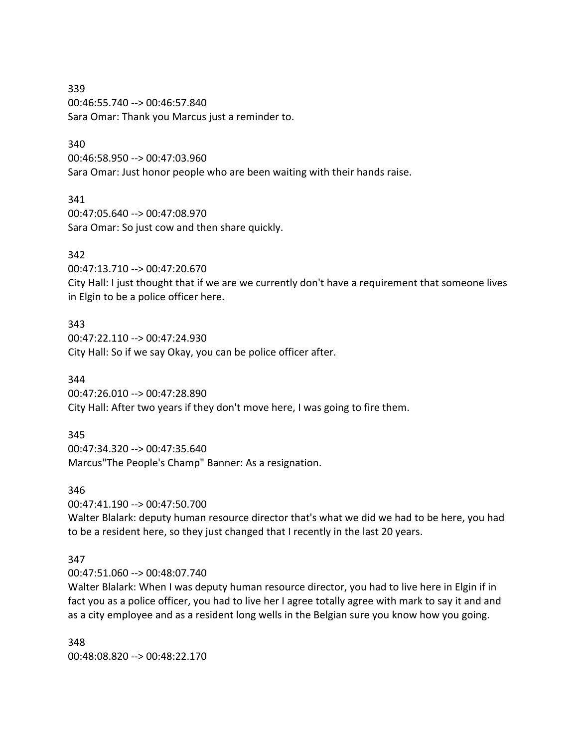339 00:46:55.740 --> 00:46:57.840 Sara Omar: Thank you Marcus just a reminder to.

#### 340

00:46:58.950 --> 00:47:03.960 Sara Omar: Just honor people who are been waiting with their hands raise.

#### 341

00:47:05.640 --> 00:47:08.970 Sara Omar: So just cow and then share quickly.

### 342

00:47:13.710 --> 00:47:20.670

City Hall: I just thought that if we are we currently don't have a requirement that someone lives in Elgin to be a police officer here.

#### 343

00:47:22.110 --> 00:47:24.930 City Hall: So if we say Okay, you can be police officer after.

#### 344

00:47:26.010 --> 00:47:28.890 City Hall: After two years if they don't move here, I was going to fire them.

### 345

00:47:34.320 --> 00:47:35.640 Marcus"The People's Champ" Banner: As a resignation.

#### 346

00:47:41.190 --> 00:47:50.700

Walter Blalark: deputy human resource director that's what we did we had to be here, you had to be a resident here, so they just changed that I recently in the last 20 years.

### 347

00:47:51.060 --> 00:48:07.740

Walter Blalark: When I was deputy human resource director, you had to live here in Elgin if in fact you as a police officer, you had to live her I agree totally agree with mark to say it and and as a city employee and as a resident long wells in the Belgian sure you know how you going.

348 00:48:08.820 --> 00:48:22.170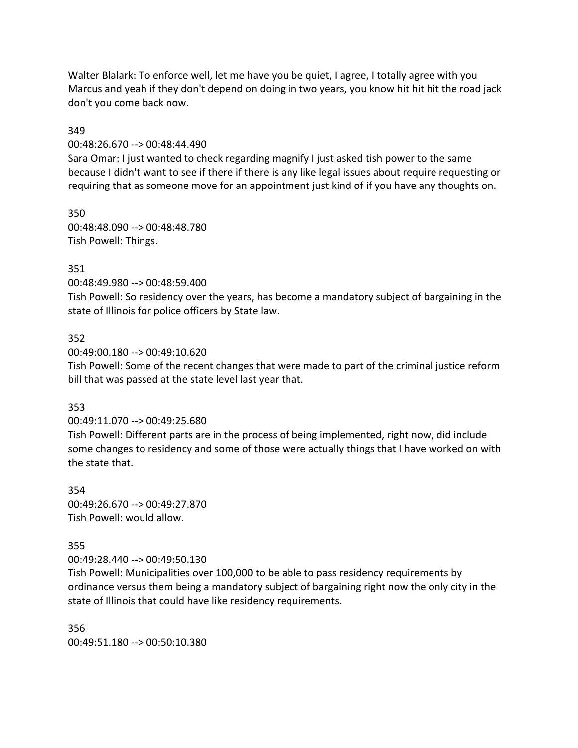Walter Blalark: To enforce well, let me have you be quiet, I agree, I totally agree with you Marcus and yeah if they don't depend on doing in two years, you know hit hit hit the road jack don't you come back now.

### 349

00:48:26.670 --> 00:48:44.490

Sara Omar: I just wanted to check regarding magnify I just asked tish power to the same because I didn't want to see if there if there is any like legal issues about require requesting or requiring that as someone move for an appointment just kind of if you have any thoughts on.

350 00:48:48.090 --> 00:48:48.780 Tish Powell: Things.

### 351

00:48:49.980 --> 00:48:59.400

Tish Powell: So residency over the years, has become a mandatory subject of bargaining in the state of Illinois for police officers by State law.

## 352

00:49:00.180 --> 00:49:10.620

Tish Powell: Some of the recent changes that were made to part of the criminal justice reform bill that was passed at the state level last year that.

### 353

00:49:11.070 --> 00:49:25.680

Tish Powell: Different parts are in the process of being implemented, right now, did include some changes to residency and some of those were actually things that I have worked on with the state that.

354 00:49:26.670 --> 00:49:27.870 Tish Powell: would allow.

### 355

00:49:28.440 --> 00:49:50.130

Tish Powell: Municipalities over 100,000 to be able to pass residency requirements by ordinance versus them being a mandatory subject of bargaining right now the only city in the state of Illinois that could have like residency requirements.

356 00:49:51.180 --> 00:50:10.380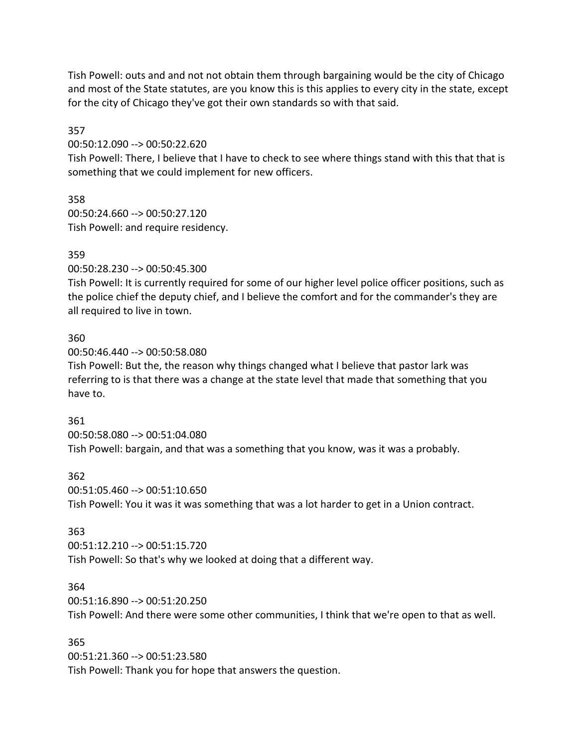Tish Powell: outs and and not not obtain them through bargaining would be the city of Chicago and most of the State statutes, are you know this is this applies to every city in the state, except for the city of Chicago they've got their own standards so with that said.

357

00:50:12.090 --> 00:50:22.620

Tish Powell: There, I believe that I have to check to see where things stand with this that that is something that we could implement for new officers.

358 00:50:24.660 --> 00:50:27.120

Tish Powell: and require residency.

### 359

00:50:28.230 --> 00:50:45.300

Tish Powell: It is currently required for some of our higher level police officer positions, such as the police chief the deputy chief, and I believe the comfort and for the commander's they are all required to live in town.

### 360

00:50:46.440 --> 00:50:58.080

Tish Powell: But the, the reason why things changed what I believe that pastor lark was referring to is that there was a change at the state level that made that something that you have to.

#### 361

00:50:58.080 --> 00:51:04.080 Tish Powell: bargain, and that was a something that you know, was it was a probably.

#### 362

00:51:05.460 --> 00:51:10.650 Tish Powell: You it was it was something that was a lot harder to get in a Union contract.

#### 363

00:51:12.210 --> 00:51:15.720 Tish Powell: So that's why we looked at doing that a different way.

#### 364

00:51:16.890 --> 00:51:20.250

Tish Powell: And there were some other communities, I think that we're open to that as well.

#### 365

00:51:21.360 --> 00:51:23.580 Tish Powell: Thank you for hope that answers the question.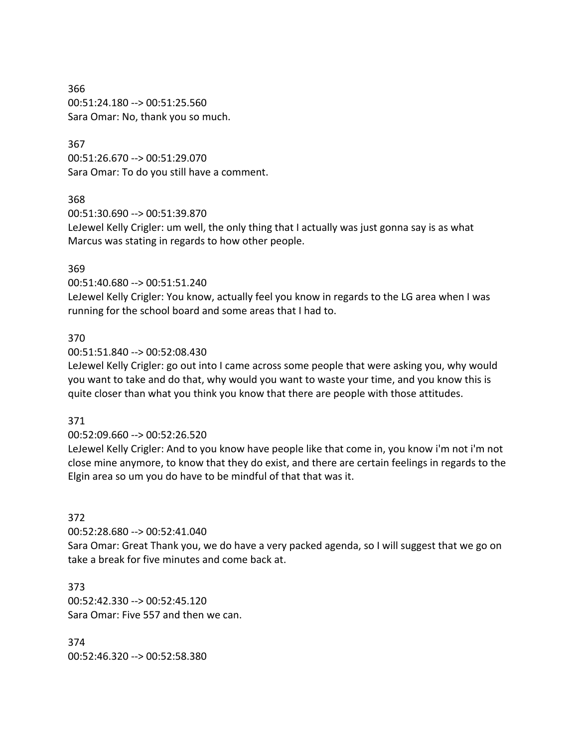366 00:51:24.180 --> 00:51:25.560 Sara Omar: No, thank you so much.

367 00:51:26.670 --> 00:51:29.070 Sara Omar: To do you still have a comment.

### 368

00:51:30.690 --> 00:51:39.870

LeJewel Kelly Crigler: um well, the only thing that I actually was just gonna say is as what Marcus was stating in regards to how other people.

### 369

00:51:40.680 --> 00:51:51.240

LeJewel Kelly Crigler: You know, actually feel you know in regards to the LG area when I was running for the school board and some areas that I had to.

### 370

00:51:51.840 --> 00:52:08.430

LeJewel Kelly Crigler: go out into I came across some people that were asking you, why would you want to take and do that, why would you want to waste your time, and you know this is quite closer than what you think you know that there are people with those attitudes.

#### 371

#### 00:52:09.660 --> 00:52:26.520

LeJewel Kelly Crigler: And to you know have people like that come in, you know i'm not i'm not close mine anymore, to know that they do exist, and there are certain feelings in regards to the Elgin area so um you do have to be mindful of that that was it.

#### 372

00:52:28.680 --> 00:52:41.040

Sara Omar: Great Thank you, we do have a very packed agenda, so I will suggest that we go on take a break for five minutes and come back at.

373 00:52:42.330 --> 00:52:45.120 Sara Omar: Five 557 and then we can.

374 00:52:46.320 --> 00:52:58.380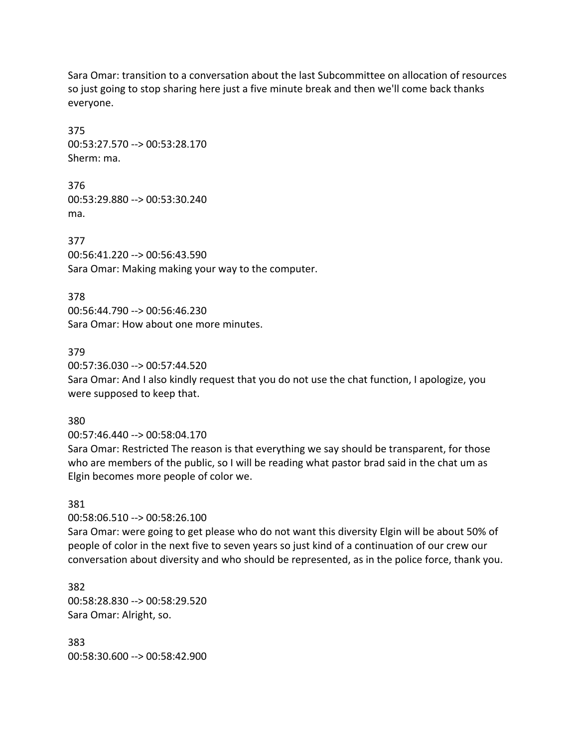Sara Omar: transition to a conversation about the last Subcommittee on allocation of resources so just going to stop sharing here just a five minute break and then we'll come back thanks everyone.

375 00:53:27.570 --> 00:53:28.170 Sherm: ma.

376 00:53:29.880 --> 00:53:30.240 ma.

377 00:56:41.220 --> 00:56:43.590 Sara Omar: Making making your way to the computer.

378 00:56:44.790 --> 00:56:46.230 Sara Omar: How about one more minutes.

379

00:57:36.030 --> 00:57:44.520

Sara Omar: And I also kindly request that you do not use the chat function, I apologize, you were supposed to keep that.

380

00:57:46.440 --> 00:58:04.170

Sara Omar: Restricted The reason is that everything we say should be transparent, for those who are members of the public, so I will be reading what pastor brad said in the chat um as Elgin becomes more people of color we.

#### 381

00:58:06.510 --> 00:58:26.100

Sara Omar: were going to get please who do not want this diversity Elgin will be about 50% of people of color in the next five to seven years so just kind of a continuation of our crew our conversation about diversity and who should be represented, as in the police force, thank you.

382 00:58:28.830 --> 00:58:29.520 Sara Omar: Alright, so.

383 00:58:30.600 --> 00:58:42.900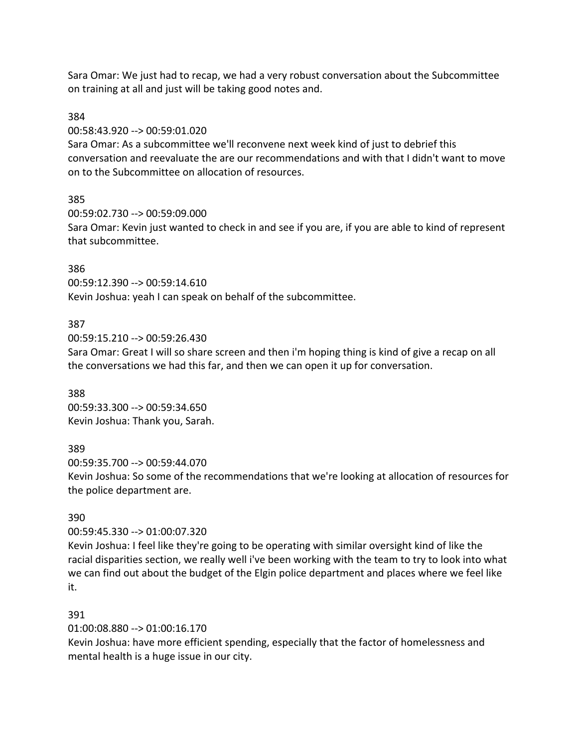Sara Omar: We just had to recap, we had a very robust conversation about the Subcommittee on training at all and just will be taking good notes and.

### 384

00:58:43.920 --> 00:59:01.020

Sara Omar: As a subcommittee we'll reconvene next week kind of just to debrief this conversation and reevaluate the are our recommendations and with that I didn't want to move on to the Subcommittee on allocation of resources.

## 385

00:59:02.730 --> 00:59:09.000 Sara Omar: Kevin just wanted to check in and see if you are, if you are able to kind of represent that subcommittee.

### 386

00:59:12.390 --> 00:59:14.610 Kevin Joshua: yeah I can speak on behalf of the subcommittee.

## 387

00:59:15.210 --> 00:59:26.430

Sara Omar: Great I will so share screen and then i'm hoping thing is kind of give a recap on all the conversations we had this far, and then we can open it up for conversation.

388 00:59:33.300 --> 00:59:34.650 Kevin Joshua: Thank you, Sarah.

### 389

00:59:35.700 --> 00:59:44.070

Kevin Joshua: So some of the recommendations that we're looking at allocation of resources for the police department are.

### 390

00:59:45.330 --> 01:00:07.320

Kevin Joshua: I feel like they're going to be operating with similar oversight kind of like the racial disparities section, we really well i've been working with the team to try to look into what we can find out about the budget of the Elgin police department and places where we feel like it.

### 391

01:00:08.880 --> 01:00:16.170

Kevin Joshua: have more efficient spending, especially that the factor of homelessness and mental health is a huge issue in our city.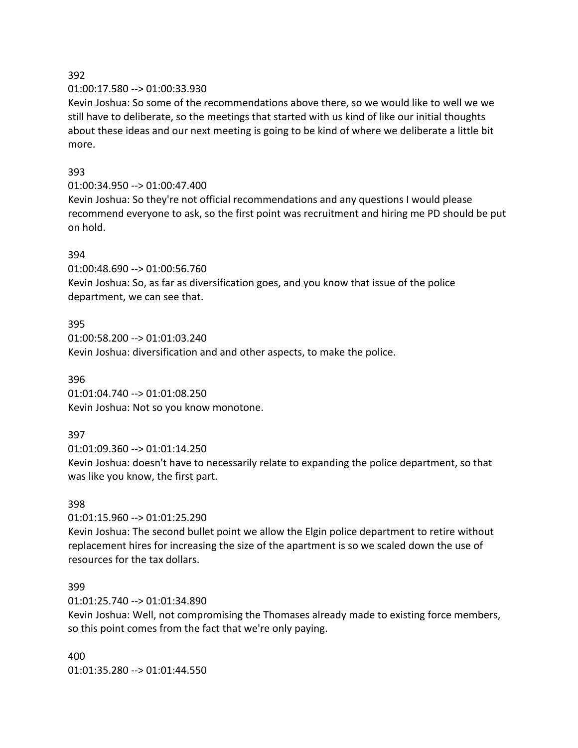#### 392

#### 01:00:17.580 --> 01:00:33.930

Kevin Joshua: So some of the recommendations above there, so we would like to well we we still have to deliberate, so the meetings that started with us kind of like our initial thoughts about these ideas and our next meeting is going to be kind of where we deliberate a little bit more.

#### 393

01:00:34.950 --> 01:00:47.400 Kevin Joshua: So they're not official recommendations and any questions I would please recommend everyone to ask, so the first point was recruitment and hiring me PD should be put on hold.

#### 394

01:00:48.690 --> 01:00:56.760 Kevin Joshua: So, as far as diversification goes, and you know that issue of the police department, we can see that.

#### 395

01:00:58.200 --> 01:01:03.240 Kevin Joshua: diversification and and other aspects, to make the police.

#### 396

01:01:04.740 --> 01:01:08.250 Kevin Joshua: Not so you know monotone.

#### 397

01:01:09.360 --> 01:01:14.250 Kevin Joshua: doesn't have to necessarily relate to expanding the police department, so that was like you know, the first part.

#### 398

01:01:15.960 --> 01:01:25.290 Kevin Joshua: The second bullet point we allow the Elgin police department to retire without replacement hires for increasing the size of the apartment is so we scaled down the use of resources for the tax dollars.

#### 399

01:01:25.740 --> 01:01:34.890

Kevin Joshua: Well, not compromising the Thomases already made to existing force members, so this point comes from the fact that we're only paying.

400 01:01:35.280 --> 01:01:44.550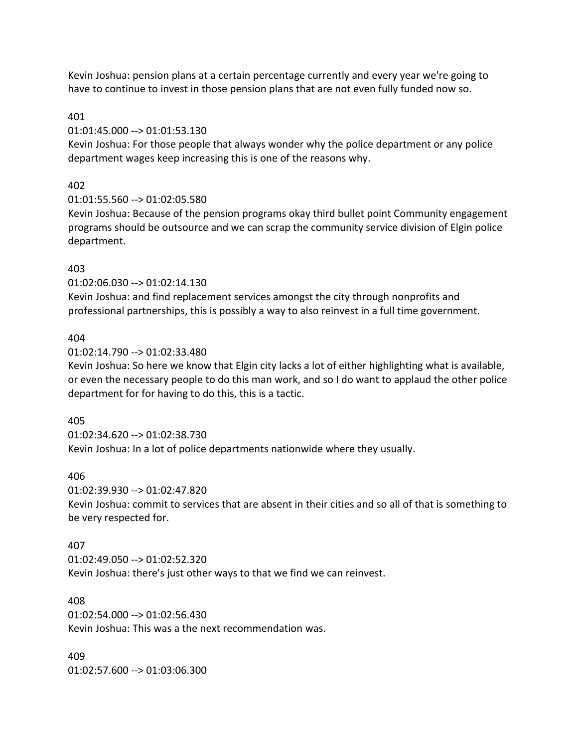Kevin Joshua: pension plans at a certain percentage currently and every year we're going to have to continue to invest in those pension plans that are not even fully funded now so.

#### 401

01:01:45.000 --> 01:01:53.130

Kevin Joshua: For those people that always wonder why the police department or any police department wages keep increasing this is one of the reasons why.

### 402

01:01:55.560 --> 01:02:05.580

Kevin Joshua: Because of the pension programs okay third bullet point Community engagement programs should be outsource and we can scrap the community service division of Elgin police department.

### 403

01:02:06.030 --> 01:02:14.130

Kevin Joshua: and find replacement services amongst the city through nonprofits and professional partnerships, this is possibly a way to also reinvest in a full time government.

#### 404

01:02:14.790 --> 01:02:33.480

Kevin Joshua: So here we know that Elgin city lacks a lot of either highlighting what is available, or even the necessary people to do this man work, and so I do want to applaud the other police department for for having to do this, this is a tactic.

#### 405

01:02:34.620 --> 01:02:38.730

Kevin Joshua: In a lot of police departments nationwide where they usually.

#### 406

01:02:39.930 --> 01:02:47.820

Kevin Joshua: commit to services that are absent in their cities and so all of that is something to be very respected for.

#### 407

01:02:49.050 --> 01:02:52.320 Kevin Joshua: there's just other ways to that we find we can reinvest.

#### 408

01:02:54.000 --> 01:02:56.430 Kevin Joshua: This was a the next recommendation was.

409 01:02:57.600 --> 01:03:06.300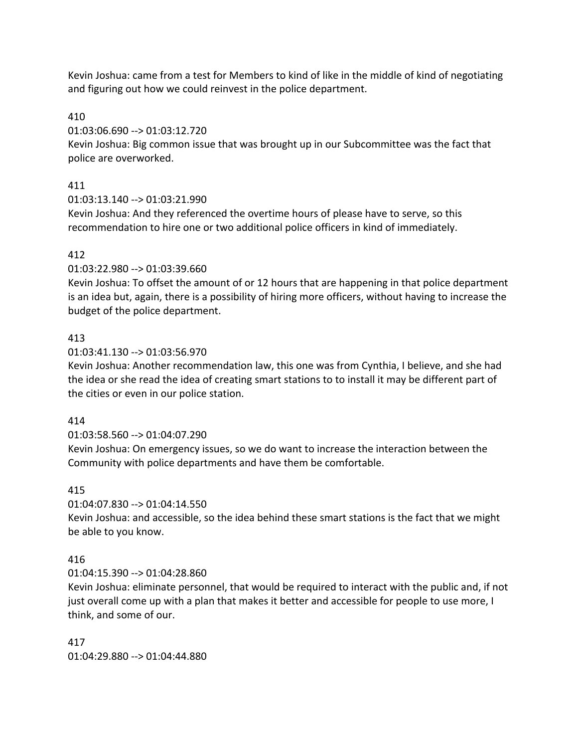Kevin Joshua: came from a test for Members to kind of like in the middle of kind of negotiating and figuring out how we could reinvest in the police department.

410

01:03:06.690 --> 01:03:12.720

Kevin Joshua: Big common issue that was brought up in our Subcommittee was the fact that police are overworked.

411

01:03:13.140 --> 01:03:21.990

Kevin Joshua: And they referenced the overtime hours of please have to serve, so this recommendation to hire one or two additional police officers in kind of immediately.

### 412

01:03:22.980 --> 01:03:39.660

Kevin Joshua: To offset the amount of or 12 hours that are happening in that police department is an idea but, again, there is a possibility of hiring more officers, without having to increase the budget of the police department.

### 413

01:03:41.130 --> 01:03:56.970

Kevin Joshua: Another recommendation law, this one was from Cynthia, I believe, and she had the idea or she read the idea of creating smart stations to to install it may be different part of the cities or even in our police station.

414

### 01:03:58.560 --> 01:04:07.290

Kevin Joshua: On emergency issues, so we do want to increase the interaction between the Community with police departments and have them be comfortable.

415

01:04:07.830 --> 01:04:14.550

Kevin Joshua: and accessible, so the idea behind these smart stations is the fact that we might be able to you know.

### 416

01:04:15.390 --> 01:04:28.860

Kevin Joshua: eliminate personnel, that would be required to interact with the public and, if not just overall come up with a plan that makes it better and accessible for people to use more, I think, and some of our.

417 01:04:29.880 --> 01:04:44.880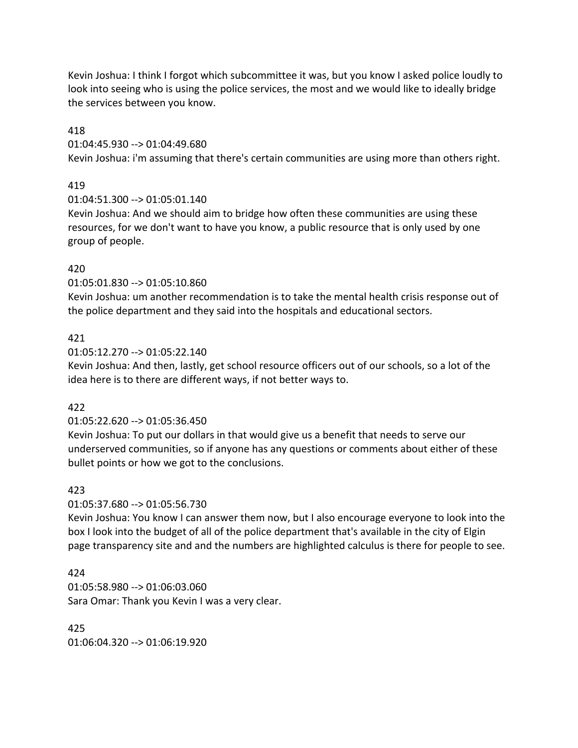Kevin Joshua: I think I forgot which subcommittee it was, but you know I asked police loudly to look into seeing who is using the police services, the most and we would like to ideally bridge the services between you know.

### 418

01:04:45.930 --> 01:04:49.680

Kevin Joshua: i'm assuming that there's certain communities are using more than others right.

### 419

 $01:04:51.300 \rightarrow 01:05:01.140$ 

Kevin Joshua: And we should aim to bridge how often these communities are using these resources, for we don't want to have you know, a public resource that is only used by one group of people.

### 420

01:05:01.830 --> 01:05:10.860

Kevin Joshua: um another recommendation is to take the mental health crisis response out of the police department and they said into the hospitals and educational sectors.

### 421

01:05:12.270 --> 01:05:22.140

Kevin Joshua: And then, lastly, get school resource officers out of our schools, so a lot of the idea here is to there are different ways, if not better ways to.

### 422

01:05:22.620 --> 01:05:36.450

Kevin Joshua: To put our dollars in that would give us a benefit that needs to serve our underserved communities, so if anyone has any questions or comments about either of these bullet points or how we got to the conclusions.

### 423

01:05:37.680 --> 01:05:56.730

Kevin Joshua: You know I can answer them now, but I also encourage everyone to look into the box I look into the budget of all of the police department that's available in the city of Elgin page transparency site and and the numbers are highlighted calculus is there for people to see.

### 424

01:05:58.980 --> 01:06:03.060 Sara Omar: Thank you Kevin I was a very clear.

425 01:06:04.320 --> 01:06:19.920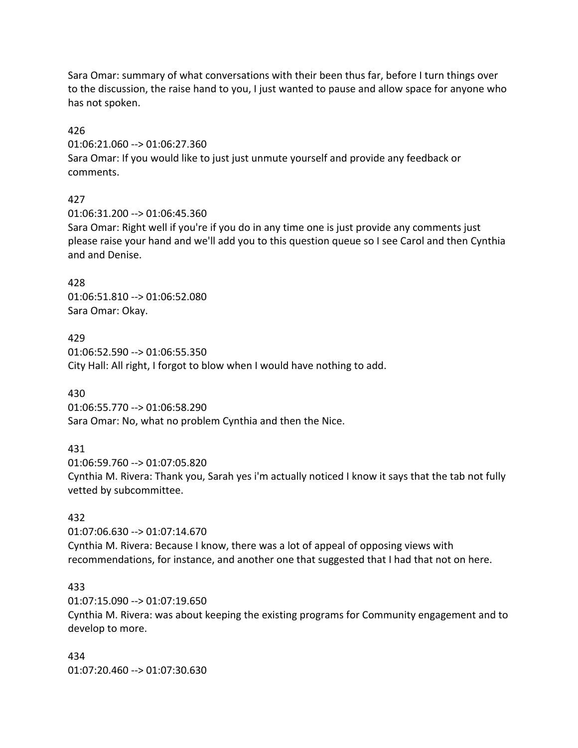Sara Omar: summary of what conversations with their been thus far, before I turn things over to the discussion, the raise hand to you, I just wanted to pause and allow space for anyone who has not spoken.

426

01:06:21.060 --> 01:06:27.360 Sara Omar: If you would like to just just unmute yourself and provide any feedback or comments.

# 427

01:06:31.200 --> 01:06:45.360

Sara Omar: Right well if you're if you do in any time one is just provide any comments just please raise your hand and we'll add you to this question queue so I see Carol and then Cynthia and and Denise.

428 01:06:51.810 --> 01:06:52.080 Sara Omar: Okay.

429 01:06:52.590 --> 01:06:55.350 City Hall: All right, I forgot to blow when I would have nothing to add.

430

01:06:55.770 --> 01:06:58.290 Sara Omar: No, what no problem Cynthia and then the Nice.

# 431

01:06:59.760 --> 01:07:05.820 Cynthia M. Rivera: Thank you, Sarah yes i'm actually noticed I know it says that the tab not fully vetted by subcommittee.

# 432

01:07:06.630 --> 01:07:14.670 Cynthia M. Rivera: Because I know, there was a lot of appeal of opposing views with recommendations, for instance, and another one that suggested that I had that not on here.

### 433

01:07:15.090 --> 01:07:19.650

Cynthia M. Rivera: was about keeping the existing programs for Community engagement and to develop to more.

434 01:07:20.460 --> 01:07:30.630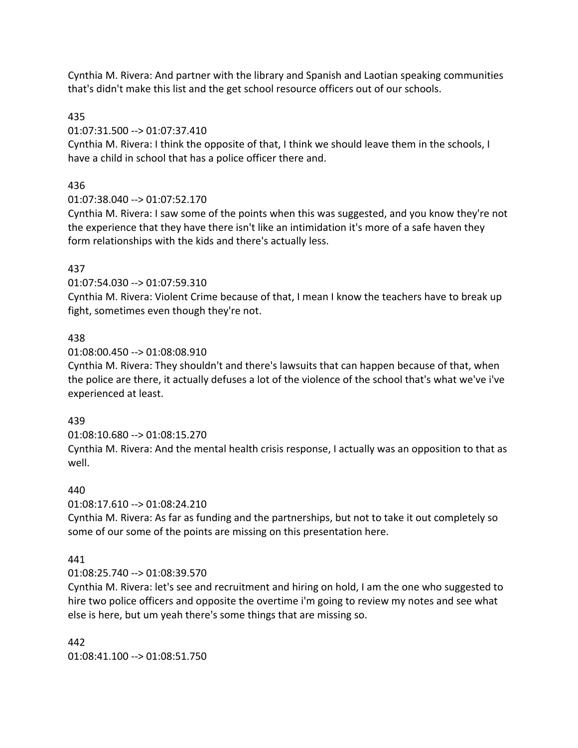Cynthia M. Rivera: And partner with the library and Spanish and Laotian speaking communities that's didn't make this list and the get school resource officers out of our schools.

### 435

01:07:31.500 --> 01:07:37.410

Cynthia M. Rivera: I think the opposite of that, I think we should leave them in the schools, I have a child in school that has a police officer there and.

# 436

01:07:38.040 --> 01:07:52.170

Cynthia M. Rivera: I saw some of the points when this was suggested, and you know they're not the experience that they have there isn't like an intimidation it's more of a safe haven they form relationships with the kids and there's actually less.

## 437

01:07:54.030 --> 01:07:59.310

Cynthia M. Rivera: Violent Crime because of that, I mean I know the teachers have to break up fight, sometimes even though they're not.

## 438

01:08:00.450 --> 01:08:08.910

Cynthia M. Rivera: They shouldn't and there's lawsuits that can happen because of that, when the police are there, it actually defuses a lot of the violence of the school that's what we've i've experienced at least.

### 439

01:08:10.680 --> 01:08:15.270

Cynthia M. Rivera: And the mental health crisis response, I actually was an opposition to that as well.

### 440

01:08:17.610 --> 01:08:24.210

Cynthia M. Rivera: As far as funding and the partnerships, but not to take it out completely so some of our some of the points are missing on this presentation here.

# 441

01:08:25.740 --> 01:08:39.570

Cynthia M. Rivera: let's see and recruitment and hiring on hold, I am the one who suggested to hire two police officers and opposite the overtime i'm going to review my notes and see what else is here, but um yeah there's some things that are missing so.

442 01:08:41.100 --> 01:08:51.750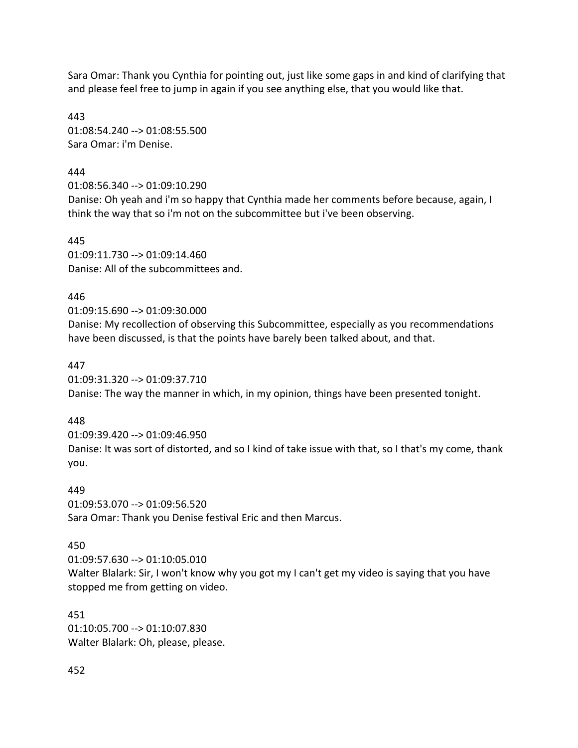Sara Omar: Thank you Cynthia for pointing out, just like some gaps in and kind of clarifying that and please feel free to jump in again if you see anything else, that you would like that.

443 01:08:54.240 --> 01:08:55.500 Sara Omar: i'm Denise.

### 444

01:08:56.340 --> 01:09:10.290 Danise: Oh yeah and i'm so happy that Cynthia made her comments before because, again, I think the way that so i'm not on the subcommittee but i've been observing.

445 01:09:11.730 --> 01:09:14.460 Danise: All of the subcommittees and.

## 446

01:09:15.690 --> 01:09:30.000 Danise: My recollection of observing this Subcommittee, especially as you recommendations have been discussed, is that the points have barely been talked about, and that.

### 447

01:09:31.320 --> 01:09:37.710 Danise: The way the manner in which, in my opinion, things have been presented tonight.

# 448

01:09:39.420 --> 01:09:46.950 Danise: It was sort of distorted, and so I kind of take issue with that, so I that's my come, thank you.

449 01:09:53.070 --> 01:09:56.520 Sara Omar: Thank you Denise festival Eric and then Marcus.

# 450

01:09:57.630 --> 01:10:05.010 Walter Blalark: Sir, I won't know why you got my I can't get my video is saying that you have stopped me from getting on video.

451 01:10:05.700 --> 01:10:07.830 Walter Blalark: Oh, please, please.

452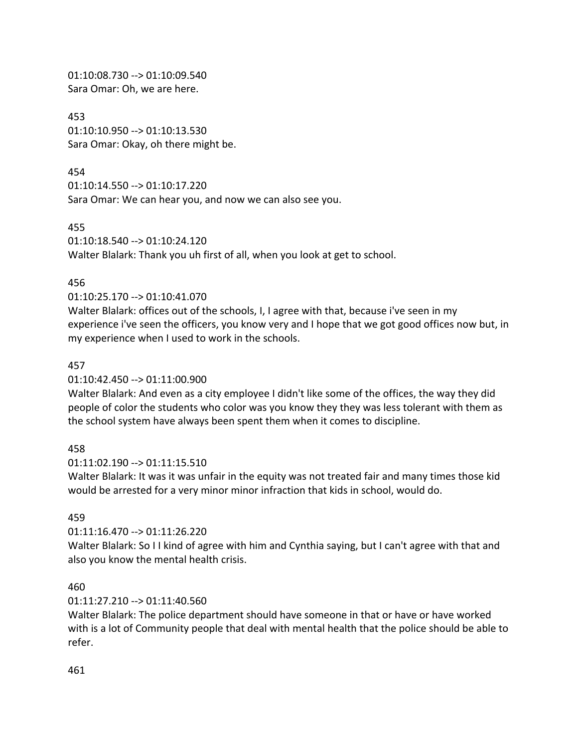01:10:08.730 --> 01:10:09.540 Sara Omar: Oh, we are here.

453 01:10:10.950 --> 01:10:13.530 Sara Omar: Okay, oh there might be.

454 01:10:14.550 --> 01:10:17.220 Sara Omar: We can hear you, and now we can also see you.

455 01:10:18.540 --> 01:10:24.120 Walter Blalark: Thank you uh first of all, when you look at get to school.

#### 456

01:10:25.170 --> 01:10:41.070

Walter Blalark: offices out of the schools, I, I agree with that, because i've seen in my experience i've seen the officers, you know very and I hope that we got good offices now but, in my experience when I used to work in the schools.

#### 457

01:10:42.450 --> 01:11:00.900

Walter Blalark: And even as a city employee I didn't like some of the offices, the way they did people of color the students who color was you know they they was less tolerant with them as the school system have always been spent them when it comes to discipline.

#### 458

01:11:02.190 --> 01:11:15.510

Walter Blalark: It was it was unfair in the equity was not treated fair and many times those kid would be arrested for a very minor minor infraction that kids in school, would do.

#### 459

01:11:16.470 --> 01:11:26.220

Walter Blalark: So I I kind of agree with him and Cynthia saying, but I can't agree with that and also you know the mental health crisis.

#### 460

01:11:27.210 --> 01:11:40.560

Walter Blalark: The police department should have someone in that or have or have worked with is a lot of Community people that deal with mental health that the police should be able to refer.

#### 461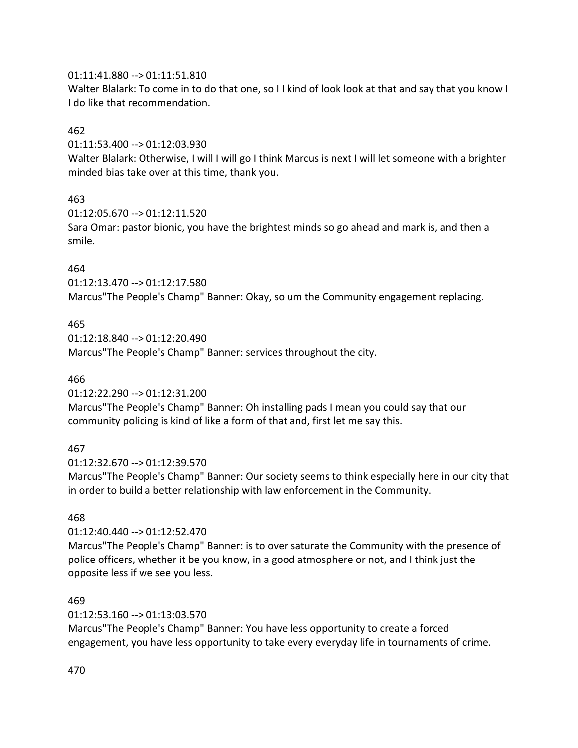### 01:11:41.880 --> 01:11:51.810

Walter Blalark: To come in to do that one, so I I kind of look look at that and say that you know I I do like that recommendation.

### 462

01:11:53.400 --> 01:12:03.930

Walter Blalark: Otherwise, I will I will go I think Marcus is next I will let someone with a brighter minded bias take over at this time, thank you.

### 463

01:12:05.670 --> 01:12:11.520 Sara Omar: pastor bionic, you have the brightest minds so go ahead and mark is, and then a smile.

### 464

01:12:13.470 --> 01:12:17.580 Marcus"The People's Champ" Banner: Okay, so um the Community engagement replacing.

### 465

01:12:18.840 --> 01:12:20.490 Marcus"The People's Champ" Banner: services throughout the city.

### 466

01:12:22.290 --> 01:12:31.200 Marcus"The People's Champ" Banner: Oh installing pads I mean you could say that our community policing is kind of like a form of that and, first let me say this.

#### 467

01:12:32.670 --> 01:12:39.570

Marcus"The People's Champ" Banner: Our society seems to think especially here in our city that in order to build a better relationship with law enforcement in the Community.

#### 468

01:12:40.440 --> 01:12:52.470

Marcus"The People's Champ" Banner: is to over saturate the Community with the presence of police officers, whether it be you know, in a good atmosphere or not, and I think just the opposite less if we see you less.

#### 469

01:12:53.160 --> 01:13:03.570

Marcus"The People's Champ" Banner: You have less opportunity to create a forced engagement, you have less opportunity to take every everyday life in tournaments of crime.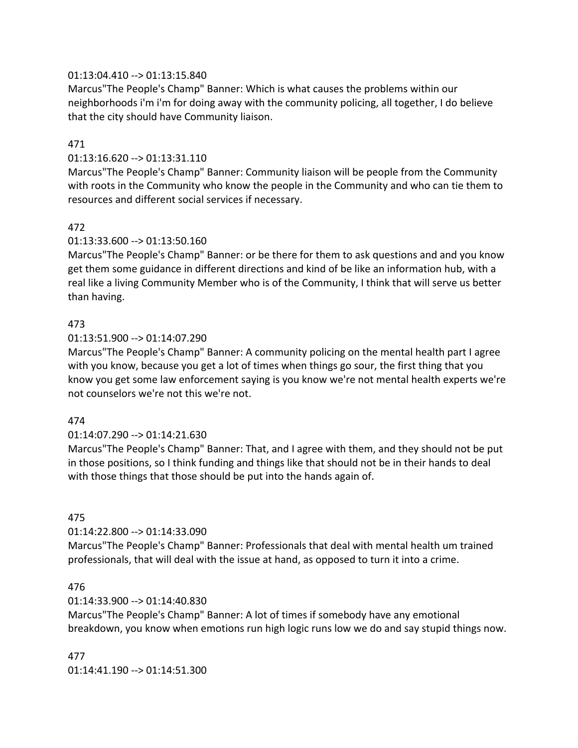### 01:13:04.410 --> 01:13:15.840

Marcus"The People's Champ" Banner: Which is what causes the problems within our neighborhoods i'm i'm for doing away with the community policing, all together, I do believe that the city should have Community liaison.

#### 471

### $01:13:16.620 \rightarrow 01:13:31.110$

Marcus"The People's Champ" Banner: Community liaison will be people from the Community with roots in the Community who know the people in the Community and who can tie them to resources and different social services if necessary.

### 472

### 01:13:33.600 --> 01:13:50.160

Marcus"The People's Champ" Banner: or be there for them to ask questions and and you know get them some guidance in different directions and kind of be like an information hub, with a real like a living Community Member who is of the Community, I think that will serve us better than having.

### 473

### 01:13:51.900 --> 01:14:07.290

Marcus"The People's Champ" Banner: A community policing on the mental health part I agree with you know, because you get a lot of times when things go sour, the first thing that you know you get some law enforcement saying is you know we're not mental health experts we're not counselors we're not this we're not.

#### 474

### 01:14:07.290 --> 01:14:21.630

Marcus"The People's Champ" Banner: That, and I agree with them, and they should not be put in those positions, so I think funding and things like that should not be in their hands to deal with those things that those should be put into the hands again of.

#### 475

#### 01:14:22.800 --> 01:14:33.090

Marcus"The People's Champ" Banner: Professionals that deal with mental health um trained professionals, that will deal with the issue at hand, as opposed to turn it into a crime.

#### 476

#### 01:14:33.900 --> 01:14:40.830

Marcus"The People's Champ" Banner: A lot of times if somebody have any emotional breakdown, you know when emotions run high logic runs low we do and say stupid things now.

### 477 01:14:41.190 --> 01:14:51.300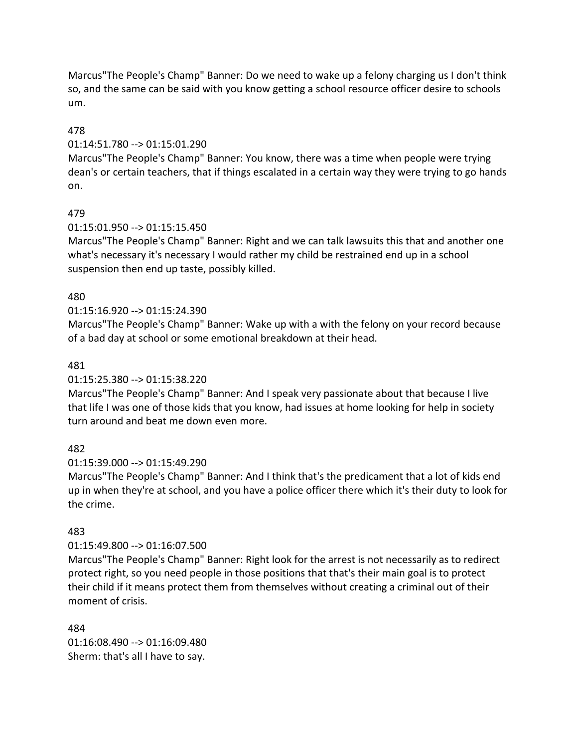Marcus"The People's Champ" Banner: Do we need to wake up a felony charging us I don't think so, and the same can be said with you know getting a school resource officer desire to schools um.

### 478

#### 01:14:51.780 --> 01:15:01.290

Marcus"The People's Champ" Banner: You know, there was a time when people were trying dean's or certain teachers, that if things escalated in a certain way they were trying to go hands on.

### 479

#### 01:15:01.950 --> 01:15:15.450

Marcus"The People's Champ" Banner: Right and we can talk lawsuits this that and another one what's necessary it's necessary I would rather my child be restrained end up in a school suspension then end up taste, possibly killed.

#### 480

### 01:15:16.920 --> 01:15:24.390

Marcus"The People's Champ" Banner: Wake up with a with the felony on your record because of a bad day at school or some emotional breakdown at their head.

#### 481

#### 01:15:25.380 --> 01:15:38.220

Marcus"The People's Champ" Banner: And I speak very passionate about that because I live that life I was one of those kids that you know, had issues at home looking for help in society turn around and beat me down even more.

#### 482

01:15:39.000 --> 01:15:49.290

Marcus"The People's Champ" Banner: And I think that's the predicament that a lot of kids end up in when they're at school, and you have a police officer there which it's their duty to look for the crime.

#### 483

#### 01:15:49.800 --> 01:16:07.500

Marcus"The People's Champ" Banner: Right look for the arrest is not necessarily as to redirect protect right, so you need people in those positions that that's their main goal is to protect their child if it means protect them from themselves without creating a criminal out of their moment of crisis.

484 01:16:08.490 --> 01:16:09.480 Sherm: that's all I have to say.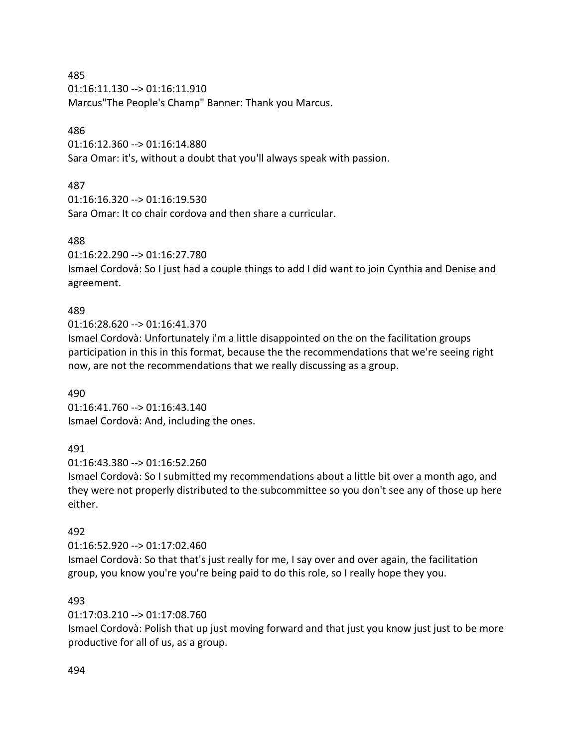485

01:16:11.130 --> 01:16:11.910 Marcus"The People's Champ" Banner: Thank you Marcus.

### 486

01:16:12.360 --> 01:16:14.880 Sara Omar: it's, without a doubt that you'll always speak with passion.

### 487

01:16:16.320 --> 01:16:19.530 Sara Omar: It co chair cordova and then share a curricular.

### 488

01:16:22.290 --> 01:16:27.780

Ismael Cordovà: So I just had a couple things to add I did want to join Cynthia and Denise and agreement.

### 489

01:16:28.620 --> 01:16:41.370

Ismael Cordovà: Unfortunately i'm a little disappointed on the on the facilitation groups participation in this in this format, because the the recommendations that we're seeing right now, are not the recommendations that we really discussing as a group.

#### 490

01:16:41.760 --> 01:16:43.140 Ismael Cordovà: And, including the ones.

### 491

01:16:43.380 --> 01:16:52.260

Ismael Cordovà: So I submitted my recommendations about a little bit over a month ago, and they were not properly distributed to the subcommittee so you don't see any of those up here either.

### 492

01:16:52.920 --> 01:17:02.460

Ismael Cordovà: So that that's just really for me, I say over and over again, the facilitation group, you know you're you're being paid to do this role, so I really hope they you.

#### 493

01:17:03.210 --> 01:17:08.760

Ismael Cordovà: Polish that up just moving forward and that just you know just just to be more productive for all of us, as a group.

#### 494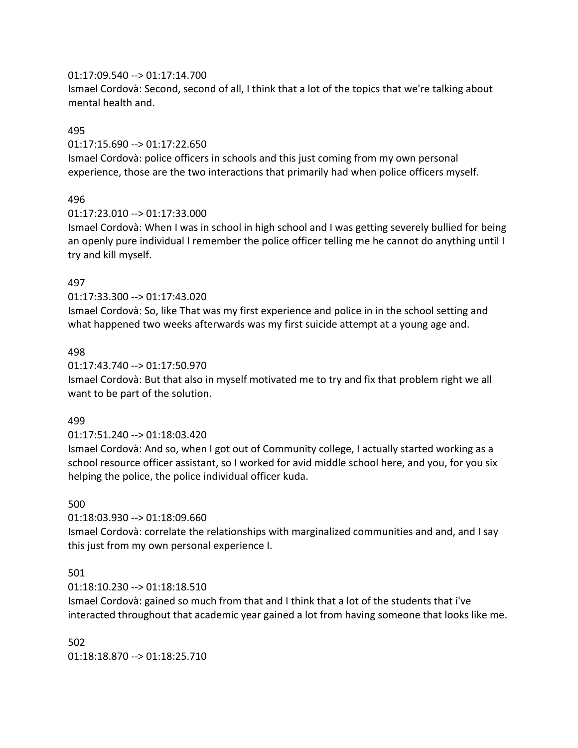### 01:17:09.540 --> 01:17:14.700

Ismael Cordovà: Second, second of all, I think that a lot of the topics that we're talking about mental health and.

### 495

### 01:17:15.690 --> 01:17:22.650

Ismael Cordovà: police officers in schools and this just coming from my own personal experience, those are the two interactions that primarily had when police officers myself.

### 496

### 01:17:23.010 --> 01:17:33.000

Ismael Cordovà: When I was in school in high school and I was getting severely bullied for being an openly pure individual I remember the police officer telling me he cannot do anything until I try and kill myself.

### 497

### 01:17:33.300 --> 01:17:43.020

Ismael Cordovà: So, like That was my first experience and police in in the school setting and what happened two weeks afterwards was my first suicide attempt at a young age and.

### 498

### 01:17:43.740 --> 01:17:50.970

Ismael Cordovà: But that also in myself motivated me to try and fix that problem right we all want to be part of the solution.

### 499

### 01:17:51.240 --> 01:18:03.420

Ismael Cordovà: And so, when I got out of Community college, I actually started working as a school resource officer assistant, so I worked for avid middle school here, and you, for you six helping the police, the police individual officer kuda.

#### 500

### 01:18:03.930 --> 01:18:09.660

Ismael Cordovà: correlate the relationships with marginalized communities and and, and I say this just from my own personal experience I.

#### 501

### 01:18:10.230 --> 01:18:18.510

Ismael Cordovà: gained so much from that and I think that a lot of the students that i've interacted throughout that academic year gained a lot from having someone that looks like me.

502 01:18:18.870 --> 01:18:25.710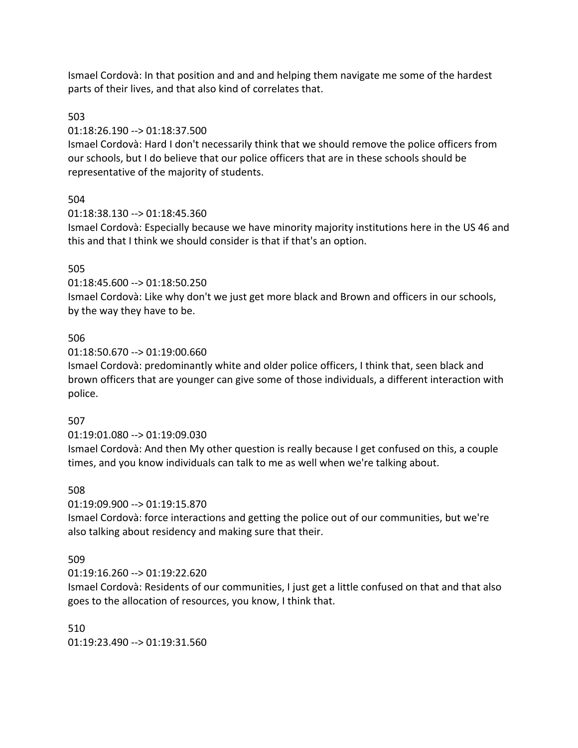Ismael Cordovà: In that position and and and helping them navigate me some of the hardest parts of their lives, and that also kind of correlates that.

### 503

01:18:26.190 --> 01:18:37.500

Ismael Cordovà: Hard I don't necessarily think that we should remove the police officers from our schools, but I do believe that our police officers that are in these schools should be representative of the majority of students.

# 504

01:18:38.130 --> 01:18:45.360

Ismael Cordovà: Especially because we have minority majority institutions here in the US 46 and this and that I think we should consider is that if that's an option.

## 505

01:18:45.600 --> 01:18:50.250

Ismael Cordovà: Like why don't we just get more black and Brown and officers in our schools, by the way they have to be.

## 506

01:18:50.670 --> 01:19:00.660

Ismael Cordovà: predominantly white and older police officers, I think that, seen black and brown officers that are younger can give some of those individuals, a different interaction with police.

### 507

01:19:01.080 --> 01:19:09.030

Ismael Cordovà: And then My other question is really because I get confused on this, a couple times, and you know individuals can talk to me as well when we're talking about.

# 508

01:19:09.900 --> 01:19:15.870

Ismael Cordovà: force interactions and getting the police out of our communities, but we're also talking about residency and making sure that their.

# 509

01:19:16.260 --> 01:19:22.620

Ismael Cordovà: Residents of our communities, I just get a little confused on that and that also goes to the allocation of resources, you know, I think that.

510 01:19:23.490 --> 01:19:31.560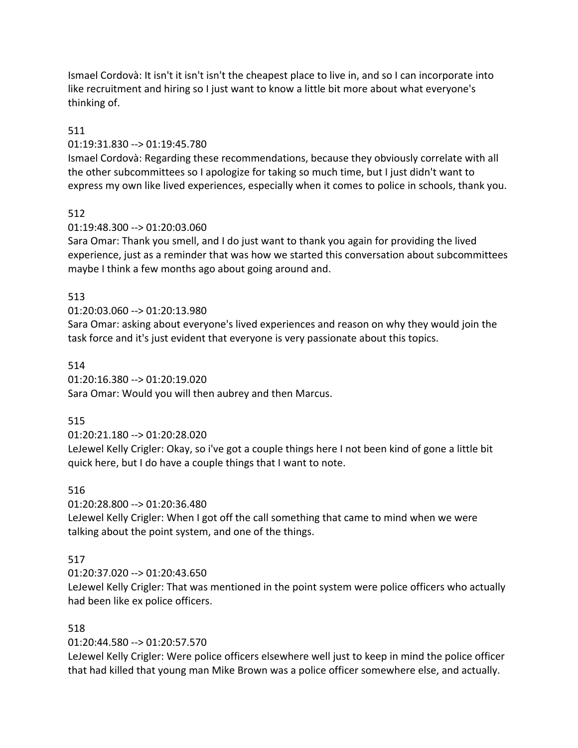Ismael Cordovà: It isn't it isn't isn't the cheapest place to live in, and so I can incorporate into like recruitment and hiring so I just want to know a little bit more about what everyone's thinking of.

### 511

### 01:19:31.830 --> 01:19:45.780

Ismael Cordovà: Regarding these recommendations, because they obviously correlate with all the other subcommittees so I apologize for taking so much time, but I just didn't want to express my own like lived experiences, especially when it comes to police in schools, thank you.

### 512

### 01:19:48.300 --> 01:20:03.060

Sara Omar: Thank you smell, and I do just want to thank you again for providing the lived experience, just as a reminder that was how we started this conversation about subcommittees maybe I think a few months ago about going around and.

### 513

### 01:20:03.060 --> 01:20:13.980

Sara Omar: asking about everyone's lived experiences and reason on why they would join the task force and it's just evident that everyone is very passionate about this topics.

#### 514

01:20:16.380 --> 01:20:19.020

Sara Omar: Would you will then aubrey and then Marcus.

#### 515

#### 01:20:21.180 --> 01:20:28.020

LeJewel Kelly Crigler: Okay, so i've got a couple things here I not been kind of gone a little bit quick here, but I do have a couple things that I want to note.

#### 516

01:20:28.800 --> 01:20:36.480

LeJewel Kelly Crigler: When I got off the call something that came to mind when we were talking about the point system, and one of the things.

### 517

### 01:20:37.020 --> 01:20:43.650

LeJewel Kelly Crigler: That was mentioned in the point system were police officers who actually had been like ex police officers.

### 518

### 01:20:44.580 --> 01:20:57.570

LeJewel Kelly Crigler: Were police officers elsewhere well just to keep in mind the police officer that had killed that young man Mike Brown was a police officer somewhere else, and actually.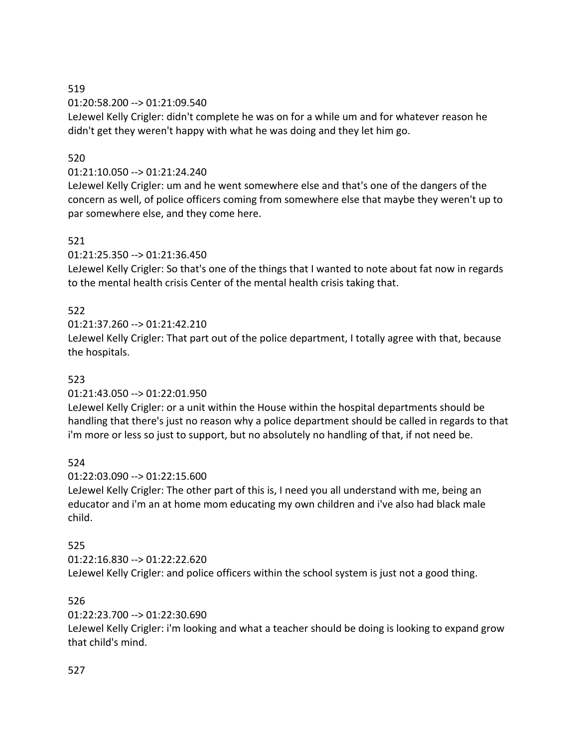### 519

01:20:58.200 --> 01:21:09.540

LeJewel Kelly Crigler: didn't complete he was on for a while um and for whatever reason he didn't get they weren't happy with what he was doing and they let him go.

## 520

### 01:21:10.050 --> 01:21:24.240

LeJewel Kelly Crigler: um and he went somewhere else and that's one of the dangers of the concern as well, of police officers coming from somewhere else that maybe they weren't up to par somewhere else, and they come here.

### 521

01:21:25.350 --> 01:21:36.450

LeJewel Kelly Crigler: So that's one of the things that I wanted to note about fat now in regards to the mental health crisis Center of the mental health crisis taking that.

## 522

01:21:37.260 --> 01:21:42.210

LeJewel Kelly Crigler: That part out of the police department, I totally agree with that, because the hospitals.

### 523

### 01:21:43.050 --> 01:22:01.950

LeJewel Kelly Crigler: or a unit within the House within the hospital departments should be handling that there's just no reason why a police department should be called in regards to that i'm more or less so just to support, but no absolutely no handling of that, if not need be.

### 524

01:22:03.090 --> 01:22:15.600

LeJewel Kelly Crigler: The other part of this is, I need you all understand with me, being an educator and i'm an at home mom educating my own children and i've also had black male child.

### 525

01:22:16.830 --> 01:22:22.620

LeJewel Kelly Crigler: and police officers within the school system is just not a good thing.

### 526

### 01:22:23.700 --> 01:22:30.690

LeJewel Kelly Crigler: i'm looking and what a teacher should be doing is looking to expand grow that child's mind.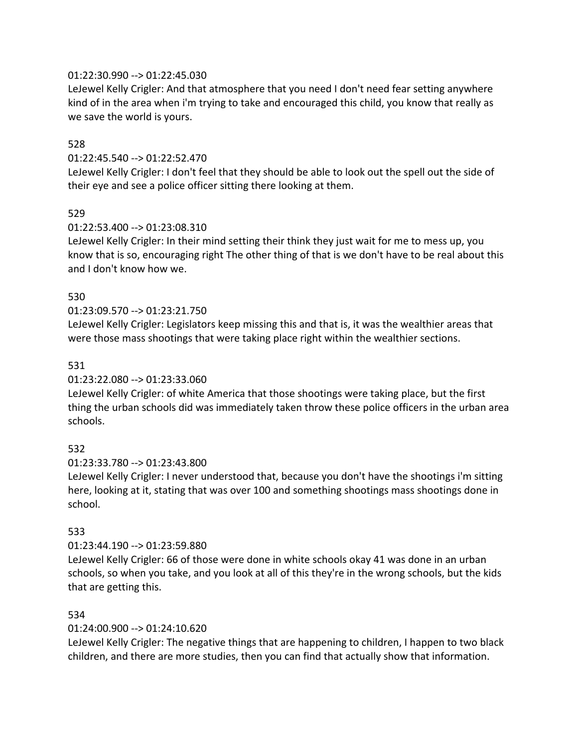### 01:22:30.990 --> 01:22:45.030

LeJewel Kelly Crigler: And that atmosphere that you need I don't need fear setting anywhere kind of in the area when i'm trying to take and encouraged this child, you know that really as we save the world is yours.

#### 528

#### 01:22:45.540 --> 01:22:52.470

LeJewel Kelly Crigler: I don't feel that they should be able to look out the spell out the side of their eye and see a police officer sitting there looking at them.

#### 529

#### 01:22:53.400 --> 01:23:08.310

LeJewel Kelly Crigler: In their mind setting their think they just wait for me to mess up, you know that is so, encouraging right The other thing of that is we don't have to be real about this and I don't know how we.

#### 530

#### 01:23:09.570 --> 01:23:21.750

LeJewel Kelly Crigler: Legislators keep missing this and that is, it was the wealthier areas that were those mass shootings that were taking place right within the wealthier sections.

#### 531

01:23:22.080 --> 01:23:33.060

LeJewel Kelly Crigler: of white America that those shootings were taking place, but the first thing the urban schools did was immediately taken throw these police officers in the urban area schools.

#### 532

01:23:33.780 --> 01:23:43.800

LeJewel Kelly Crigler: I never understood that, because you don't have the shootings i'm sitting here, looking at it, stating that was over 100 and something shootings mass shootings done in school.

#### 533

#### 01:23:44.190 --> 01:23:59.880

LeJewel Kelly Crigler: 66 of those were done in white schools okay 41 was done in an urban schools, so when you take, and you look at all of this they're in the wrong schools, but the kids that are getting this.

#### 534

01:24:00.900 --> 01:24:10.620

LeJewel Kelly Crigler: The negative things that are happening to children, I happen to two black children, and there are more studies, then you can find that actually show that information.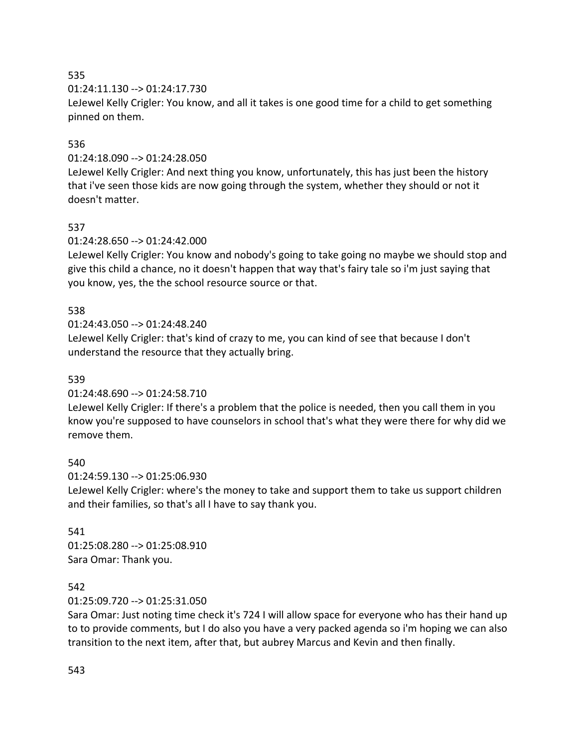### 535

### 01:24:11.130 --> 01:24:17.730

LeJewel Kelly Crigler: You know, and all it takes is one good time for a child to get something pinned on them.

### 536

### 01:24:18.090 --> 01:24:28.050

LeJewel Kelly Crigler: And next thing you know, unfortunately, this has just been the history that i've seen those kids are now going through the system, whether they should or not it doesn't matter.

### 537

### 01:24:28.650 --> 01:24:42.000

LeJewel Kelly Crigler: You know and nobody's going to take going no maybe we should stop and give this child a chance, no it doesn't happen that way that's fairy tale so i'm just saying that you know, yes, the the school resource source or that.

### 538

#### 01:24:43.050 --> 01:24:48.240

LeJewel Kelly Crigler: that's kind of crazy to me, you can kind of see that because I don't understand the resource that they actually bring.

#### 539

### 01:24:48.690 --> 01:24:58.710

LeJewel Kelly Crigler: If there's a problem that the police is needed, then you call them in you know you're supposed to have counselors in school that's what they were there for why did we remove them.

### 540

#### 01:24:59.130 --> 01:25:06.930

LeJewel Kelly Crigler: where's the money to take and support them to take us support children and their families, so that's all I have to say thank you.

### 541 01:25:08.280 --> 01:25:08.910 Sara Omar: Thank you.

#### 542

### 01:25:09.720 --> 01:25:31.050

Sara Omar: Just noting time check it's 724 I will allow space for everyone who has their hand up to to provide comments, but I do also you have a very packed agenda so i'm hoping we can also transition to the next item, after that, but aubrey Marcus and Kevin and then finally.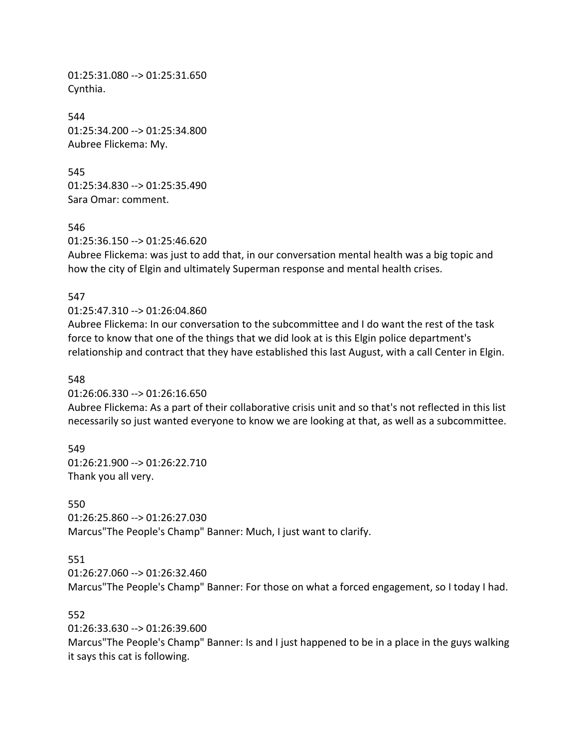01:25:31.080 --> 01:25:31.650 Cynthia.

544 01:25:34.200 --> 01:25:34.800 Aubree Flickema: My.

545 01:25:34.830 --> 01:25:35.490 Sara Omar: comment.

546

01:25:36.150 --> 01:25:46.620

Aubree Flickema: was just to add that, in our conversation mental health was a big topic and how the city of Elgin and ultimately Superman response and mental health crises.

#### 547

### 01:25:47.310 --> 01:26:04.860

Aubree Flickema: In our conversation to the subcommittee and I do want the rest of the task force to know that one of the things that we did look at is this Elgin police department's relationship and contract that they have established this last August, with a call Center in Elgin.

#### 548

01:26:06.330 --> 01:26:16.650 Aubree Flickema: As a part of their collaborative crisis unit and so that's not reflected in this list necessarily so just wanted everyone to know we are looking at that, as well as a subcommittee.

549 01:26:21.900 --> 01:26:22.710 Thank you all very.

#### 550

01:26:25.860 --> 01:26:27.030 Marcus"The People's Champ" Banner: Much, I just want to clarify.

### 551

01:26:27.060 --> 01:26:32.460

Marcus"The People's Champ" Banner: For those on what a forced engagement, so I today I had.

#### 552

01:26:33.630 --> 01:26:39.600

Marcus"The People's Champ" Banner: Is and I just happened to be in a place in the guys walking it says this cat is following.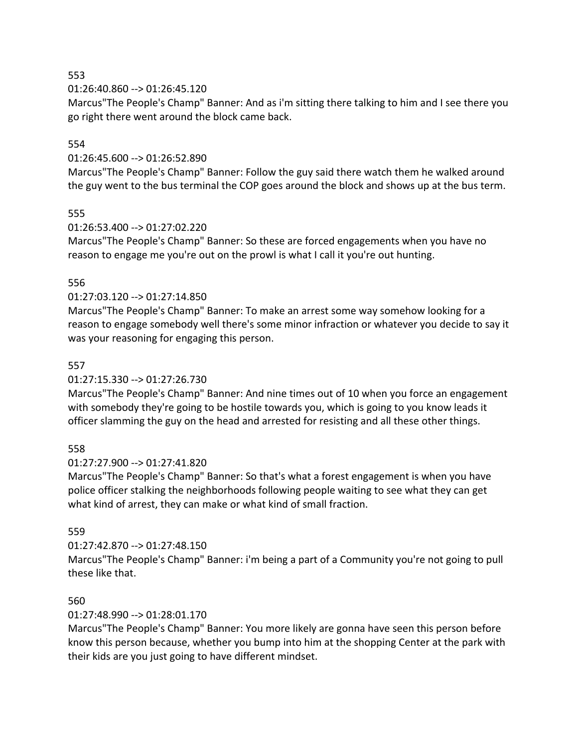553

#### 01:26:40.860 --> 01:26:45.120

Marcus"The People's Champ" Banner: And as i'm sitting there talking to him and I see there you go right there went around the block came back.

### 554

### 01:26:45.600 --> 01:26:52.890

Marcus"The People's Champ" Banner: Follow the guy said there watch them he walked around the guy went to the bus terminal the COP goes around the block and shows up at the bus term.

### 555

### 01:26:53.400 --> 01:27:02.220

Marcus"The People's Champ" Banner: So these are forced engagements when you have no reason to engage me you're out on the prowl is what I call it you're out hunting.

### 556

### 01:27:03.120 --> 01:27:14.850

Marcus"The People's Champ" Banner: To make an arrest some way somehow looking for a reason to engage somebody well there's some minor infraction or whatever you decide to say it was your reasoning for engaging this person.

### 557

### 01:27:15.330 --> 01:27:26.730

Marcus"The People's Champ" Banner: And nine times out of 10 when you force an engagement with somebody they're going to be hostile towards you, which is going to you know leads it officer slamming the guy on the head and arrested for resisting and all these other things.

### 558

### 01:27:27.900 --> 01:27:41.820

Marcus"The People's Champ" Banner: So that's what a forest engagement is when you have police officer stalking the neighborhoods following people waiting to see what they can get what kind of arrest, they can make or what kind of small fraction.

#### 559

### 01:27:42.870 --> 01:27:48.150

Marcus"The People's Champ" Banner: i'm being a part of a Community you're not going to pull these like that.

#### 560

### 01:27:48.990 --> 01:28:01.170

Marcus"The People's Champ" Banner: You more likely are gonna have seen this person before know this person because, whether you bump into him at the shopping Center at the park with their kids are you just going to have different mindset.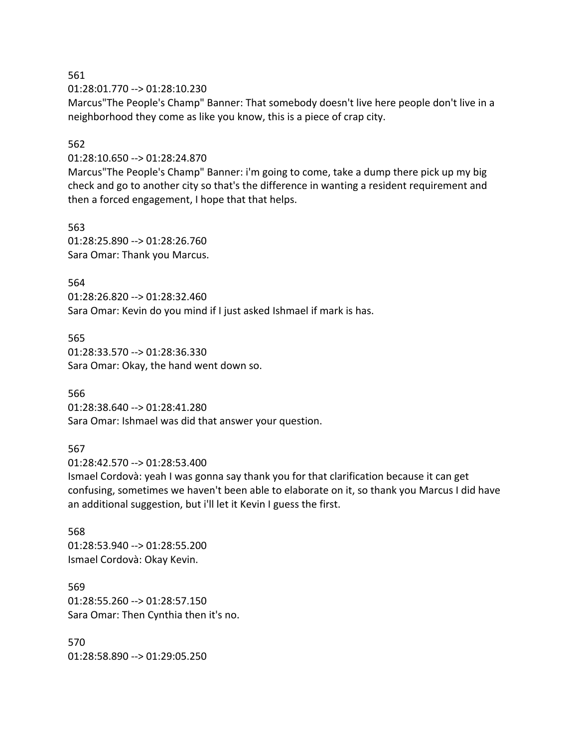561

01:28:01.770 --> 01:28:10.230

Marcus"The People's Champ" Banner: That somebody doesn't live here people don't live in a neighborhood they come as like you know, this is a piece of crap city.

#### 562

01:28:10.650 --> 01:28:24.870

Marcus"The People's Champ" Banner: i'm going to come, take a dump there pick up my big check and go to another city so that's the difference in wanting a resident requirement and then a forced engagement, I hope that that helps.

563 01:28:25.890 --> 01:28:26.760 Sara Omar: Thank you Marcus.

564 01:28:26.820 --> 01:28:32.460 Sara Omar: Kevin do you mind if I just asked Ishmael if mark is has.

565 01:28:33.570 --> 01:28:36.330 Sara Omar: Okay, the hand went down so.

566

01:28:38.640 --> 01:28:41.280 Sara Omar: Ishmael was did that answer your question.

#### 567

01:28:42.570 --> 01:28:53.400

Ismael Cordovà: yeah I was gonna say thank you for that clarification because it can get confusing, sometimes we haven't been able to elaborate on it, so thank you Marcus I did have an additional suggestion, but i'll let it Kevin I guess the first.

568 01:28:53.940 --> 01:28:55.200 Ismael Cordovà: Okay Kevin.

569 01:28:55.260 --> 01:28:57.150 Sara Omar: Then Cynthia then it's no.

570 01:28:58.890 --> 01:29:05.250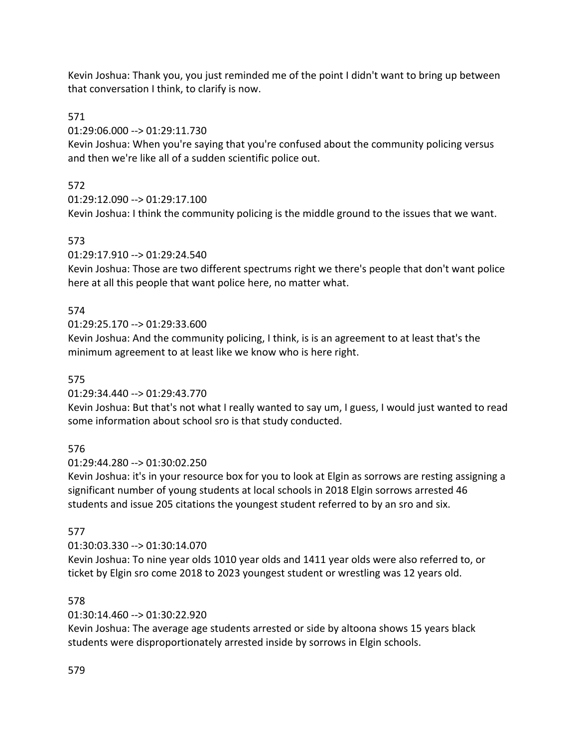Kevin Joshua: Thank you, you just reminded me of the point I didn't want to bring up between that conversation I think, to clarify is now.

# 571

01:29:06.000 --> 01:29:11.730

Kevin Joshua: When you're saying that you're confused about the community policing versus and then we're like all of a sudden scientific police out.

# 572

 $01:29:12.090 \rightarrow 01:29:17.100$ 

Kevin Joshua: I think the community policing is the middle ground to the issues that we want.

# 573

01:29:17.910 --> 01:29:24.540

Kevin Joshua: Those are two different spectrums right we there's people that don't want police here at all this people that want police here, no matter what.

# 574

01:29:25.170 --> 01:29:33.600

Kevin Joshua: And the community policing, I think, is is an agreement to at least that's the minimum agreement to at least like we know who is here right.

## 575

01:29:34.440 --> 01:29:43.770

Kevin Joshua: But that's not what I really wanted to say um, I guess, I would just wanted to read some information about school sro is that study conducted.

# 576

01:29:44.280 --> 01:30:02.250

Kevin Joshua: it's in your resource box for you to look at Elgin as sorrows are resting assigning a significant number of young students at local schools in 2018 Elgin sorrows arrested 46 students and issue 205 citations the youngest student referred to by an sro and six.

# 577

01:30:03.330 --> 01:30:14.070

Kevin Joshua: To nine year olds 1010 year olds and 1411 year olds were also referred to, or ticket by Elgin sro come 2018 to 2023 youngest student or wrestling was 12 years old.

# 578

### 01:30:14.460 --> 01:30:22.920

Kevin Joshua: The average age students arrested or side by altoona shows 15 years black students were disproportionately arrested inside by sorrows in Elgin schools.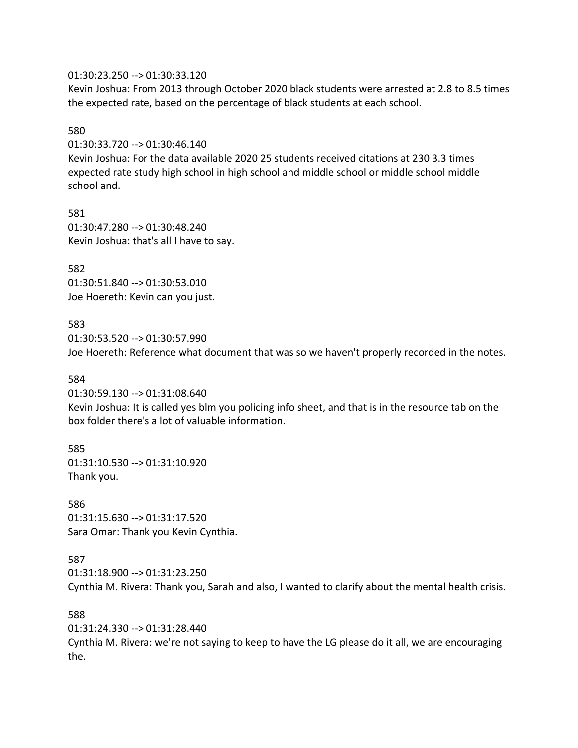### 01:30:23.250 --> 01:30:33.120

Kevin Joshua: From 2013 through October 2020 black students were arrested at 2.8 to 8.5 times the expected rate, based on the percentage of black students at each school.

#### 580

01:30:33.720 --> 01:30:46.140 Kevin Joshua: For the data available 2020 25 students received citations at 230 3.3 times

expected rate study high school in high school and middle school or middle school middle school and.

581 01:30:47.280 --> 01:30:48.240 Kevin Joshua: that's all I have to say.

582 01:30:51.840 --> 01:30:53.010 Joe Hoereth: Kevin can you just.

#### 583

01:30:53.520 --> 01:30:57.990 Joe Hoereth: Reference what document that was so we haven't properly recorded in the notes.

#### 584

01:30:59.130 --> 01:31:08.640 Kevin Joshua: It is called yes blm you policing info sheet, and that is in the resource tab on the box folder there's a lot of valuable information.

585 01:31:10.530 --> 01:31:10.920 Thank you.

586 01:31:15.630 --> 01:31:17.520 Sara Omar: Thank you Kevin Cynthia.

#### 587

01:31:18.900 --> 01:31:23.250 Cynthia M. Rivera: Thank you, Sarah and also, I wanted to clarify about the mental health crisis.

588

01:31:24.330 --> 01:31:28.440

Cynthia M. Rivera: we're not saying to keep to have the LG please do it all, we are encouraging the.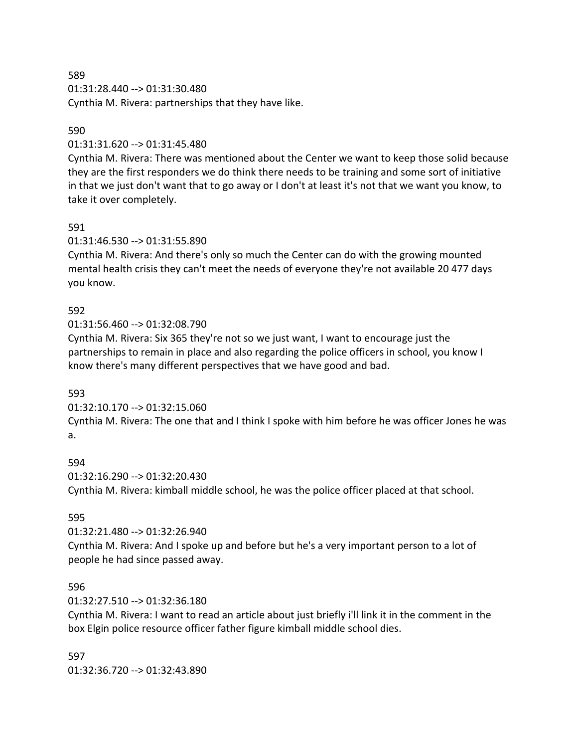589 01:31:28.440 --> 01:31:30.480 Cynthia M. Rivera: partnerships that they have like.

### 590

#### 01:31:31.620 --> 01:31:45.480

Cynthia M. Rivera: There was mentioned about the Center we want to keep those solid because they are the first responders we do think there needs to be training and some sort of initiative in that we just don't want that to go away or I don't at least it's not that we want you know, to take it over completely.

### 591

01:31:46.530 --> 01:31:55.890

Cynthia M. Rivera: And there's only so much the Center can do with the growing mounted mental health crisis they can't meet the needs of everyone they're not available 20 477 days you know.

### 592

01:31:56.460 --> 01:32:08.790

Cynthia M. Rivera: Six 365 they're not so we just want, I want to encourage just the partnerships to remain in place and also regarding the police officers in school, you know I know there's many different perspectives that we have good and bad.

#### 593

01:32:10.170 --> 01:32:15.060

Cynthia M. Rivera: The one that and I think I spoke with him before he was officer Jones he was a.

#### 594

01:32:16.290 --> 01:32:20.430 Cynthia M. Rivera: kimball middle school, he was the police officer placed at that school.

### 595

01:32:21.480 --> 01:32:26.940

Cynthia M. Rivera: And I spoke up and before but he's a very important person to a lot of people he had since passed away.

#### 596

01:32:27.510 --> 01:32:36.180

Cynthia M. Rivera: I want to read an article about just briefly i'll link it in the comment in the box Elgin police resource officer father figure kimball middle school dies.

597 01:32:36.720 --> 01:32:43.890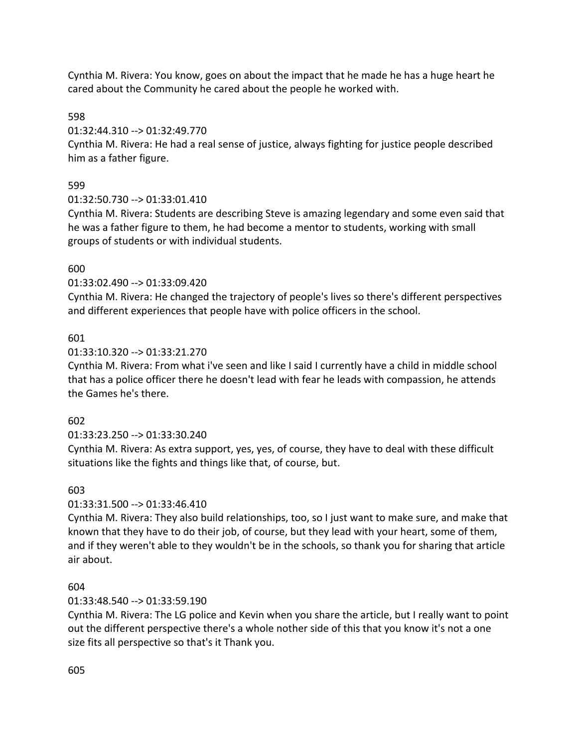Cynthia M. Rivera: You know, goes on about the impact that he made he has a huge heart he cared about the Community he cared about the people he worked with.

## 598

01:32:44.310 --> 01:32:49.770

Cynthia M. Rivera: He had a real sense of justice, always fighting for justice people described him as a father figure.

# 599

01:32:50.730 --> 01:33:01.410

Cynthia M. Rivera: Students are describing Steve is amazing legendary and some even said that he was a father figure to them, he had become a mentor to students, working with small groups of students or with individual students.

# 600

01:33:02.490 --> 01:33:09.420

Cynthia M. Rivera: He changed the trajectory of people's lives so there's different perspectives and different experiences that people have with police officers in the school.

## 601

## 01:33:10.320 --> 01:33:21.270

Cynthia M. Rivera: From what i've seen and like I said I currently have a child in middle school that has a police officer there he doesn't lead with fear he leads with compassion, he attends the Games he's there.

# 602

# 01:33:23.250 --> 01:33:30.240

Cynthia M. Rivera: As extra support, yes, yes, of course, they have to deal with these difficult situations like the fights and things like that, of course, but.

# 603

# 01:33:31.500 --> 01:33:46.410

Cynthia M. Rivera: They also build relationships, too, so I just want to make sure, and make that known that they have to do their job, of course, but they lead with your heart, some of them, and if they weren't able to they wouldn't be in the schools, so thank you for sharing that article air about.

# 604

# 01:33:48.540 --> 01:33:59.190

Cynthia M. Rivera: The LG police and Kevin when you share the article, but I really want to point out the different perspective there's a whole nother side of this that you know it's not a one size fits all perspective so that's it Thank you.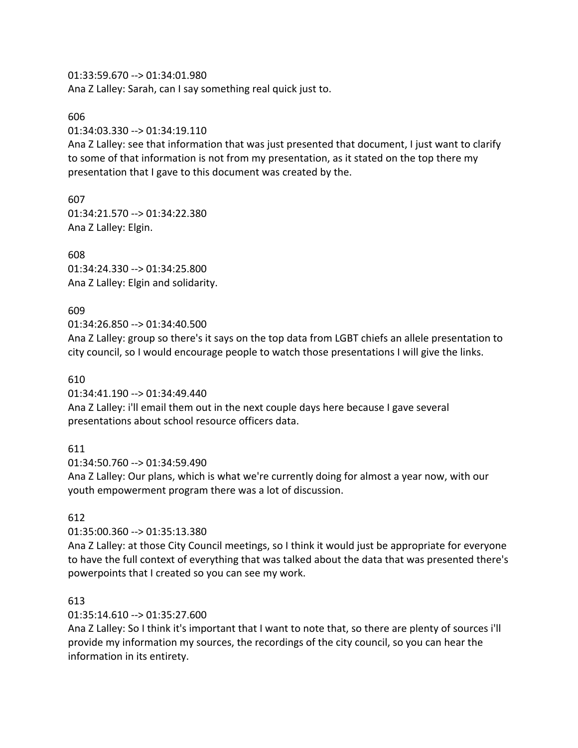01:33:59.670 --> 01:34:01.980 Ana Z Lalley: Sarah, can I say something real quick just to.

### 606

01:34:03.330 --> 01:34:19.110

Ana Z Lalley: see that information that was just presented that document, I just want to clarify to some of that information is not from my presentation, as it stated on the top there my presentation that I gave to this document was created by the.

607 01:34:21.570 --> 01:34:22.380 Ana Z Lalley: Elgin.

608 01:34:24.330 --> 01:34:25.800 Ana Z Lalley: Elgin and solidarity.

## 609

01:34:26.850 --> 01:34:40.500

Ana Z Lalley: group so there's it says on the top data from LGBT chiefs an allele presentation to city council, so I would encourage people to watch those presentations I will give the links.

#### 610

01:34:41.190 --> 01:34:49.440 Ana Z Lalley: i'll email them out in the next couple days here because I gave several presentations about school resource officers data.

### 611

01:34:50.760 --> 01:34:59.490

Ana Z Lalley: Our plans, which is what we're currently doing for almost a year now, with our youth empowerment program there was a lot of discussion.

### 612

01:35:00.360 --> 01:35:13.380

Ana Z Lalley: at those City Council meetings, so I think it would just be appropriate for everyone to have the full context of everything that was talked about the data that was presented there's powerpoints that I created so you can see my work.

### 613

01:35:14.610 --> 01:35:27.600

Ana Z Lalley: So I think it's important that I want to note that, so there are plenty of sources i'll provide my information my sources, the recordings of the city council, so you can hear the information in its entirety.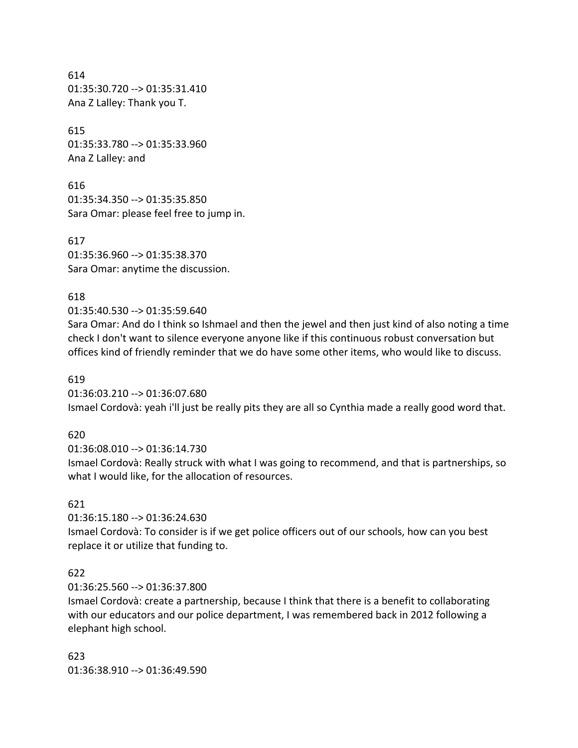614 01:35:30.720 --> 01:35:31.410 Ana Z Lalley: Thank you T.

615 01:35:33.780 --> 01:35:33.960 Ana Z Lalley: and

616 01:35:34.350 --> 01:35:35.850 Sara Omar: please feel free to jump in.

617 01:35:36.960 --> 01:35:38.370 Sara Omar: anytime the discussion.

### 618

01:35:40.530 --> 01:35:59.640

Sara Omar: And do I think so Ishmael and then the jewel and then just kind of also noting a time check I don't want to silence everyone anyone like if this continuous robust conversation but offices kind of friendly reminder that we do have some other items, who would like to discuss.

### 619

01:36:03.210 --> 01:36:07.680 Ismael Cordovà: yeah i'll just be really pits they are all so Cynthia made a really good word that.

### 620

01:36:08.010 --> 01:36:14.730 Ismael Cordovà: Really struck with what I was going to recommend, and that is partnerships, so what I would like, for the allocation of resources.

#### 621

01:36:15.180 --> 01:36:24.630 Ismael Cordovà: To consider is if we get police officers out of our schools, how can you best replace it or utilize that funding to.

### 622

01:36:25.560 --> 01:36:37.800

Ismael Cordovà: create a partnership, because I think that there is a benefit to collaborating with our educators and our police department, I was remembered back in 2012 following a elephant high school.

623 01:36:38.910 --> 01:36:49.590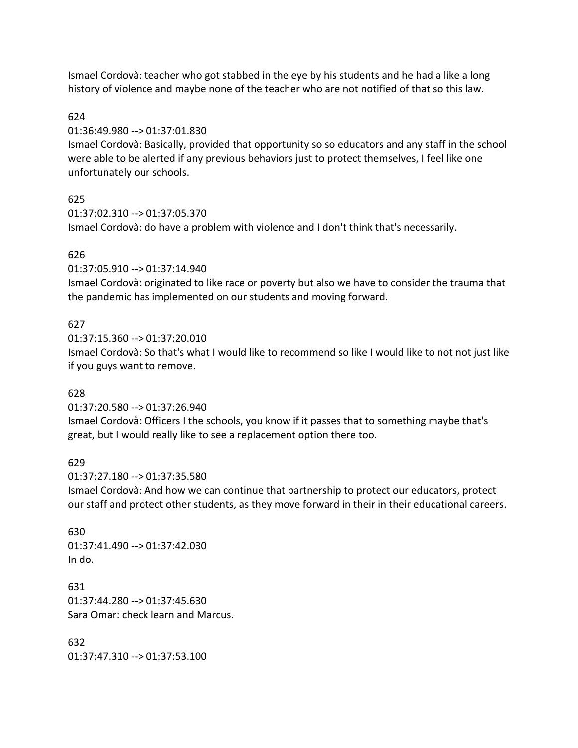Ismael Cordovà: teacher who got stabbed in the eye by his students and he had a like a long history of violence and maybe none of the teacher who are not notified of that so this law.

### 624

01:36:49.980 --> 01:37:01.830

Ismael Cordovà: Basically, provided that opportunity so so educators and any staff in the school were able to be alerted if any previous behaviors just to protect themselves, I feel like one unfortunately our schools.

## 625

01:37:02.310 --> 01:37:05.370 Ismael Cordovà: do have a problem with violence and I don't think that's necessarily.

## 626

01:37:05.910 --> 01:37:14.940

Ismael Cordovà: originated to like race or poverty but also we have to consider the trauma that the pandemic has implemented on our students and moving forward.

## 627

01:37:15.360 --> 01:37:20.010 Ismael Cordovà: So that's what I would like to recommend so like I would like to not not just like if you guys want to remove.

### 628

01:37:20.580 --> 01:37:26.940

Ismael Cordovà: Officers I the schools, you know if it passes that to something maybe that's great, but I would really like to see a replacement option there too.

### 629

01:37:27.180 --> 01:37:35.580 Ismael Cordovà: And how we can continue that partnership to protect our educators, protect our staff and protect other students, as they move forward in their in their educational careers.

630 01:37:41.490 --> 01:37:42.030 In do.

631 01:37:44.280 --> 01:37:45.630 Sara Omar: check learn and Marcus.

632 01:37:47.310 --> 01:37:53.100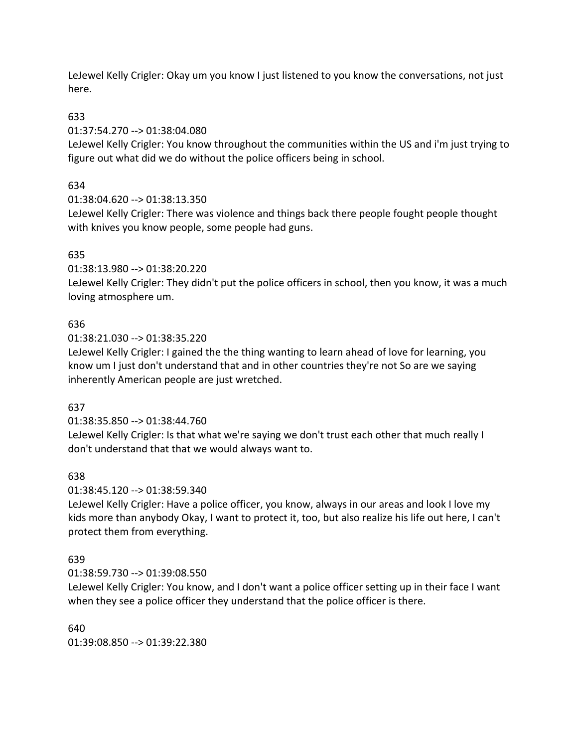LeJewel Kelly Crigler: Okay um you know I just listened to you know the conversations, not just here.

## 633

01:37:54.270 --> 01:38:04.080

LeJewel Kelly Crigler: You know throughout the communities within the US and i'm just trying to figure out what did we do without the police officers being in school.

## 634

01:38:04.620 --> 01:38:13.350

LeJewel Kelly Crigler: There was violence and things back there people fought people thought with knives you know people, some people had guns.

## 635

01:38:13.980 --> 01:38:20.220

LeJewel Kelly Crigler: They didn't put the police officers in school, then you know, it was a much loving atmosphere um.

# 636

01:38:21.030 --> 01:38:35.220

LeJewel Kelly Crigler: I gained the the thing wanting to learn ahead of love for learning, you know um I just don't understand that and in other countries they're not So are we saying inherently American people are just wretched.

# 637

01:38:35.850 --> 01:38:44.760

LeJewel Kelly Crigler: Is that what we're saying we don't trust each other that much really I don't understand that that we would always want to.

# 638

01:38:45.120 --> 01:38:59.340

LeJewel Kelly Crigler: Have a police officer, you know, always in our areas and look I love my kids more than anybody Okay, I want to protect it, too, but also realize his life out here, I can't protect them from everything.

# 639

01:38:59.730 --> 01:39:08.550

LeJewel Kelly Crigler: You know, and I don't want a police officer setting up in their face I want when they see a police officer they understand that the police officer is there.

# 640

01:39:08.850 --> 01:39:22.380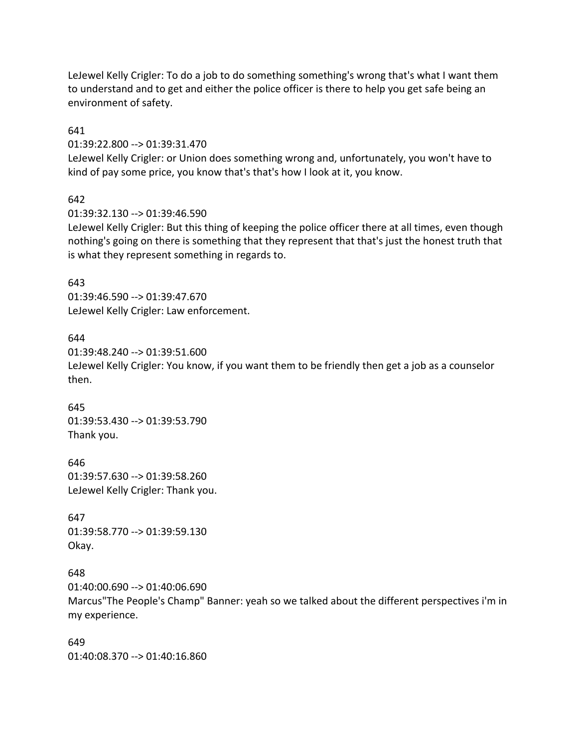LeJewel Kelly Crigler: To do a job to do something something's wrong that's what I want them to understand and to get and either the police officer is there to help you get safe being an environment of safety.

641

01:39:22.800 --> 01:39:31.470

LeJewel Kelly Crigler: or Union does something wrong and, unfortunately, you won't have to kind of pay some price, you know that's that's how I look at it, you know.

642

01:39:32.130 --> 01:39:46.590

LeJewel Kelly Crigler: But this thing of keeping the police officer there at all times, even though nothing's going on there is something that they represent that that's just the honest truth that is what they represent something in regards to.

## 643

01:39:46.590 --> 01:39:47.670 LeJewel Kelly Crigler: Law enforcement.

644

01:39:48.240 --> 01:39:51.600 LeJewel Kelly Crigler: You know, if you want them to be friendly then get a job as a counselor then.

645 01:39:53.430 --> 01:39:53.790 Thank you.

646 01:39:57.630 --> 01:39:58.260 LeJewel Kelly Crigler: Thank you.

647 01:39:58.770 --> 01:39:59.130 Okay.

648 01:40:00.690 --> 01:40:06.690 Marcus"The People's Champ" Banner: yeah so we talked about the different perspectives i'm in my experience.

649 01:40:08.370 --> 01:40:16.860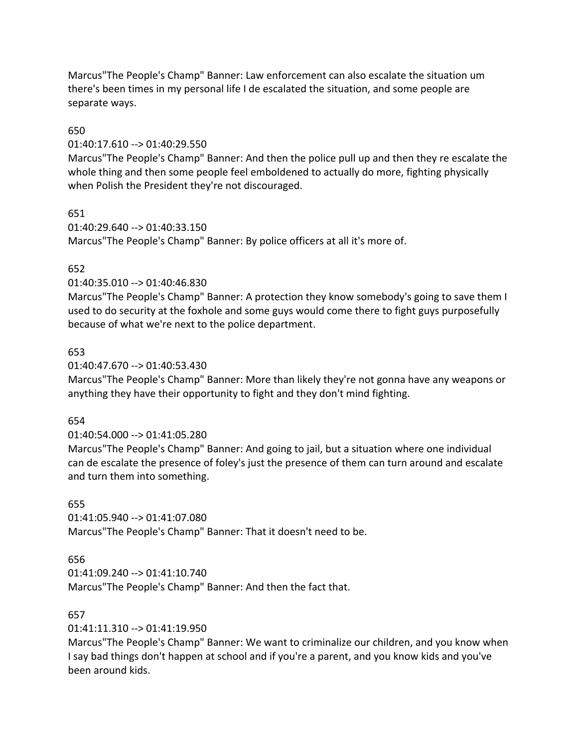Marcus"The People's Champ" Banner: Law enforcement can also escalate the situation um there's been times in my personal life I de escalated the situation, and some people are separate ways.

## 650

## 01:40:17.610 --> 01:40:29.550

Marcus"The People's Champ" Banner: And then the police pull up and then they re escalate the whole thing and then some people feel emboldened to actually do more, fighting physically when Polish the President they're not discouraged.

## 651

 $01:40:29.640 \rightarrow 01:40:33.150$ 

Marcus"The People's Champ" Banner: By police officers at all it's more of.

# 652

01:40:35.010 --> 01:40:46.830

Marcus"The People's Champ" Banner: A protection they know somebody's going to save them I used to do security at the foxhole and some guys would come there to fight guys purposefully because of what we're next to the police department.

# 653

## 01:40:47.670 --> 01:40:53.430

Marcus"The People's Champ" Banner: More than likely they're not gonna have any weapons or anything they have their opportunity to fight and they don't mind fighting.

## 654

# 01:40:54.000 --> 01:41:05.280

Marcus"The People's Champ" Banner: And going to jail, but a situation where one individual can de escalate the presence of foley's just the presence of them can turn around and escalate and turn them into something.

# 655

01:41:05.940 --> 01:41:07.080 Marcus"The People's Champ" Banner: That it doesn't need to be.

# 656

01:41:09.240 --> 01:41:10.740 Marcus"The People's Champ" Banner: And then the fact that.

## 657

01:41:11.310 --> 01:41:19.950

Marcus"The People's Champ" Banner: We want to criminalize our children, and you know when I say bad things don't happen at school and if you're a parent, and you know kids and you've been around kids.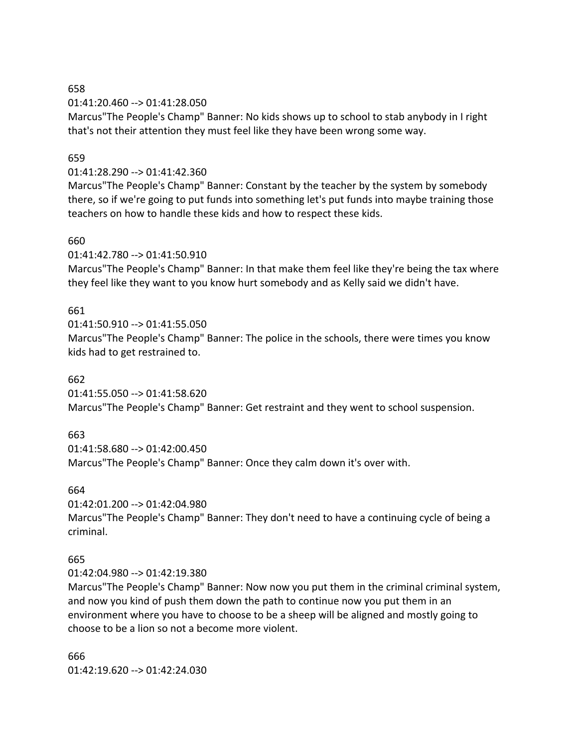## 658

01:41:20.460 --> 01:41:28.050

Marcus"The People's Champ" Banner: No kids shows up to school to stab anybody in I right that's not their attention they must feel like they have been wrong some way.

## 659

## 01:41:28.290 --> 01:41:42.360

Marcus"The People's Champ" Banner: Constant by the teacher by the system by somebody there, so if we're going to put funds into something let's put funds into maybe training those teachers on how to handle these kids and how to respect these kids.

## 660

01:41:42.780 --> 01:41:50.910

Marcus"The People's Champ" Banner: In that make them feel like they're being the tax where they feel like they want to you know hurt somebody and as Kelly said we didn't have.

# 661

01:41:50.910 --> 01:41:55.050 Marcus"The People's Champ" Banner: The police in the schools, there were times you know kids had to get restrained to.

# 662

01:41:55.050 --> 01:41:58.620 Marcus"The People's Champ" Banner: Get restraint and they went to school suspension.

# 663

01:41:58.680 --> 01:42:00.450 Marcus"The People's Champ" Banner: Once they calm down it's over with.

# 664

01:42:01.200 --> 01:42:04.980

Marcus"The People's Champ" Banner: They don't need to have a continuing cycle of being a criminal.

# 665

01:42:04.980 --> 01:42:19.380

Marcus"The People's Champ" Banner: Now now you put them in the criminal criminal system, and now you kind of push them down the path to continue now you put them in an environment where you have to choose to be a sheep will be aligned and mostly going to choose to be a lion so not a become more violent.

666 01:42:19.620 --> 01:42:24.030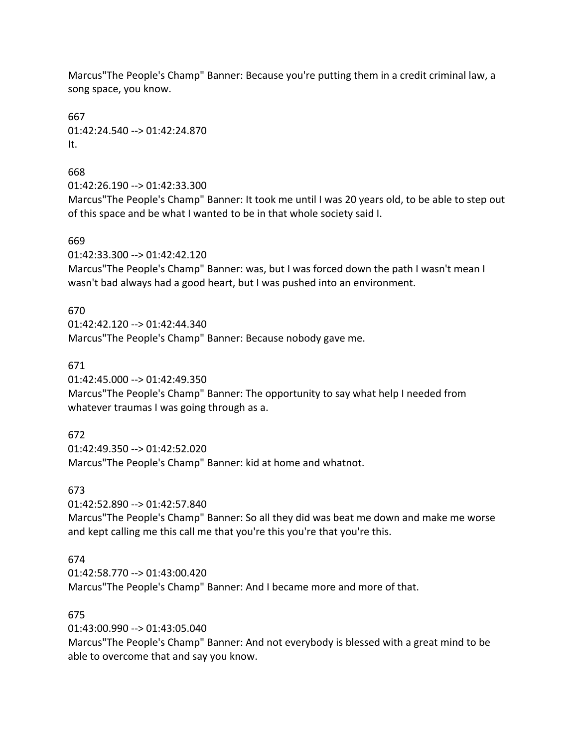Marcus"The People's Champ" Banner: Because you're putting them in a credit criminal law, a song space, you know.

667 01:42:24.540 --> 01:42:24.870 It.

668

01:42:26.190 --> 01:42:33.300

Marcus"The People's Champ" Banner: It took me until I was 20 years old, to be able to step out of this space and be what I wanted to be in that whole society said I.

669

01:42:33.300 --> 01:42:42.120

Marcus"The People's Champ" Banner: was, but I was forced down the path I wasn't mean I wasn't bad always had a good heart, but I was pushed into an environment.

# 670

01:42:42.120 --> 01:42:44.340 Marcus"The People's Champ" Banner: Because nobody gave me.

# 671

01:42:45.000 --> 01:42:49.350

Marcus"The People's Champ" Banner: The opportunity to say what help I needed from whatever traumas I was going through as a.

# 672

01:42:49.350 --> 01:42:52.020 Marcus"The People's Champ" Banner: kid at home and whatnot.

# 673

01:42:52.890 --> 01:42:57.840

Marcus"The People's Champ" Banner: So all they did was beat me down and make me worse and kept calling me this call me that you're this you're that you're this.

# 674

01:42:58.770 --> 01:43:00.420 Marcus"The People's Champ" Banner: And I became more and more of that.

# 675

01:43:00.990 --> 01:43:05.040

Marcus"The People's Champ" Banner: And not everybody is blessed with a great mind to be able to overcome that and say you know.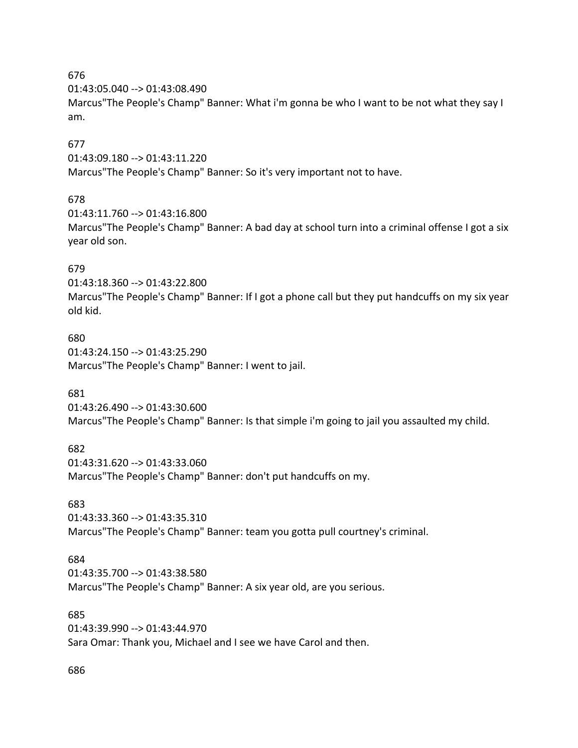676

01:43:05.040 --> 01:43:08.490

Marcus"The People's Champ" Banner: What i'm gonna be who I want to be not what they say I am.

#### 677

01:43:09.180 --> 01:43:11.220

Marcus"The People's Champ" Banner: So it's very important not to have.

## 678

01:43:11.760 --> 01:43:16.800 Marcus"The People's Champ" Banner: A bad day at school turn into a criminal offense I got a six year old son.

## 679

01:43:18.360 --> 01:43:22.800

Marcus"The People's Champ" Banner: If I got a phone call but they put handcuffs on my six year old kid.

#### 680

01:43:24.150 --> 01:43:25.290 Marcus"The People's Champ" Banner: I went to jail.

## 681

01:43:26.490 --> 01:43:30.600 Marcus"The People's Champ" Banner: Is that simple i'm going to jail you assaulted my child.

## 682

01:43:31.620 --> 01:43:33.060 Marcus"The People's Champ" Banner: don't put handcuffs on my.

## 683

01:43:33.360 --> 01:43:35.310 Marcus"The People's Champ" Banner: team you gotta pull courtney's criminal.

## 684

01:43:35.700 --> 01:43:38.580 Marcus"The People's Champ" Banner: A six year old, are you serious.

#### 685

01:43:39.990 --> 01:43:44.970 Sara Omar: Thank you, Michael and I see we have Carol and then.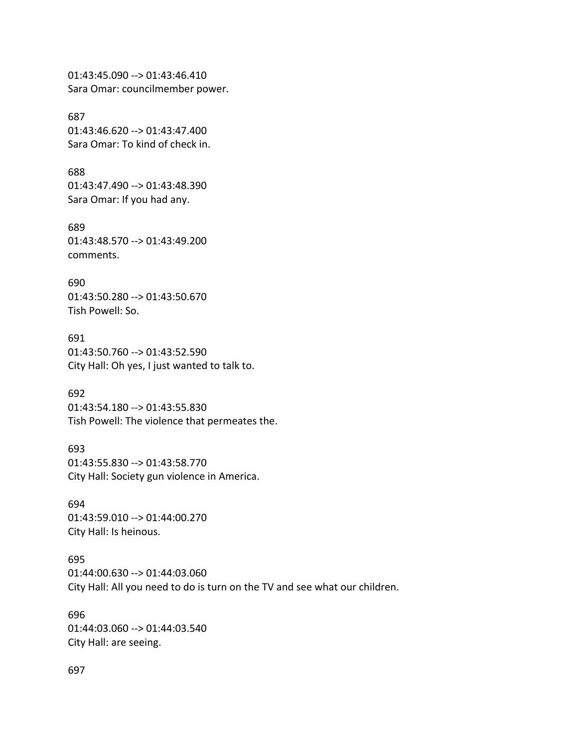01:43:45.090 --> 01:43:46.410 Sara Omar: councilmember power.

687 01:43:46.620 --> 01:43:47.400 Sara Omar: To kind of check in.

688 01:43:47.490 --> 01:43:48.390 Sara Omar: If you had any.

689 01:43:48.570 --> 01:43:49.200 comments.

690 01:43:50.280 --> 01:43:50.670 Tish Powell: So.

691 01:43:50.760 --> 01:43:52.590 City Hall: Oh yes, I just wanted to talk to.

692 01:43:54.180 --> 01:43:55.830 Tish Powell: The violence that permeates the.

693 01:43:55.830 --> 01:43:58.770 City Hall: Society gun violence in America.

694 01:43:59.010 --> 01:44:00.270 City Hall: Is heinous.

695 01:44:00.630 --> 01:44:03.060 City Hall: All you need to do is turn on the TV and see what our children.

696 01:44:03.060 --> 01:44:03.540 City Hall: are seeing.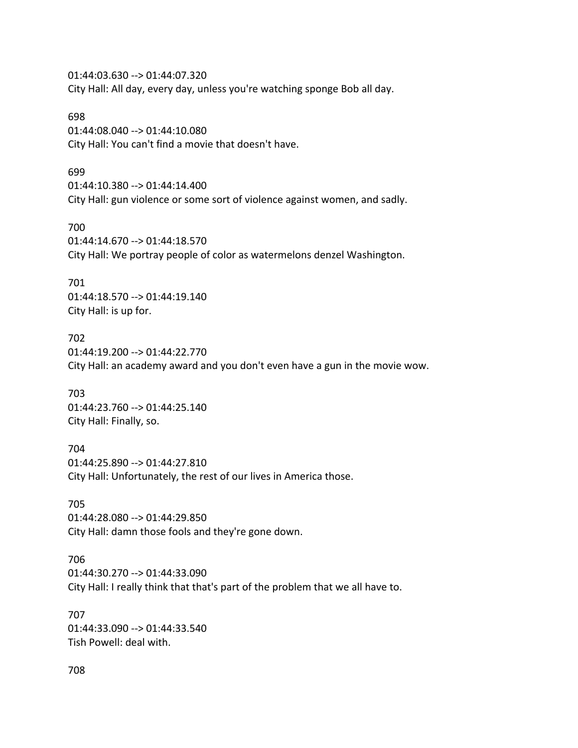01:44:03.630 --> 01:44:07.320 City Hall: All day, every day, unless you're watching sponge Bob all day.

698 01:44:08.040 --> 01:44:10.080 City Hall: You can't find a movie that doesn't have.

699

01:44:10.380 --> 01:44:14.400 City Hall: gun violence or some sort of violence against women, and sadly.

700 01:44:14.670 --> 01:44:18.570 City Hall: We portray people of color as watermelons denzel Washington.

701 01:44:18.570 --> 01:44:19.140 City Hall: is up for.

702 01:44:19.200 --> 01:44:22.770 City Hall: an academy award and you don't even have a gun in the movie wow.

703 01:44:23.760 --> 01:44:25.140 City Hall: Finally, so.

704 01:44:25.890 --> 01:44:27.810 City Hall: Unfortunately, the rest of our lives in America those.

705 01:44:28.080 --> 01:44:29.850 City Hall: damn those fools and they're gone down.

706 01:44:30.270 --> 01:44:33.090 City Hall: I really think that that's part of the problem that we all have to.

707 01:44:33.090 --> 01:44:33.540 Tish Powell: deal with.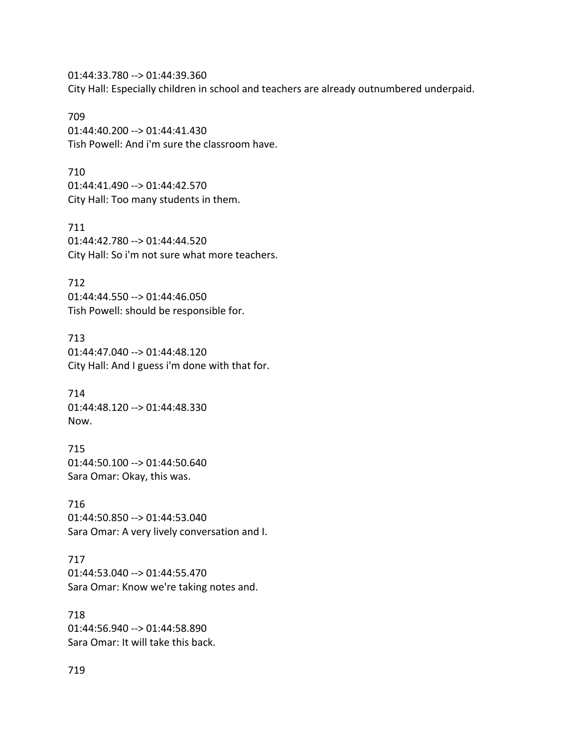01:44:33.780 --> 01:44:39.360 City Hall: Especially children in school and teachers are already outnumbered underpaid.

709 01:44:40.200 --> 01:44:41.430 Tish Powell: And i'm sure the classroom have.

710 01:44:41.490 --> 01:44:42.570 City Hall: Too many students in them.

711 01:44:42.780 --> 01:44:44.520 City Hall: So i'm not sure what more teachers.

712 01:44:44.550 --> 01:44:46.050 Tish Powell: should be responsible for.

713 01:44:47.040 --> 01:44:48.120 City Hall: And I guess i'm done with that for.

714 01:44:48.120 --> 01:44:48.330 Now.

715 01:44:50.100 --> 01:44:50.640 Sara Omar: Okay, this was.

716 01:44:50.850 --> 01:44:53.040 Sara Omar: A very lively conversation and I.

717 01:44:53.040 --> 01:44:55.470 Sara Omar: Know we're taking notes and.

718 01:44:56.940 --> 01:44:58.890 Sara Omar: It will take this back.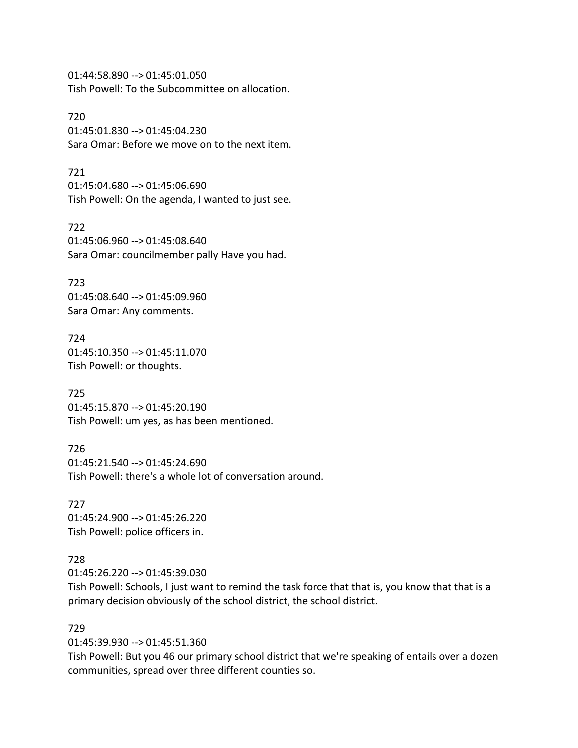01:44:58.890 --> 01:45:01.050 Tish Powell: To the Subcommittee on allocation.

720 01:45:01.830 --> 01:45:04.230 Sara Omar: Before we move on to the next item.

721 01:45:04.680 --> 01:45:06.690 Tish Powell: On the agenda, I wanted to just see.

722 01:45:06.960 --> 01:45:08.640 Sara Omar: councilmember pally Have you had.

723 01:45:08.640 --> 01:45:09.960 Sara Omar: Any comments.

724 01:45:10.350 --> 01:45:11.070 Tish Powell: or thoughts.

725 01:45:15.870 --> 01:45:20.190 Tish Powell: um yes, as has been mentioned.

726 01:45:21.540 --> 01:45:24.690 Tish Powell: there's a whole lot of conversation around.

727 01:45:24.900 --> 01:45:26.220 Tish Powell: police officers in.

# 728

01:45:26.220 --> 01:45:39.030

Tish Powell: Schools, I just want to remind the task force that that is, you know that that is a primary decision obviously of the school district, the school district.

## 729

01:45:39.930 --> 01:45:51.360

Tish Powell: But you 46 our primary school district that we're speaking of entails over a dozen communities, spread over three different counties so.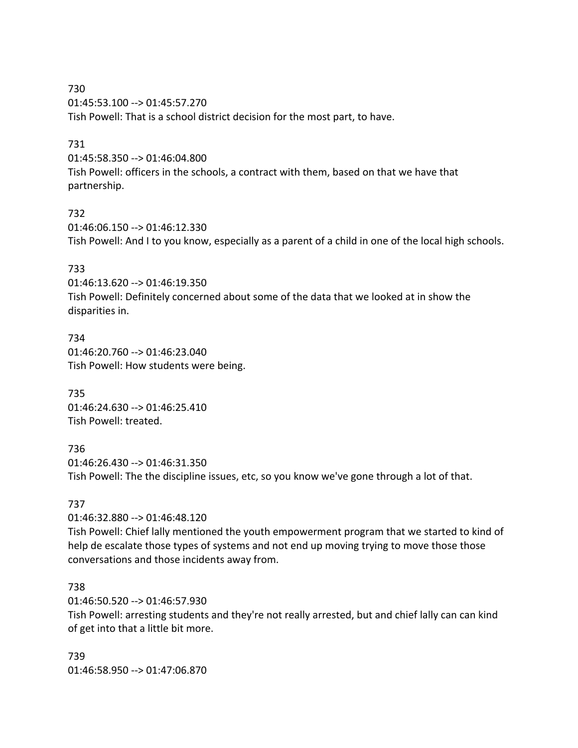730 01:45:53.100 --> 01:45:57.270 Tish Powell: That is a school district decision for the most part, to have.

## 731

01:45:58.350 --> 01:46:04.800

Tish Powell: officers in the schools, a contract with them, based on that we have that partnership.

## 732

01:46:06.150 --> 01:46:12.330 Tish Powell: And I to you know, especially as a parent of a child in one of the local high schools.

## 733

01:46:13.620 --> 01:46:19.350 Tish Powell: Definitely concerned about some of the data that we looked at in show the disparities in.

734 01:46:20.760 --> 01:46:23.040 Tish Powell: How students were being.

735 01:46:24.630 --> 01:46:25.410 Tish Powell: treated.

736

01:46:26.430 --> 01:46:31.350 Tish Powell: The the discipline issues, etc, so you know we've gone through a lot of that.

## 737

01:46:32.880 --> 01:46:48.120

Tish Powell: Chief lally mentioned the youth empowerment program that we started to kind of help de escalate those types of systems and not end up moving trying to move those those conversations and those incidents away from.

## 738

01:46:50.520 --> 01:46:57.930

Tish Powell: arresting students and they're not really arrested, but and chief lally can can kind of get into that a little bit more.

739 01:46:58.950 --> 01:47:06.870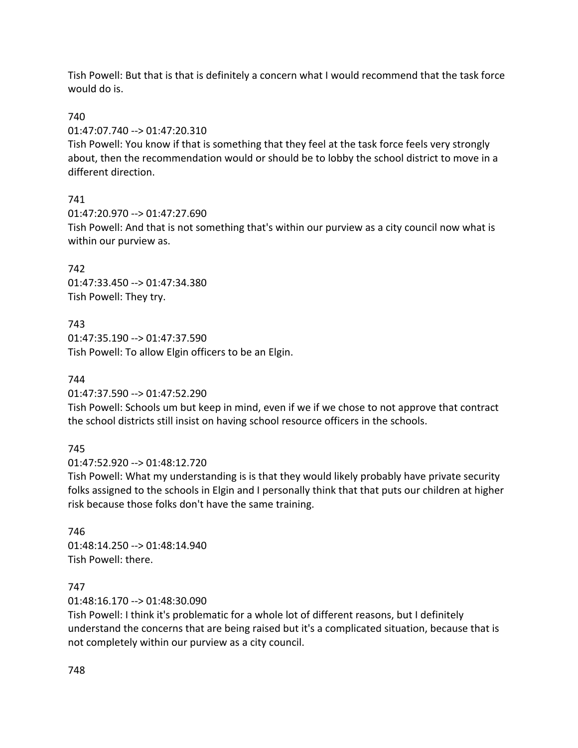Tish Powell: But that is that is definitely a concern what I would recommend that the task force would do is.

# 740

01:47:07.740 --> 01:47:20.310

Tish Powell: You know if that is something that they feel at the task force feels very strongly about, then the recommendation would or should be to lobby the school district to move in a different direction.

# 741

01:47:20.970 --> 01:47:27.690

Tish Powell: And that is not something that's within our purview as a city council now what is within our purview as.

# 742 01:47:33.450 --> 01:47:34.380 Tish Powell: They try.

743 01:47:35.190 --> 01:47:37.590 Tish Powell: To allow Elgin officers to be an Elgin.

# 744

01:47:37.590 --> 01:47:52.290

Tish Powell: Schools um but keep in mind, even if we if we chose to not approve that contract the school districts still insist on having school resource officers in the schools.

# 745

01:47:52.920 --> 01:48:12.720

Tish Powell: What my understanding is is that they would likely probably have private security folks assigned to the schools in Elgin and I personally think that that puts our children at higher risk because those folks don't have the same training.

# 746 01:48:14.250 --> 01:48:14.940 Tish Powell: there.

# 747

01:48:16.170 --> 01:48:30.090

Tish Powell: I think it's problematic for a whole lot of different reasons, but I definitely understand the concerns that are being raised but it's a complicated situation, because that is not completely within our purview as a city council.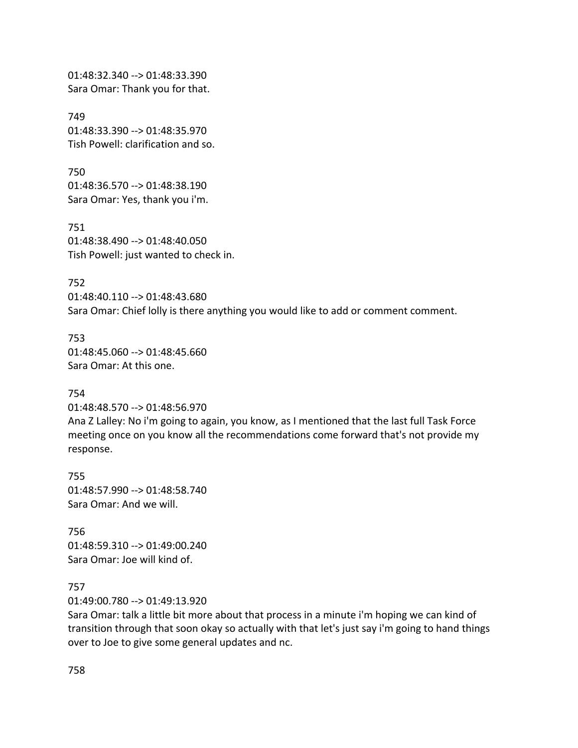01:48:32.340 --> 01:48:33.390 Sara Omar: Thank you for that.

749 01:48:33.390 --> 01:48:35.970 Tish Powell: clarification and so.

750 01:48:36.570 --> 01:48:38.190 Sara Omar: Yes, thank you i'm.

751 01:48:38.490 --> 01:48:40.050 Tish Powell: just wanted to check in.

752 01:48:40.110 --> 01:48:43.680 Sara Omar: Chief lolly is there anything you would like to add or comment comment.

753 01:48:45.060 --> 01:48:45.660 Sara Omar: At this one.

754

01:48:48.570 --> 01:48:56.970 Ana Z Lalley: No i'm going to again, you know, as I mentioned that the last full Task Force meeting once on you know all the recommendations come forward that's not provide my response.

755 01:48:57.990 --> 01:48:58.740 Sara Omar: And we will.

756 01:48:59.310 --> 01:49:00.240 Sara Omar: Joe will kind of.

757

01:49:00.780 --> 01:49:13.920

Sara Omar: talk a little bit more about that process in a minute i'm hoping we can kind of transition through that soon okay so actually with that let's just say i'm going to hand things over to Joe to give some general updates and nc.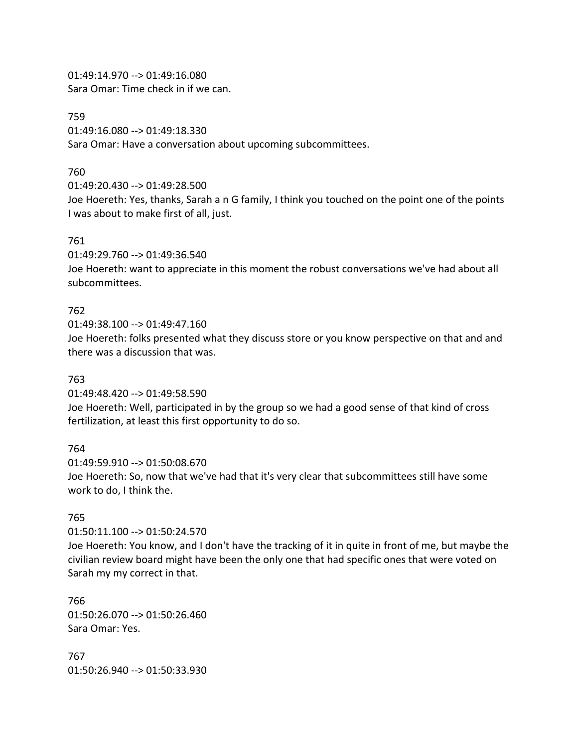01:49:14.970 --> 01:49:16.080 Sara Omar: Time check in if we can.

759

01:49:16.080 --> 01:49:18.330 Sara Omar: Have a conversation about upcoming subcommittees.

## 760

01:49:20.430 --> 01:49:28.500

Joe Hoereth: Yes, thanks, Sarah a n G family, I think you touched on the point one of the points I was about to make first of all, just.

## 761

01:49:29.760 --> 01:49:36.540

Joe Hoereth: want to appreciate in this moment the robust conversations we've had about all subcommittees.

## 762

01:49:38.100 --> 01:49:47.160

Joe Hoereth: folks presented what they discuss store or you know perspective on that and and there was a discussion that was.

## 763

01:49:48.420 --> 01:49:58.590

Joe Hoereth: Well, participated in by the group so we had a good sense of that kind of cross fertilization, at least this first opportunity to do so.

764

01:49:59.910 --> 01:50:08.670 Joe Hoereth: So, now that we've had that it's very clear that subcommittees still have some work to do, I think the.

# 765

01:50:11.100 --> 01:50:24.570 Joe Hoereth: You know, and I don't have the tracking of it in quite in front of me, but maybe the civilian review board might have been the only one that had specific ones that were voted on Sarah my my correct in that.

766 01:50:26.070 --> 01:50:26.460 Sara Omar: Yes.

767 01:50:26.940 --> 01:50:33.930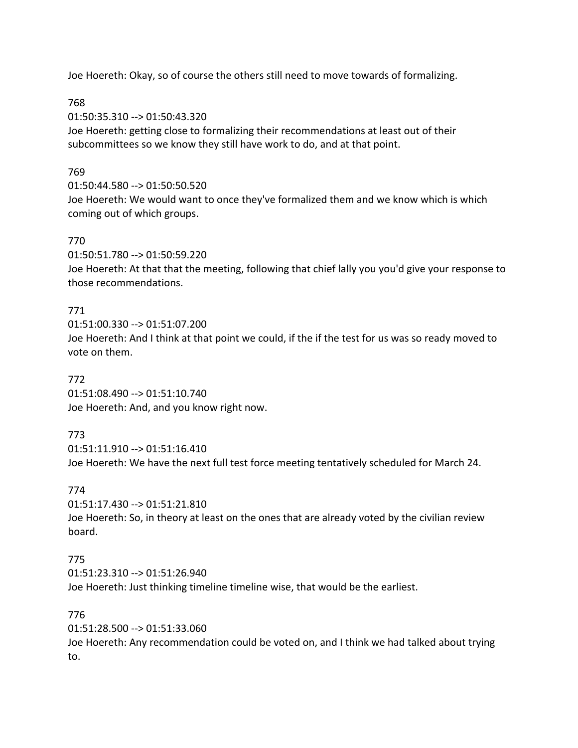Joe Hoereth: Okay, so of course the others still need to move towards of formalizing.

768

01:50:35.310 --> 01:50:43.320 Joe Hoereth: getting close to formalizing their recommendations at least out of their subcommittees so we know they still have work to do, and at that point.

# 769

01:50:44.580 --> 01:50:50.520 Joe Hoereth: We would want to once they've formalized them and we know which is which coming out of which groups.

# 770

01:50:51.780 --> 01:50:59.220

Joe Hoereth: At that that the meeting, following that chief lally you you'd give your response to those recommendations.

# 771

01:51:00.330 --> 01:51:07.200 Joe Hoereth: And I think at that point we could, if the if the test for us was so ready moved to vote on them.

# 772

01:51:08.490 --> 01:51:10.740 Joe Hoereth: And, and you know right now.

# 773

01:51:11.910 --> 01:51:16.410 Joe Hoereth: We have the next full test force meeting tentatively scheduled for March 24.

# 774

01:51:17.430 --> 01:51:21.810

Joe Hoereth: So, in theory at least on the ones that are already voted by the civilian review board.

# 775

01:51:23.310 --> 01:51:26.940 Joe Hoereth: Just thinking timeline timeline wise, that would be the earliest.

# 776

01:51:28.500 --> 01:51:33.060

Joe Hoereth: Any recommendation could be voted on, and I think we had talked about trying to.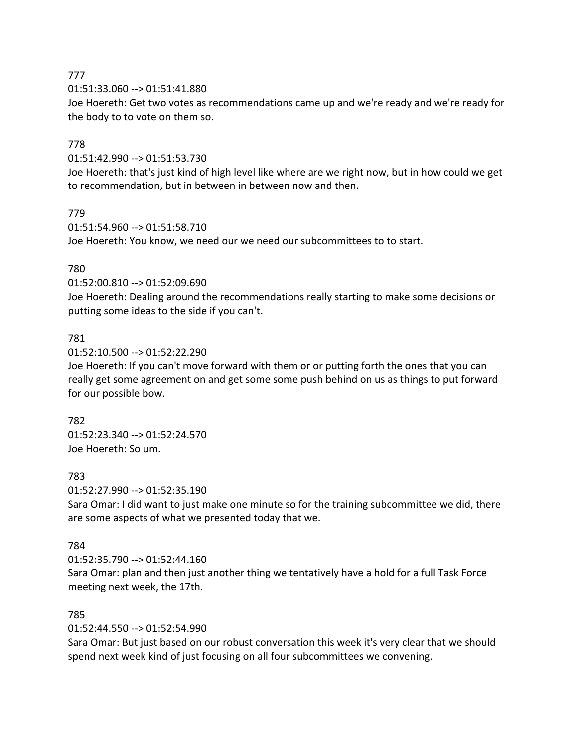## 777

01:51:33.060 --> 01:51:41.880

Joe Hoereth: Get two votes as recommendations came up and we're ready and we're ready for the body to to vote on them so.

## 778

01:51:42.990 --> 01:51:53.730

Joe Hoereth: that's just kind of high level like where are we right now, but in how could we get to recommendation, but in between in between now and then.

## 779

01:51:54.960 --> 01:51:58.710 Joe Hoereth: You know, we need our we need our subcommittees to to start.

## 780

01:52:00.810 --> 01:52:09.690

Joe Hoereth: Dealing around the recommendations really starting to make some decisions or putting some ideas to the side if you can't.

## 781

01:52:10.500 --> 01:52:22.290

Joe Hoereth: If you can't move forward with them or or putting forth the ones that you can really get some agreement on and get some some push behind on us as things to put forward for our possible bow.

782 01:52:23.340 --> 01:52:24.570 Joe Hoereth: So um.

## 783

01:52:27.990 --> 01:52:35.190

Sara Omar: I did want to just make one minute so for the training subcommittee we did, there are some aspects of what we presented today that we.

## 784

01:52:35.790 --> 01:52:44.160 Sara Omar: plan and then just another thing we tentatively have a hold for a full Task Force meeting next week, the 17th.

## 785

01:52:44.550 --> 01:52:54.990

Sara Omar: But just based on our robust conversation this week it's very clear that we should spend next week kind of just focusing on all four subcommittees we convening.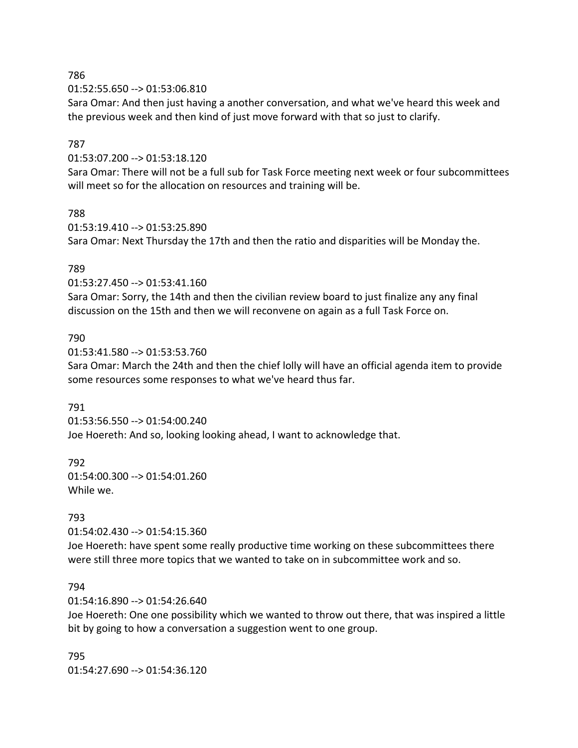786

01:52:55.650 --> 01:53:06.810

Sara Omar: And then just having a another conversation, and what we've heard this week and the previous week and then kind of just move forward with that so just to clarify.

## 787

01:53:07.200 --> 01:53:18.120

Sara Omar: There will not be a full sub for Task Force meeting next week or four subcommittees will meet so for the allocation on resources and training will be.

#### 788

01:53:19.410 --> 01:53:25.890 Sara Omar: Next Thursday the 17th and then the ratio and disparities will be Monday the.

## 789

01:53:27.450 --> 01:53:41.160

Sara Omar: Sorry, the 14th and then the civilian review board to just finalize any any final discussion on the 15th and then we will reconvene on again as a full Task Force on.

#### 790

01:53:41.580 --> 01:53:53.760

Sara Omar: March the 24th and then the chief lolly will have an official agenda item to provide some resources some responses to what we've heard thus far.

## 791

01:53:56.550 --> 01:54:00.240 Joe Hoereth: And so, looking looking ahead, I want to acknowledge that.

792 01:54:00.300 --> 01:54:01.260 While we.

## 793

01:54:02.430 --> 01:54:15.360

Joe Hoereth: have spent some really productive time working on these subcommittees there were still three more topics that we wanted to take on in subcommittee work and so.

## 794

01:54:16.890 --> 01:54:26.640

Joe Hoereth: One one possibility which we wanted to throw out there, that was inspired a little bit by going to how a conversation a suggestion went to one group.

795 01:54:27.690 --> 01:54:36.120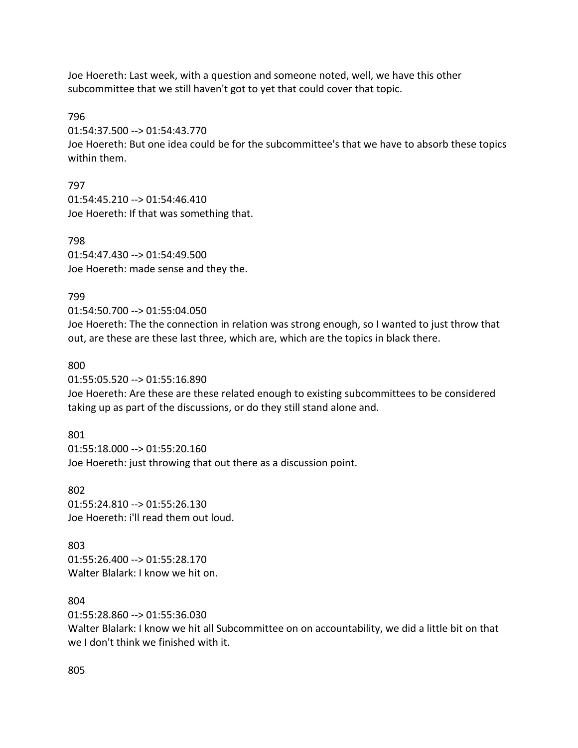Joe Hoereth: Last week, with a question and someone noted, well, we have this other subcommittee that we still haven't got to yet that could cover that topic.

796

01:54:37.500 --> 01:54:43.770

Joe Hoereth: But one idea could be for the subcommittee's that we have to absorb these topics within them.

797 01:54:45.210 --> 01:54:46.410 Joe Hoereth: If that was something that.

798 01:54:47.430 --> 01:54:49.500 Joe Hoereth: made sense and they the.

799

01:54:50.700 --> 01:55:04.050

Joe Hoereth: The the connection in relation was strong enough, so I wanted to just throw that out, are these are these last three, which are, which are the topics in black there.

800

01:55:05.520 --> 01:55:16.890

Joe Hoereth: Are these are these related enough to existing subcommittees to be considered taking up as part of the discussions, or do they still stand alone and.

801

01:55:18.000 --> 01:55:20.160 Joe Hoereth: just throwing that out there as a discussion point.

802 01:55:24.810 --> 01:55:26.130 Joe Hoereth: i'll read them out loud.

803 01:55:26.400 --> 01:55:28.170 Walter Blalark: I know we hit on.

804

01:55:28.860 --> 01:55:36.030 Walter Blalark: I know we hit all Subcommittee on on accountability, we did a little bit on that we I don't think we finished with it.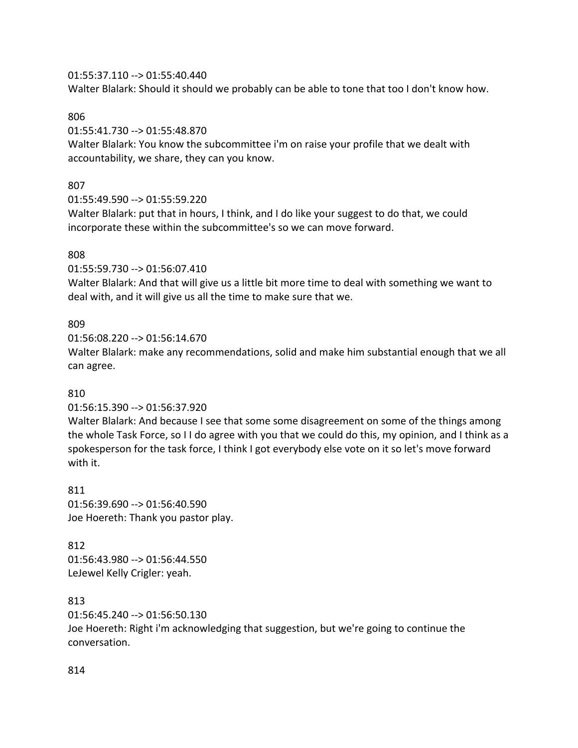## 01:55:37.110 --> 01:55:40.440

Walter Blalark: Should it should we probably can be able to tone that too I don't know how.

## 806

01:55:41.730 --> 01:55:48.870

Walter Blalark: You know the subcommittee i'm on raise your profile that we dealt with accountability, we share, they can you know.

# 807

01:55:49.590 --> 01:55:59.220

Walter Blalark: put that in hours, I think, and I do like your suggest to do that, we could incorporate these within the subcommittee's so we can move forward.

## 808

01:55:59.730 --> 01:56:07.410

Walter Blalark: And that will give us a little bit more time to deal with something we want to deal with, and it will give us all the time to make sure that we.

## 809

01:56:08.220 --> 01:56:14.670

Walter Blalark: make any recommendations, solid and make him substantial enough that we all can agree.

# 810

01:56:15.390 --> 01:56:37.920

Walter Blalark: And because I see that some some disagreement on some of the things among the whole Task Force, so I I do agree with you that we could do this, my opinion, and I think as a spokesperson for the task force, I think I got everybody else vote on it so let's move forward with it.

811 01:56:39.690 --> 01:56:40.590 Joe Hoereth: Thank you pastor play.

# 812

01:56:43.980 --> 01:56:44.550 LeJewel Kelly Crigler: yeah.

# 813

01:56:45.240 --> 01:56:50.130 Joe Hoereth: Right i'm acknowledging that suggestion, but we're going to continue the conversation.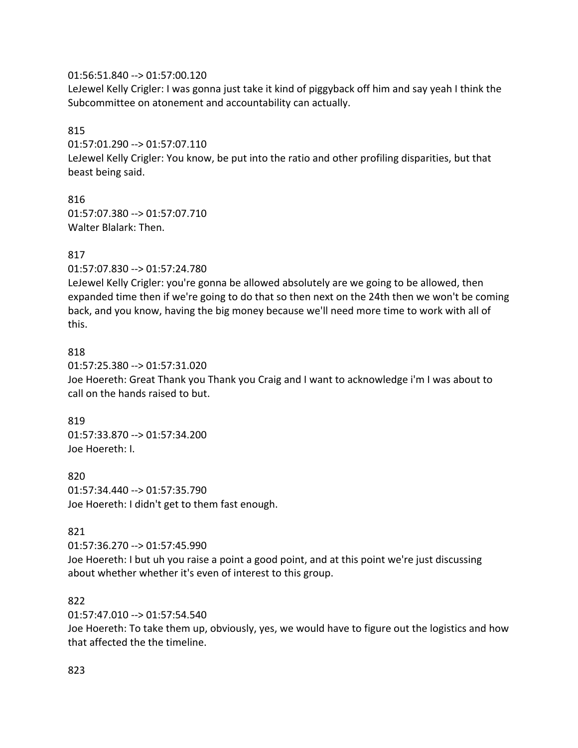## 01:56:51.840 --> 01:57:00.120

LeJewel Kelly Crigler: I was gonna just take it kind of piggyback off him and say yeah I think the Subcommittee on atonement and accountability can actually.

## 815

01:57:01.290 --> 01:57:07.110

LeJewel Kelly Crigler: You know, be put into the ratio and other profiling disparities, but that beast being said.

816 01:57:07.380 --> 01:57:07.710 Walter Blalark: Then.

# 817

01:57:07.830 --> 01:57:24.780 LeJewel Kelly Crigler: you're gonna be allowed absolutely are we going to be allowed, then expanded time then if we're going to do that so then next on the 24th then we won't be coming back, and you know, having the big money because we'll need more time to work with all of this.

## 818

01:57:25.380 --> 01:57:31.020 Joe Hoereth: Great Thank you Thank you Craig and I want to acknowledge i'm I was about to call on the hands raised to but.

819 01:57:33.870 --> 01:57:34.200 Joe Hoereth: I.

820 01:57:34.440 --> 01:57:35.790 Joe Hoereth: I didn't get to them fast enough.

# 821

01:57:36.270 --> 01:57:45.990

Joe Hoereth: I but uh you raise a point a good point, and at this point we're just discussing about whether whether it's even of interest to this group.

## 822

01:57:47.010 --> 01:57:54.540

Joe Hoereth: To take them up, obviously, yes, we would have to figure out the logistics and how that affected the the timeline.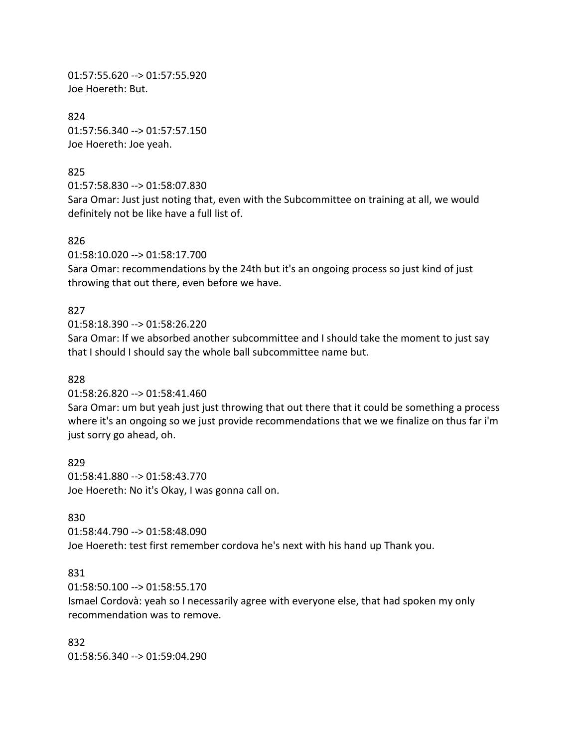01:57:55.620 --> 01:57:55.920 Joe Hoereth: But.

824 01:57:56.340 --> 01:57:57.150 Joe Hoereth: Joe yeah.

## 825

01:57:58.830 --> 01:58:07.830

Sara Omar: Just just noting that, even with the Subcommittee on training at all, we would definitely not be like have a full list of.

## 826

01:58:10.020 --> 01:58:17.700

Sara Omar: recommendations by the 24th but it's an ongoing process so just kind of just throwing that out there, even before we have.

# 827

01:58:18.390 --> 01:58:26.220

Sara Omar: If we absorbed another subcommittee and I should take the moment to just say that I should I should say the whole ball subcommittee name but.

## 828

01:58:26.820 --> 01:58:41.460

Sara Omar: um but yeah just just throwing that out there that it could be something a process where it's an ongoing so we just provide recommendations that we we finalize on thus far i'm just sorry go ahead, oh.

829 01:58:41.880 --> 01:58:43.770 Joe Hoereth: No it's Okay, I was gonna call on.

# 830

01:58:44.790 --> 01:58:48.090 Joe Hoereth: test first remember cordova he's next with his hand up Thank you.

# 831

01:58:50.100 --> 01:58:55.170 Ismael Cordovà: yeah so I necessarily agree with everyone else, that had spoken my only recommendation was to remove.

832 01:58:56.340 --> 01:59:04.290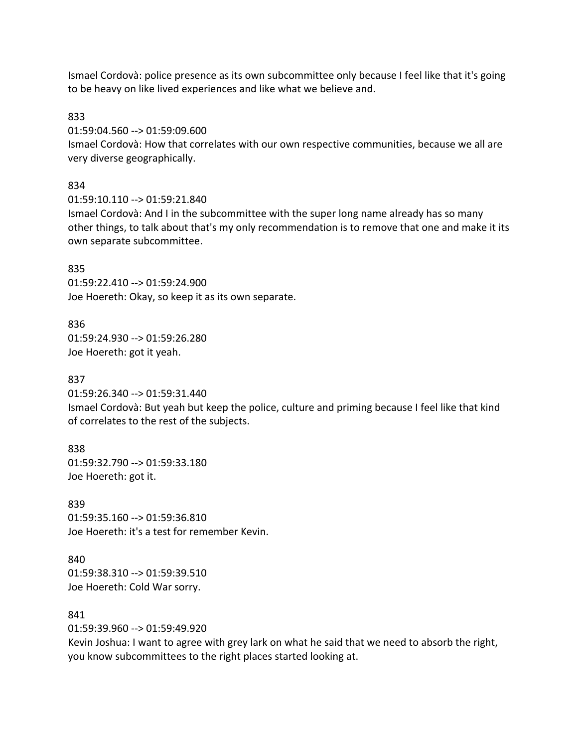Ismael Cordovà: police presence as its own subcommittee only because I feel like that it's going to be heavy on like lived experiences and like what we believe and.

833

01:59:04.560 --> 01:59:09.600

Ismael Cordovà: How that correlates with our own respective communities, because we all are very diverse geographically.

## 834

01:59:10.110 --> 01:59:21.840

Ismael Cordovà: And I in the subcommittee with the super long name already has so many other things, to talk about that's my only recommendation is to remove that one and make it its own separate subcommittee.

## 835

01:59:22.410 --> 01:59:24.900 Joe Hoereth: Okay, so keep it as its own separate.

## 836

01:59:24.930 --> 01:59:26.280 Joe Hoereth: got it yeah.

## 837

01:59:26.340 --> 01:59:31.440

Ismael Cordovà: But yeah but keep the police, culture and priming because I feel like that kind of correlates to the rest of the subjects.

838 01:59:32.790 --> 01:59:33.180 Joe Hoereth: got it.

839 01:59:35.160 --> 01:59:36.810 Joe Hoereth: it's a test for remember Kevin.

840 01:59:38.310 --> 01:59:39.510 Joe Hoereth: Cold War sorry.

## 841

01:59:39.960 --> 01:59:49.920

Kevin Joshua: I want to agree with grey lark on what he said that we need to absorb the right, you know subcommittees to the right places started looking at.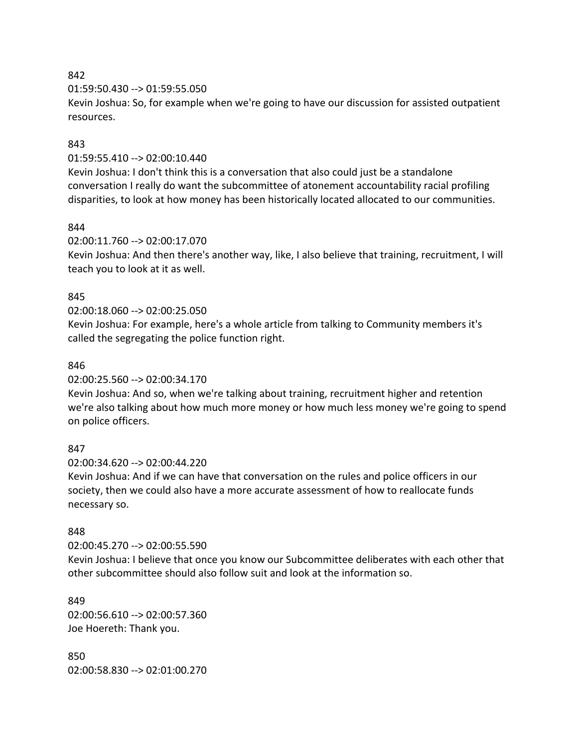## 842

01:59:50.430 --> 01:59:55.050

Kevin Joshua: So, for example when we're going to have our discussion for assisted outpatient resources.

## 843

01:59:55.410 --> 02:00:10.440

Kevin Joshua: I don't think this is a conversation that also could just be a standalone conversation I really do want the subcommittee of atonement accountability racial profiling disparities, to look at how money has been historically located allocated to our communities.

## 844

02:00:11.760 --> 02:00:17.070

Kevin Joshua: And then there's another way, like, I also believe that training, recruitment, I will teach you to look at it as well.

## 845

#### 02:00:18.060 --> 02:00:25.050

Kevin Joshua: For example, here's a whole article from talking to Community members it's called the segregating the police function right.

#### 846

02:00:25.560 --> 02:00:34.170

Kevin Joshua: And so, when we're talking about training, recruitment higher and retention we're also talking about how much more money or how much less money we're going to spend on police officers.

## 847

02:00:34.620 --> 02:00:44.220

Kevin Joshua: And if we can have that conversation on the rules and police officers in our society, then we could also have a more accurate assessment of how to reallocate funds necessary so.

## 848

02:00:45.270 --> 02:00:55.590

Kevin Joshua: I believe that once you know our Subcommittee deliberates with each other that other subcommittee should also follow suit and look at the information so.

849 02:00:56.610 --> 02:00:57.360 Joe Hoereth: Thank you.

850 02:00:58.830 --> 02:01:00.270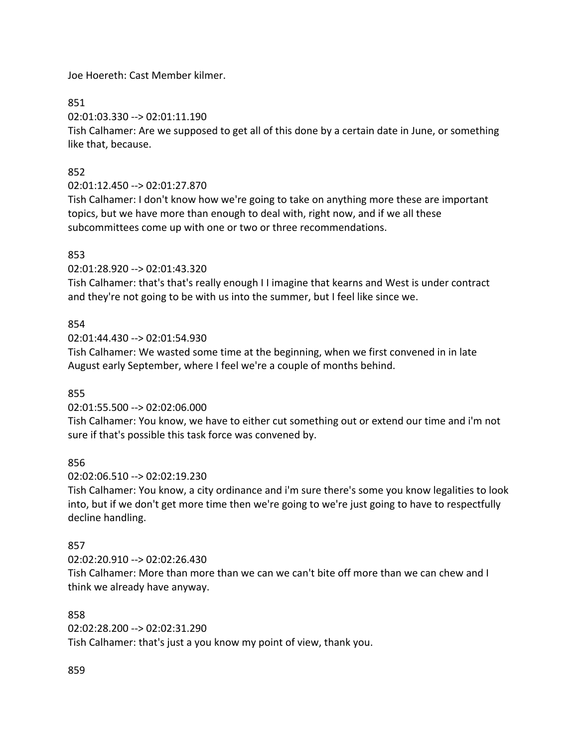Joe Hoereth: Cast Member kilmer.

851

02:01:03.330 --> 02:01:11.190

Tish Calhamer: Are we supposed to get all of this done by a certain date in June, or something like that, because.

# 852

# 02:01:12.450 --> 02:01:27.870

Tish Calhamer: I don't know how we're going to take on anything more these are important topics, but we have more than enough to deal with, right now, and if we all these subcommittees come up with one or two or three recommendations.

# 853

02:01:28.920 --> 02:01:43.320

Tish Calhamer: that's that's really enough I I imagine that kearns and West is under contract and they're not going to be with us into the summer, but I feel like since we.

# 854

02:01:44.430 --> 02:01:54.930

Tish Calhamer: We wasted some time at the beginning, when we first convened in in late August early September, where I feel we're a couple of months behind.

# 855

# 02:01:55.500 --> 02:02:06.000

Tish Calhamer: You know, we have to either cut something out or extend our time and i'm not sure if that's possible this task force was convened by.

# 856

02:02:06.510 --> 02:02:19.230

Tish Calhamer: You know, a city ordinance and i'm sure there's some you know legalities to look into, but if we don't get more time then we're going to we're just going to have to respectfully decline handling.

# 857

# 02:02:20.910 --> 02:02:26.430 Tish Calhamer: More than more than we can we can't bite off more than we can chew and I think we already have anyway.

# 858

02:02:28.200 --> 02:02:31.290

Tish Calhamer: that's just a you know my point of view, thank you.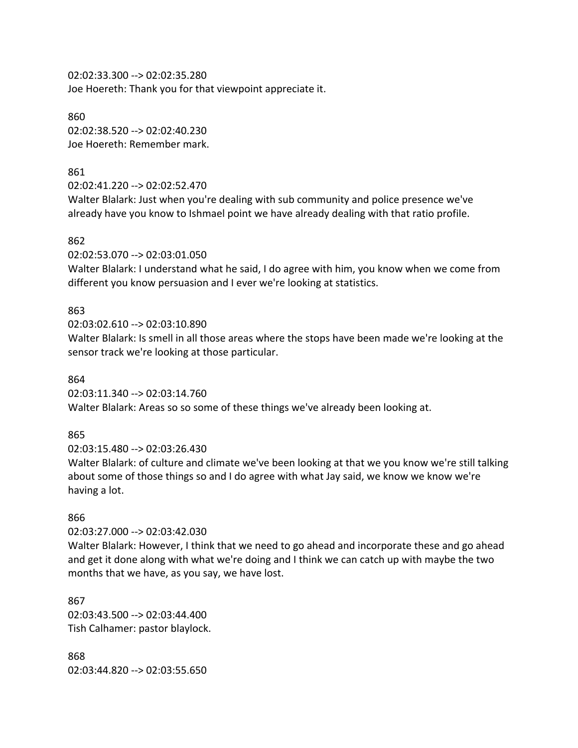02:02:33.300 --> 02:02:35.280 Joe Hoereth: Thank you for that viewpoint appreciate it.

860 02:02:38.520 --> 02:02:40.230 Joe Hoereth: Remember mark.

## 861

02:02:41.220 --> 02:02:52.470

Walter Blalark: Just when you're dealing with sub community and police presence we've already have you know to Ishmael point we have already dealing with that ratio profile.

## 862

02:02:53.070 --> 02:03:01.050

Walter Blalark: I understand what he said, I do agree with him, you know when we come from different you know persuasion and I ever we're looking at statistics.

# 863

02:03:02.610 --> 02:03:10.890

Walter Blalark: Is smell in all those areas where the stops have been made we're looking at the sensor track we're looking at those particular.

864

02:03:11.340 --> 02:03:14.760 Walter Blalark: Areas so so some of these things we've already been looking at.

# 865

02:03:15.480 --> 02:03:26.430

Walter Blalark: of culture and climate we've been looking at that we you know we're still talking about some of those things so and I do agree with what Jay said, we know we know we're having a lot.

# 866

02:03:27.000 --> 02:03:42.030

Walter Blalark: However, I think that we need to go ahead and incorporate these and go ahead and get it done along with what we're doing and I think we can catch up with maybe the two months that we have, as you say, we have lost.

867 02:03:43.500 --> 02:03:44.400 Tish Calhamer: pastor blaylock.

868 02:03:44.820 --> 02:03:55.650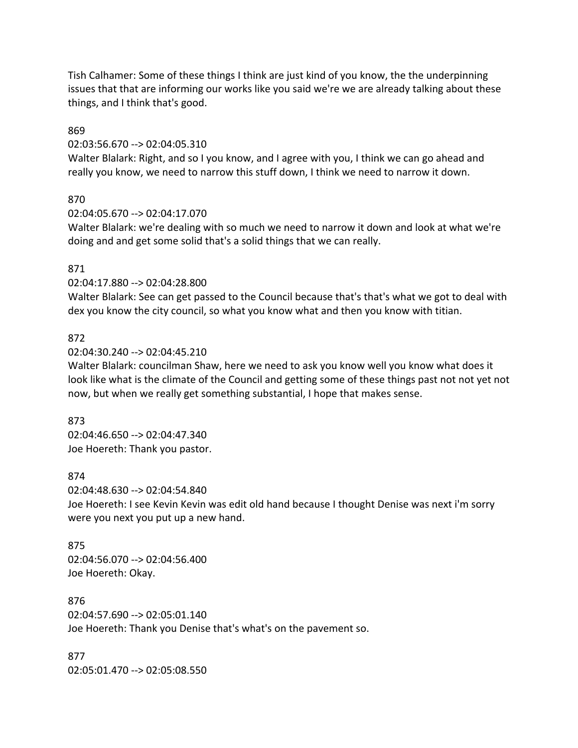Tish Calhamer: Some of these things I think are just kind of you know, the the underpinning issues that that are informing our works like you said we're we are already talking about these things, and I think that's good.

## 869

## 02:03:56.670 --> 02:04:05.310

Walter Blalark: Right, and so I you know, and I agree with you, I think we can go ahead and really you know, we need to narrow this stuff down, I think we need to narrow it down.

## 870

02:04:05.670 --> 02:04:17.070

Walter Blalark: we're dealing with so much we need to narrow it down and look at what we're doing and and get some solid that's a solid things that we can really.

## 871

02:04:17.880 --> 02:04:28.800

Walter Blalark: See can get passed to the Council because that's that's what we got to deal with dex you know the city council, so what you know what and then you know with titian.

## 872

02:04:30.240 --> 02:04:45.210

Walter Blalark: councilman Shaw, here we need to ask you know well you know what does it look like what is the climate of the Council and getting some of these things past not not yet not now, but when we really get something substantial, I hope that makes sense.

## 873

02:04:46.650 --> 02:04:47.340 Joe Hoereth: Thank you pastor.

## 874

02:04:48.630 --> 02:04:54.840

Joe Hoereth: I see Kevin Kevin was edit old hand because I thought Denise was next i'm sorry were you next you put up a new hand.

## 875

02:04:56.070 --> 02:04:56.400 Joe Hoereth: Okay.

876 02:04:57.690 --> 02:05:01.140 Joe Hoereth: Thank you Denise that's what's on the pavement so.

877 02:05:01.470 --> 02:05:08.550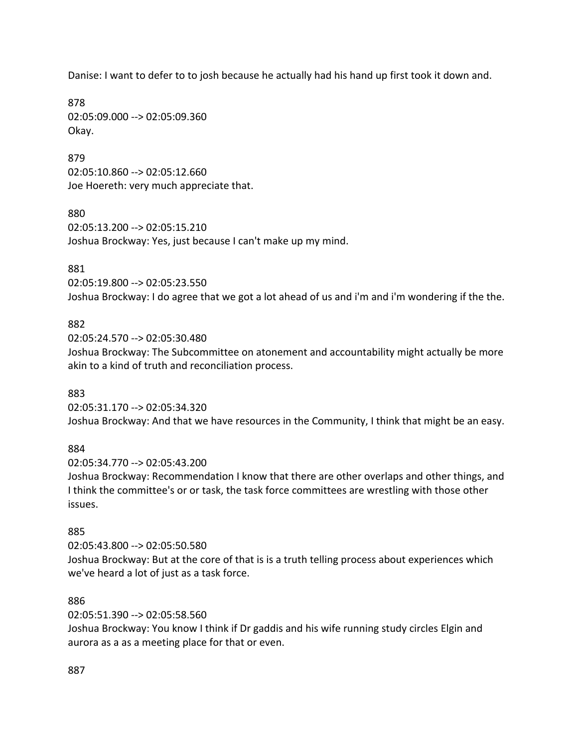Danise: I want to defer to to josh because he actually had his hand up first took it down and.

878 02:05:09.000 --> 02:05:09.360 Okay.

879 02:05:10.860 --> 02:05:12.660 Joe Hoereth: very much appreciate that.

880 02:05:13.200 --> 02:05:15.210 Joshua Brockway: Yes, just because I can't make up my mind.

## 881

02:05:19.800 --> 02:05:23.550 Joshua Brockway: I do agree that we got a lot ahead of us and i'm and i'm wondering if the the.

## 882

02:05:24.570 --> 02:05:30.480 Joshua Brockway: The Subcommittee on atonement and accountability might actually be more akin to a kind of truth and reconciliation process.

## 883

02:05:31.170 --> 02:05:34.320 Joshua Brockway: And that we have resources in the Community, I think that might be an easy.

## 884

02:05:34.770 --> 02:05:43.200

Joshua Brockway: Recommendation I know that there are other overlaps and other things, and I think the committee's or or task, the task force committees are wrestling with those other issues.

## 885

02:05:43.800 --> 02:05:50.580

Joshua Brockway: But at the core of that is is a truth telling process about experiences which we've heard a lot of just as a task force.

#### 886

02:05:51.390 --> 02:05:58.560

Joshua Brockway: You know I think if Dr gaddis and his wife running study circles Elgin and aurora as a as a meeting place for that or even.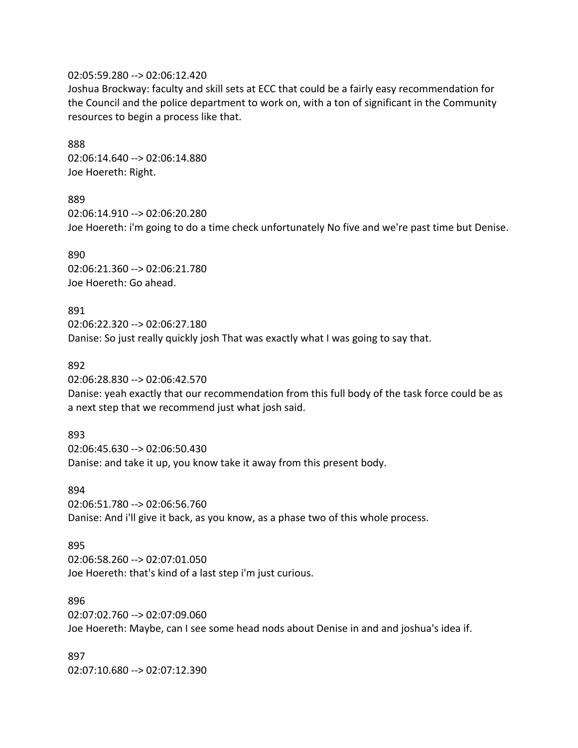#### 02:05:59.280 --> 02:06:12.420

Joshua Brockway: faculty and skill sets at ECC that could be a fairly easy recommendation for the Council and the police department to work on, with a ton of significant in the Community resources to begin a process like that.

888 02:06:14.640 --> 02:06:14.880 Joe Hoereth: Right.

889

02:06:14.910 --> 02:06:20.280 Joe Hoereth: i'm going to do a time check unfortunately No five and we're past time but Denise.

890 02:06:21.360 --> 02:06:21.780 Joe Hoereth: Go ahead.

891 02:06:22.320 --> 02:06:27.180 Danise: So just really quickly josh That was exactly what I was going to say that.

892

02:06:28.830 --> 02:06:42.570

Danise: yeah exactly that our recommendation from this full body of the task force could be as a next step that we recommend just what josh said.

893

02:06:45.630 --> 02:06:50.430 Danise: and take it up, you know take it away from this present body.

894

02:06:51.780 --> 02:06:56.760 Danise: And i'll give it back, as you know, as a phase two of this whole process.

895

02:06:58.260 --> 02:07:01.050 Joe Hoereth: that's kind of a last step i'm just curious.

896

02:07:02.760 --> 02:07:09.060 Joe Hoereth: Maybe, can I see some head nods about Denise in and and joshua's idea if.

897 02:07:10.680 --> 02:07:12.390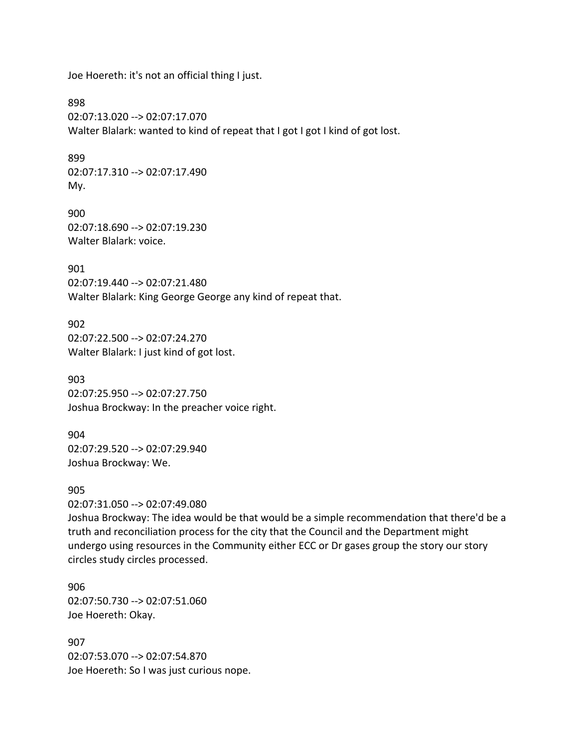Joe Hoereth: it's not an official thing I just.

898 02:07:13.020 --> 02:07:17.070 Walter Blalark: wanted to kind of repeat that I got I got I kind of got lost.

899 02:07:17.310 --> 02:07:17.490 My.

900 02:07:18.690 --> 02:07:19.230 Walter Blalark: voice.

901 02:07:19.440 --> 02:07:21.480 Walter Blalark: King George George any kind of repeat that.

902 02:07:22.500 --> 02:07:24.270 Walter Blalark: I just kind of got lost.

903 02:07:25.950 --> 02:07:27.750 Joshua Brockway: In the preacher voice right.

904 02:07:29.520 --> 02:07:29.940 Joshua Brockway: We.

905 02:07:31.050 --> 02:07:49.080 Joshua Brockway: The idea would be that would be a simple recommendation that there'd be a truth and reconciliation process for the city that the Council and the Department might undergo using resources in the Community either ECC or Dr gases group the story our story circles study circles processed.

906 02:07:50.730 --> 02:07:51.060 Joe Hoereth: Okay.

907 02:07:53.070 --> 02:07:54.870 Joe Hoereth: So I was just curious nope.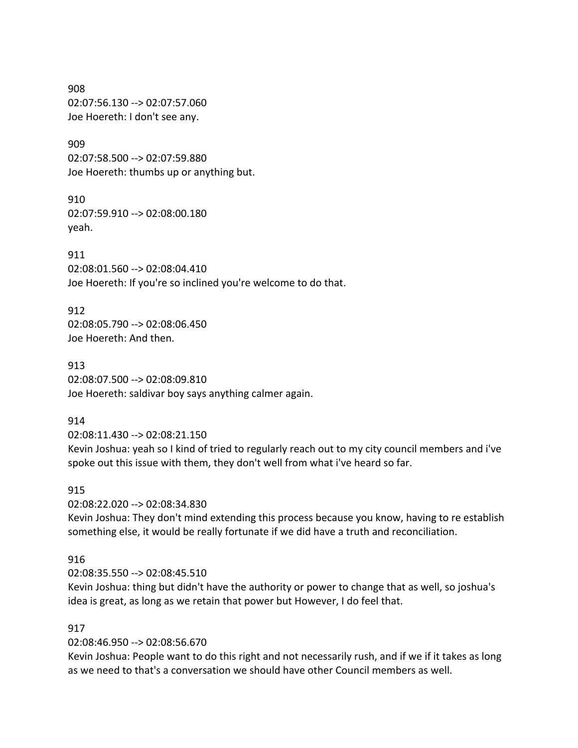908 02:07:56.130 --> 02:07:57.060 Joe Hoereth: I don't see any.

909 02:07:58.500 --> 02:07:59.880 Joe Hoereth: thumbs up or anything but.

910 02:07:59.910 --> 02:08:00.180 yeah.

911 02:08:01.560 --> 02:08:04.410 Joe Hoereth: If you're so inclined you're welcome to do that.

912 02:08:05.790 --> 02:08:06.450 Joe Hoereth: And then.

913 02:08:07.500 --> 02:08:09.810 Joe Hoereth: saldivar boy says anything calmer again.

914

02:08:11.430 --> 02:08:21.150

Kevin Joshua: yeah so I kind of tried to regularly reach out to my city council members and i've spoke out this issue with them, they don't well from what i've heard so far.

915

02:08:22.020 --> 02:08:34.830 Kevin Joshua: They don't mind extending this process because you know, having to re establish something else, it would be really fortunate if we did have a truth and reconciliation.

# 916

02:08:35.550 --> 02:08:45.510

Kevin Joshua: thing but didn't have the authority or power to change that as well, so joshua's idea is great, as long as we retain that power but However, I do feel that.

# 917

02:08:46.950 --> 02:08:56.670

Kevin Joshua: People want to do this right and not necessarily rush, and if we if it takes as long as we need to that's a conversation we should have other Council members as well.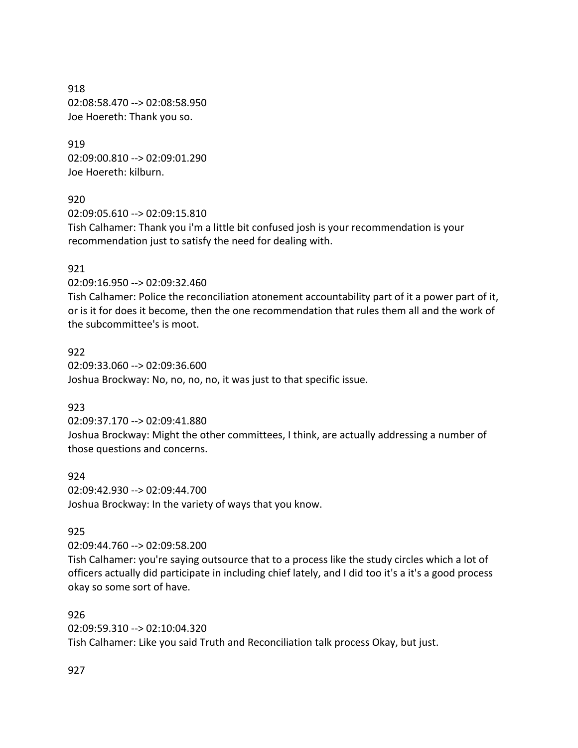918 02:08:58.470 --> 02:08:58.950 Joe Hoereth: Thank you so.

919 02:09:00.810 --> 02:09:01.290 Joe Hoereth: kilburn.

920

02:09:05.610 --> 02:09:15.810 Tish Calhamer: Thank you i'm a little bit confused josh is your recommendation is your recommendation just to satisfy the need for dealing with.

## 921

02:09:16.950 --> 02:09:32.460

Tish Calhamer: Police the reconciliation atonement accountability part of it a power part of it, or is it for does it become, then the one recommendation that rules them all and the work of the subcommittee's is moot.

922 02:09:33.060 --> 02:09:36.600 Joshua Brockway: No, no, no, no, it was just to that specific issue.

## 923

02:09:37.170 --> 02:09:41.880 Joshua Brockway: Might the other committees, I think, are actually addressing a number of those questions and concerns.

924 02:09:42.930 --> 02:09:44.700 Joshua Brockway: In the variety of ways that you know.

925

02:09:44.760 --> 02:09:58.200

Tish Calhamer: you're saying outsource that to a process like the study circles which a lot of officers actually did participate in including chief lately, and I did too it's a it's a good process okay so some sort of have.

926 02:09:59.310 --> 02:10:04.320 Tish Calhamer: Like you said Truth and Reconciliation talk process Okay, but just.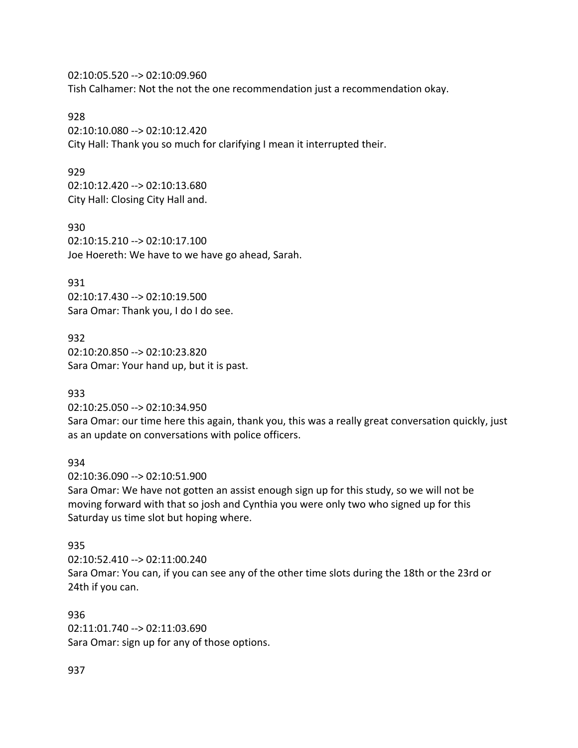02:10:05.520 --> 02:10:09.960 Tish Calhamer: Not the not the one recommendation just a recommendation okay.

928 02:10:10.080 --> 02:10:12.420 City Hall: Thank you so much for clarifying I mean it interrupted their.

929 02:10:12.420 --> 02:10:13.680 City Hall: Closing City Hall and.

930 02:10:15.210 --> 02:10:17.100 Joe Hoereth: We have to we have go ahead, Sarah.

931 02:10:17.430 --> 02:10:19.500 Sara Omar: Thank you, I do I do see.

932 02:10:20.850 --> 02:10:23.820 Sara Omar: Your hand up, but it is past.

933

02:10:25.050 --> 02:10:34.950 Sara Omar: our time here this again, thank you, this was a really great conversation quickly, just as an update on conversations with police officers.

934

02:10:36.090 --> 02:10:51.900 Sara Omar: We have not gotten an assist enough sign up for this study, so we will not be moving forward with that so josh and Cynthia you were only two who signed up for this Saturday us time slot but hoping where.

935

02:10:52.410 --> 02:11:00.240 Sara Omar: You can, if you can see any of the other time slots during the 18th or the 23rd or 24th if you can.

936 02:11:01.740 --> 02:11:03.690 Sara Omar: sign up for any of those options.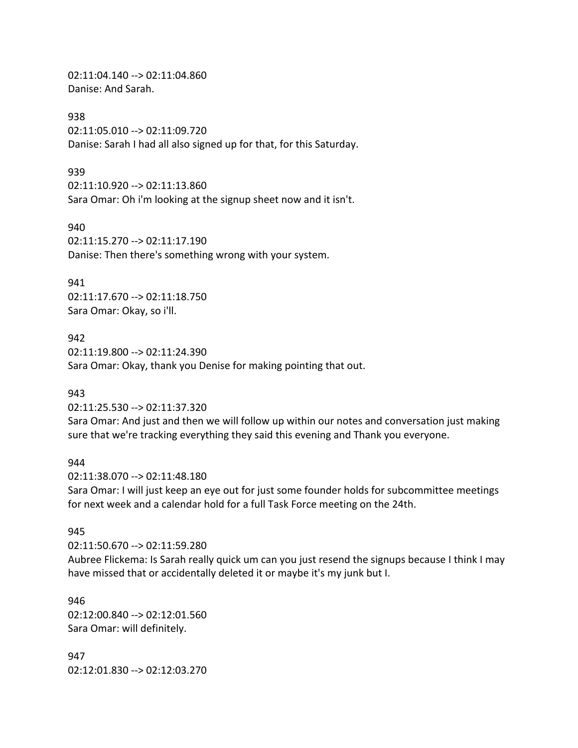02:11:04.140 --> 02:11:04.860 Danise: And Sarah.

938 02:11:05.010 --> 02:11:09.720 Danise: Sarah I had all also signed up for that, for this Saturday.

#### 939

02:11:10.920 --> 02:11:13.860 Sara Omar: Oh i'm looking at the signup sheet now and it isn't.

940

02:11:15.270 --> 02:11:17.190 Danise: Then there's something wrong with your system.

941

02:11:17.670 --> 02:11:18.750 Sara Omar: Okay, so i'll.

942

02:11:19.800 --> 02:11:24.390 Sara Omar: Okay, thank you Denise for making pointing that out.

## 943

02:11:25.530 --> 02:11:37.320

Sara Omar: And just and then we will follow up within our notes and conversation just making sure that we're tracking everything they said this evening and Thank you everyone.

## 944

02:11:38.070 --> 02:11:48.180 Sara Omar: I will just keep an eye out for just some founder holds for subcommittee meetings for next week and a calendar hold for a full Task Force meeting on the 24th.

## 945

02:11:50.670 --> 02:11:59.280

Aubree Flickema: Is Sarah really quick um can you just resend the signups because I think I may have missed that or accidentally deleted it or maybe it's my junk but I.

946 02:12:00.840 --> 02:12:01.560 Sara Omar: will definitely.

947 02:12:01.830 --> 02:12:03.270